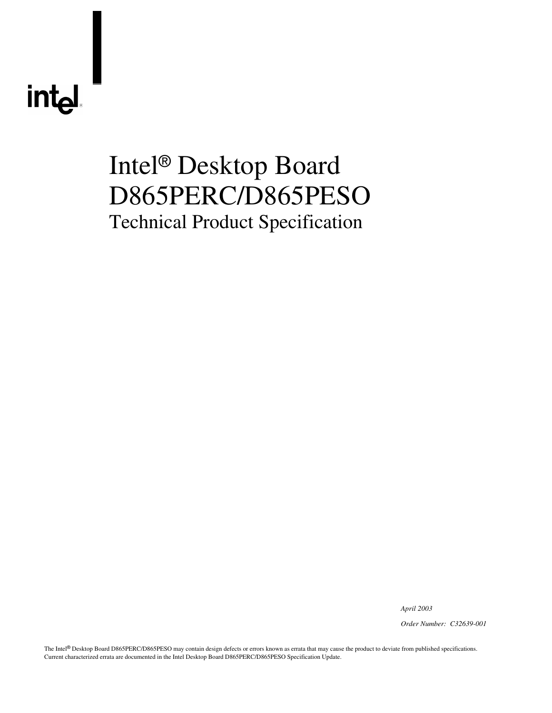

# Intel® Desktop Board D865PERC/D865PESO Technical Product Specification

*April 2003* 

*Order Number: C32639-001*

The Intel® Desktop Board D865PERC/D865PESO may contain design defects or errors known as errata that may cause the product to deviate from published specifications. Current characterized errata are documented in the Intel Desktop Board D865PERC/D865PESO Specification Update.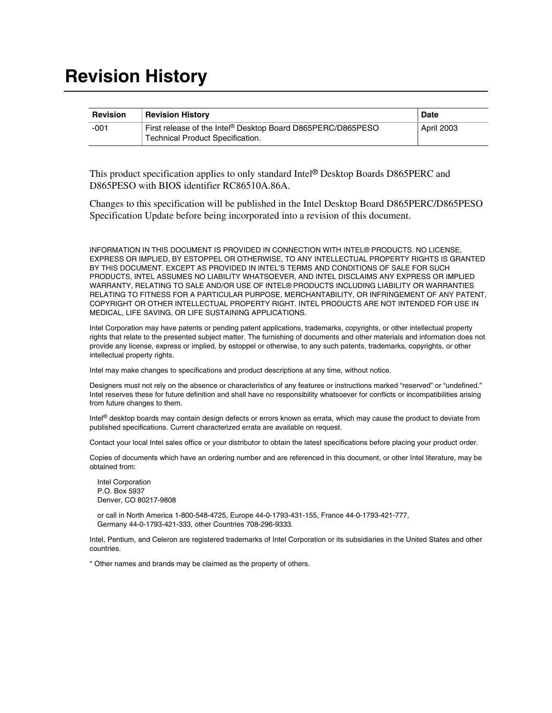### **Revision History**

| <b>Revision</b> | <b>Revision History</b>                                                                                | <b>Date</b> |
|-----------------|--------------------------------------------------------------------------------------------------------|-------------|
| $-001$          | First release of the Intel® Desktop Board D865PERC/D865PESO<br><b>Technical Product Specification.</b> | April 2003  |

This product specification applies to only standard Intel® Desktop Boards D865PERC and D865PESO with BIOS identifier RC86510A.86A.

Changes to this specification will be published in the Intel Desktop Board D865PERC/D865PESO Specification Update before being incorporated into a revision of this document.

INFORMATION IN THIS DOCUMENT IS PROVIDED IN CONNECTION WITH INTEL® PRODUCTS. NO LICENSE, EXPRESS OR IMPLIED, BY ESTOPPEL OR OTHERWISE, TO ANY INTELLECTUAL PROPERTY RIGHTS IS GRANTED BY THIS DOCUMENT. EXCEPT AS PROVIDED IN INTEL'S TERMS AND CONDITIONS OF SALE FOR SUCH PRODUCTS, INTEL ASSUMES NO LIABILITY WHATSOEVER, AND INTEL DISCLAIMS ANY EXPRESS OR IMPLIED WARRANTY, RELATING TO SALE AND/OR USE OF INTEL® PRODUCTS INCLUDING LIABILITY OR WARRANTIES RELATING TO FITNESS FOR A PARTICULAR PURPOSE, MERCHANTABILITY, OR INFRINGEMENT OF ANY PATENT, COPYRIGHT OR OTHER INTELLECTUAL PROPERTY RIGHT. INTEL PRODUCTS ARE NOT INTENDED FOR USE IN MEDICAL, LIFE SAVING, OR LIFE SUSTAINING APPLICATIONS.

Intel Corporation may have patents or pending patent applications, trademarks, copyrights, or other intellectual property rights that relate to the presented subject matter. The furnishing of documents and other materials and information does not provide any license, express or implied, by estoppel or otherwise, to any such patents, trademarks, copyrights, or other intellectual property rights.

Intel may make changes to specifications and product descriptions at any time, without notice.

Designers must not rely on the absence or characteristics of any features or instructions marked "reserved" or "undefined." Intel reserves these for future definition and shall have no responsibility whatsoever for conflicts or incompatibilities arising from future changes to them.

Intel® desktop boards may contain design defects or errors known as errata, which may cause the product to deviate from published specifications. Current characterized errata are available on request.

Contact your local Intel sales office or your distributor to obtain the latest specifications before placing your product order.

Copies of documents which have an ordering number and are referenced in this document, or other Intel literature, may be obtained from:

 Intel Corporation P.O. Box 5937 Denver, CO 80217-9808

 or call in North America 1-800-548-4725, Europe 44-0-1793-431-155, France 44-0-1793-421-777, Germany 44-0-1793-421-333, other Countries 708-296-9333.

Intel, Pentium, and Celeron are registered trademarks of Intel Corporation or its subsidiaries in the United States and other countries.

\* Other names and brands may be claimed as the property of others.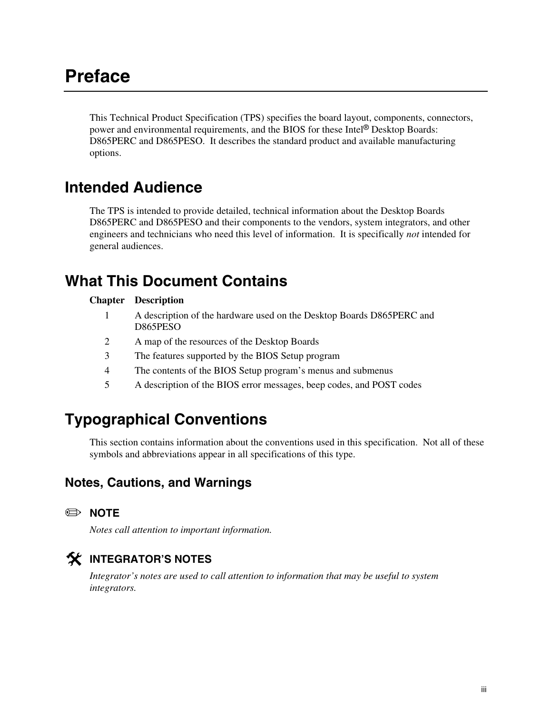This Technical Product Specification (TPS) specifies the board layout, components, connectors, power and environmental requirements, and the BIOS for these Intel® Desktop Boards: D865PERC and D865PESO. It describes the standard product and available manufacturing options.

### **Intended Audience**

The TPS is intended to provide detailed, technical information about the Desktop Boards D865PERC and D865PESO and their components to the vendors, system integrators, and other engineers and technicians who need this level of information. It is specifically *not* intended for general audiences.

### **What This Document Contains**

#### **Chapter Description**

- 1 A description of the hardware used on the Desktop Boards D865PERC and D865PESO
- 2 A map of the resources of the Desktop Boards
- 3 The features supported by the BIOS Setup program
- 4 The contents of the BIOS Setup program's menus and submenus
- 5 A description of the BIOS error messages, beep codes, and POST codes

### **Typographical Conventions**

This section contains information about the conventions used in this specification. Not all of these symbols and abbreviations appear in all specifications of this type.

#### **Notes, Cautions, and Warnings**

#### ✏ **NOTE**

*Notes call attention to important information.* 



#### **X** INTEGRATOR'S NOTES

*Integrator's notes are used to call attention to information that may be useful to system integrators.*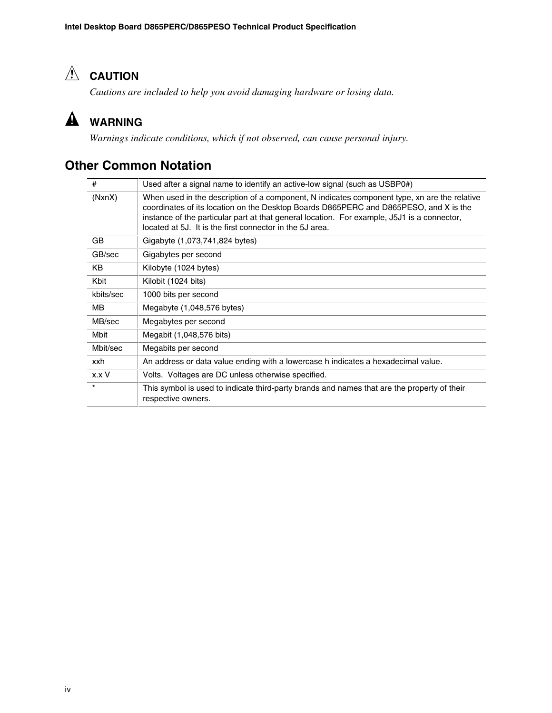### $\hat{I}$  **CAUTION**

*Cautions are included to help you avoid damaging hardware or losing data.* 

### **WARNING**

*Warnings indicate conditions, which if not observed, can cause personal injury.* 

### **Other Common Notation**

| #         | Used after a signal name to identify an active-low signal (such as USBP0#)                                                                                                                                                                                                                                                                       |  |
|-----------|--------------------------------------------------------------------------------------------------------------------------------------------------------------------------------------------------------------------------------------------------------------------------------------------------------------------------------------------------|--|
| (NxnX)    | When used in the description of a component, N indicates component type, xn are the relative<br>coordinates of its location on the Desktop Boards D865PERC and D865PESO, and X is the<br>instance of the particular part at that general location. For example, J5J1 is a connector,<br>located at 5J. It is the first connector in the 5J area. |  |
| GB        | Gigabyte (1,073,741,824 bytes)                                                                                                                                                                                                                                                                                                                   |  |
| GB/sec    | Gigabytes per second                                                                                                                                                                                                                                                                                                                             |  |
| KB.       | Kilobyte (1024 bytes)                                                                                                                                                                                                                                                                                                                            |  |
| Kbit      | Kilobit (1024 bits)                                                                                                                                                                                                                                                                                                                              |  |
| kbits/sec | 1000 bits per second                                                                                                                                                                                                                                                                                                                             |  |
| MВ        | Megabyte $(1,048,576)$ bytes)                                                                                                                                                                                                                                                                                                                    |  |
| MB/sec    | Megabytes per second                                                                                                                                                                                                                                                                                                                             |  |
| Mbit      | Megabit (1,048,576 bits)                                                                                                                                                                                                                                                                                                                         |  |
| Mbit/sec  | Megabits per second                                                                                                                                                                                                                                                                                                                              |  |
| xxh       | An address or data value ending with a lowercase h indicates a hexadecimal value.                                                                                                                                                                                                                                                                |  |
| x.x V     | Volts. Voltages are DC unless otherwise specified.                                                                                                                                                                                                                                                                                               |  |
| $\star$   | This symbol is used to indicate third-party brands and names that are the property of their<br>respective owners.                                                                                                                                                                                                                                |  |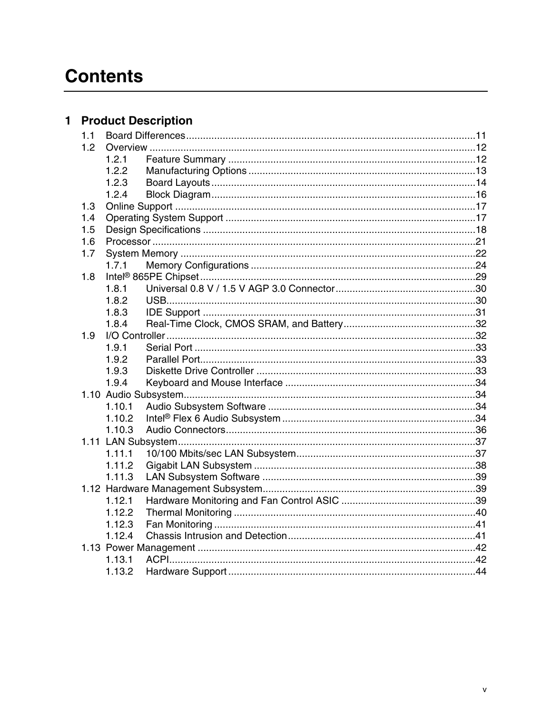### 1 Product Description

| 1.1 |        |  |  |
|-----|--------|--|--|
| 1.2 |        |  |  |
|     | 1.2.1  |  |  |
|     | 1.2.2  |  |  |
|     | 1.2.3  |  |  |
|     | 1.2.4  |  |  |
| 1.3 |        |  |  |
| 1.4 |        |  |  |
| 1.5 |        |  |  |
| 1.6 |        |  |  |
| 1.7 |        |  |  |
|     | 1.7.1  |  |  |
| 1.8 |        |  |  |
|     | 1.8.1  |  |  |
|     | 1.8.2  |  |  |
|     | 1.8.3  |  |  |
|     | 1.8.4  |  |  |
| 1.9 |        |  |  |
|     | 1.9.1  |  |  |
|     | 1.9.2  |  |  |
|     | 1.9.3  |  |  |
|     | 1.9.4  |  |  |
|     |        |  |  |
|     | 1.10.1 |  |  |
|     | 1.10.2 |  |  |
|     | 1.10.3 |  |  |
|     |        |  |  |
|     | 1.11.1 |  |  |
|     | 1.11.2 |  |  |
|     | 1.11.3 |  |  |
|     |        |  |  |
|     | 1.12.1 |  |  |
|     | 1.12.2 |  |  |
|     | 1.12.3 |  |  |
|     | 1.12.4 |  |  |
|     |        |  |  |
|     | 1.13.1 |  |  |
|     | 1.13.2 |  |  |
|     |        |  |  |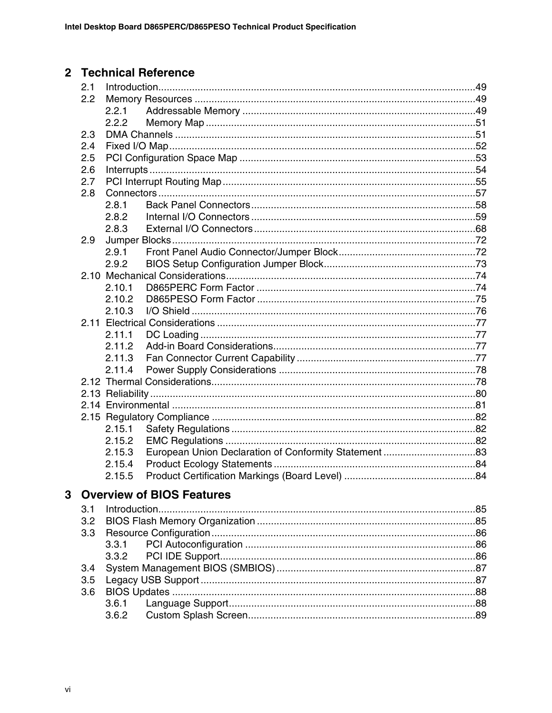### 2 Technical Reference

|   | 2.1 |        |                                                       |  |
|---|-----|--------|-------------------------------------------------------|--|
|   | 2.2 |        |                                                       |  |
|   |     | 2.2.1  |                                                       |  |
|   |     | 2.2.2  |                                                       |  |
|   | 2.3 |        |                                                       |  |
|   | 2.4 |        |                                                       |  |
|   | 2.5 |        |                                                       |  |
|   | 2.6 |        |                                                       |  |
|   | 2.7 |        |                                                       |  |
|   | 2.8 |        |                                                       |  |
|   |     | 2.8.1  |                                                       |  |
|   |     | 2.8.2  |                                                       |  |
|   |     | 2.8.3  |                                                       |  |
|   | 2.9 |        |                                                       |  |
|   |     | 2.9.1  |                                                       |  |
|   |     | 2.9.2  |                                                       |  |
|   |     |        |                                                       |  |
|   |     | 2.10.1 |                                                       |  |
|   |     | 2.10.2 |                                                       |  |
|   |     | 2.10.3 |                                                       |  |
|   |     |        |                                                       |  |
|   |     | 2.11.1 |                                                       |  |
|   |     | 2.11.2 |                                                       |  |
|   |     | 2.11.3 |                                                       |  |
|   |     | 2.11.4 |                                                       |  |
|   |     |        |                                                       |  |
|   |     |        |                                                       |  |
|   |     |        |                                                       |  |
|   |     |        |                                                       |  |
|   |     | 2.15.1 |                                                       |  |
|   |     | 2.15.2 |                                                       |  |
|   |     | 2.15.3 | European Union Declaration of Conformity Statement 83 |  |
|   |     | 2.15.4 |                                                       |  |
|   |     | 2.15.5 |                                                       |  |
| 3 |     |        | <b>Overview of BIOS Features</b>                      |  |
|   | 3.1 |        |                                                       |  |
|   | 3.2 |        |                                                       |  |
|   | 3.3 |        |                                                       |  |
|   |     | 3.3.1  |                                                       |  |
|   |     | 3.3.2  |                                                       |  |
|   | 3.4 |        |                                                       |  |
|   | 3.5 |        |                                                       |  |
|   | 3.6 |        |                                                       |  |
|   |     | 3.6.1  |                                                       |  |
|   |     | 3.6.2  |                                                       |  |
|   |     |        |                                                       |  |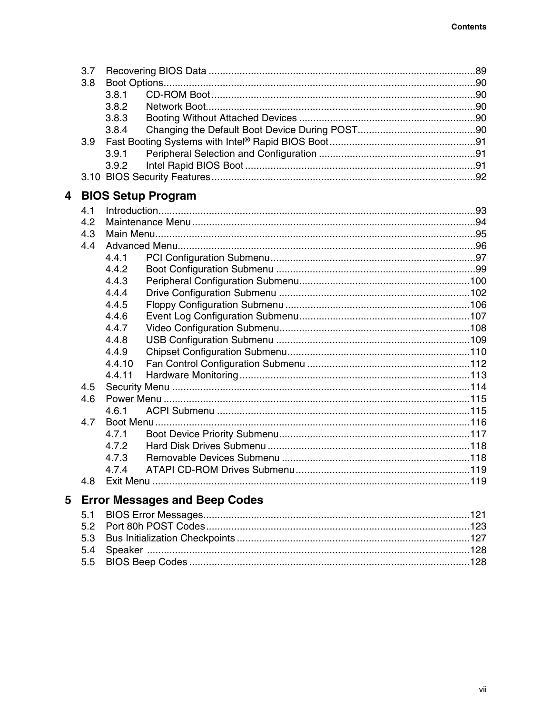|   | 3.7 |        |                                      |  |
|---|-----|--------|--------------------------------------|--|
|   | 3.8 |        |                                      |  |
|   |     | 3.8.1  |                                      |  |
|   |     | 3.8.2  |                                      |  |
|   |     | 3.8.3  |                                      |  |
|   |     | 3.8.4  |                                      |  |
|   | 3.9 |        |                                      |  |
|   |     | 3.9.1  |                                      |  |
|   |     | 3.9.2  |                                      |  |
|   |     |        |                                      |  |
| 4 |     |        | <b>BIOS Setup Program</b>            |  |
|   | 4.1 |        |                                      |  |
|   | 4.2 |        |                                      |  |
|   | 4.3 |        |                                      |  |
|   | 4.4 |        |                                      |  |
|   |     | 441    |                                      |  |
|   |     | 4.4.2  |                                      |  |
|   |     | 4.4.3  |                                      |  |
|   |     | 4.4.4  |                                      |  |
|   |     | 4.4.5  |                                      |  |
|   |     | 4.4.6  |                                      |  |
|   |     | 4.4.7  |                                      |  |
|   |     | 4.4.8  |                                      |  |
|   |     | 4.4.9  |                                      |  |
|   |     | 4.4.10 |                                      |  |
|   |     | 4.4.11 |                                      |  |
|   | 4.5 |        |                                      |  |
|   | 4.6 |        |                                      |  |
|   |     | 4.6.1  |                                      |  |
|   | 4.7 |        |                                      |  |
|   |     | 4.7.1  |                                      |  |
|   |     | 4.7.2  |                                      |  |
|   |     | 4.7.3  |                                      |  |
|   |     | 4.74   |                                      |  |
|   | 4.8 |        |                                      |  |
| 5 |     |        | <b>Error Messages and Beep Codes</b> |  |
|   |     |        |                                      |  |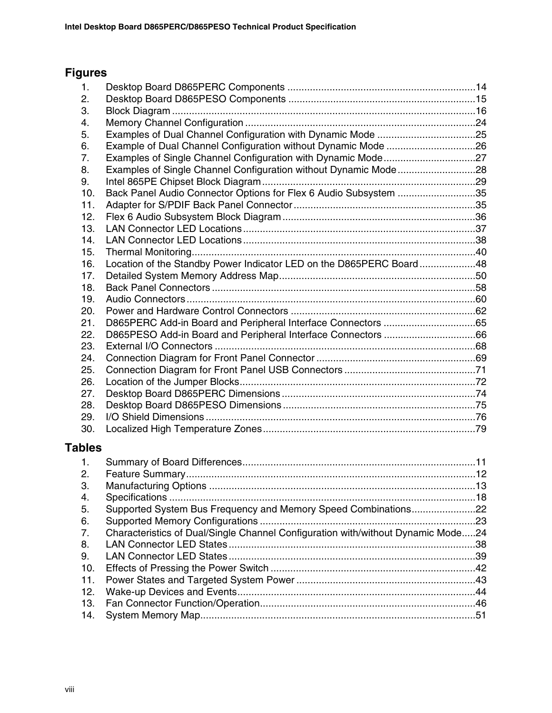#### **Figures**

| 1.            |                                                                     |  |
|---------------|---------------------------------------------------------------------|--|
| 2.            |                                                                     |  |
| 3.            |                                                                     |  |
| 4.            |                                                                     |  |
| 5.            |                                                                     |  |
| 6.            | Example of Dual Channel Configuration without Dynamic Mode 26       |  |
| 7.            | Examples of Single Channel Configuration with Dynamic Mode27        |  |
| 8.            | Examples of Single Channel Configuration without Dynamic Mode28     |  |
| 9.            |                                                                     |  |
| 10.           | Back Panel Audio Connector Options for Flex 6 Audio Subsystem 35    |  |
| 11.           |                                                                     |  |
| 12.           |                                                                     |  |
| 13.           |                                                                     |  |
| 14.           |                                                                     |  |
| 15.           |                                                                     |  |
| 16.           | Location of the Standby Power Indicator LED on the D865PERC Board48 |  |
| 17.           |                                                                     |  |
| 18.           |                                                                     |  |
| 19.           |                                                                     |  |
| 20.           |                                                                     |  |
| 21.           |                                                                     |  |
| 22.           |                                                                     |  |
| 23.           |                                                                     |  |
| 24.           |                                                                     |  |
| 25.           |                                                                     |  |
| 26.           |                                                                     |  |
| 27.           |                                                                     |  |
| 28.           |                                                                     |  |
| 29.           |                                                                     |  |
| 30.           |                                                                     |  |
| <b>Tables</b> |                                                                     |  |
| 1.            |                                                                     |  |
|               |                                                                     |  |

| -1. |                                                                                  |  |
|-----|----------------------------------------------------------------------------------|--|
| 2.  |                                                                                  |  |
| 3.  |                                                                                  |  |
| 4.  |                                                                                  |  |
| 5.  | Supported System Bus Frequency and Memory Speed Combinations22                   |  |
| 6.  |                                                                                  |  |
| 7.  | Characteristics of Dual/Single Channel Configuration with/without Dynamic Mode24 |  |
| 8.  |                                                                                  |  |
| 9.  |                                                                                  |  |
| 10. |                                                                                  |  |
| 11. |                                                                                  |  |
| 12. |                                                                                  |  |
| 13. |                                                                                  |  |
| 14. |                                                                                  |  |
|     |                                                                                  |  |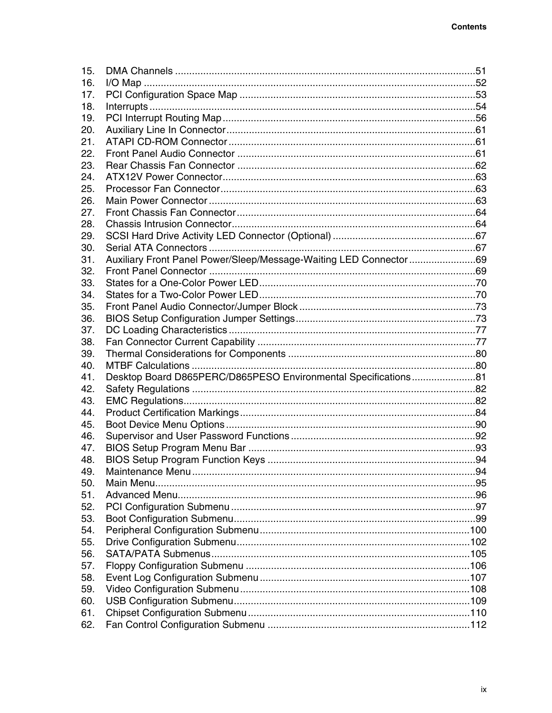| 15.        |                                                                    |  |
|------------|--------------------------------------------------------------------|--|
| 16.        |                                                                    |  |
| 17.        |                                                                    |  |
| 18.        |                                                                    |  |
| 19.        |                                                                    |  |
| 20.        |                                                                    |  |
| 21.        |                                                                    |  |
| 22.        |                                                                    |  |
| 23.        |                                                                    |  |
| 24.        |                                                                    |  |
| 25.        |                                                                    |  |
| 26.        |                                                                    |  |
| 27.        |                                                                    |  |
| 28.        |                                                                    |  |
| 29.        |                                                                    |  |
| 30.        |                                                                    |  |
| 31.        | Auxiliary Front Panel Power/Sleep/Message-Waiting LED Connector 69 |  |
| 32.        |                                                                    |  |
| 33.        |                                                                    |  |
| 34.        |                                                                    |  |
| 35.        |                                                                    |  |
| 36.        |                                                                    |  |
| 37.        |                                                                    |  |
| 38.        |                                                                    |  |
| 39.        |                                                                    |  |
| 40.        |                                                                    |  |
| 41.        | Desktop Board D865PERC/D865PESO Environmental Specifications81     |  |
| 42.        |                                                                    |  |
| 43.        |                                                                    |  |
| 44.        |                                                                    |  |
| 45.        |                                                                    |  |
| 46.        |                                                                    |  |
|            |                                                                    |  |
| 47.        |                                                                    |  |
| 48.        |                                                                    |  |
| 49.        |                                                                    |  |
| 50.<br>51. |                                                                    |  |
| 52.        |                                                                    |  |
| 53.        |                                                                    |  |
|            |                                                                    |  |
| 54.        |                                                                    |  |
| 55.        |                                                                    |  |
| 56.        |                                                                    |  |
| 57.        |                                                                    |  |
| 58.        |                                                                    |  |
| 59.        |                                                                    |  |
| 60.        |                                                                    |  |
| 61.        |                                                                    |  |
| 62.        |                                                                    |  |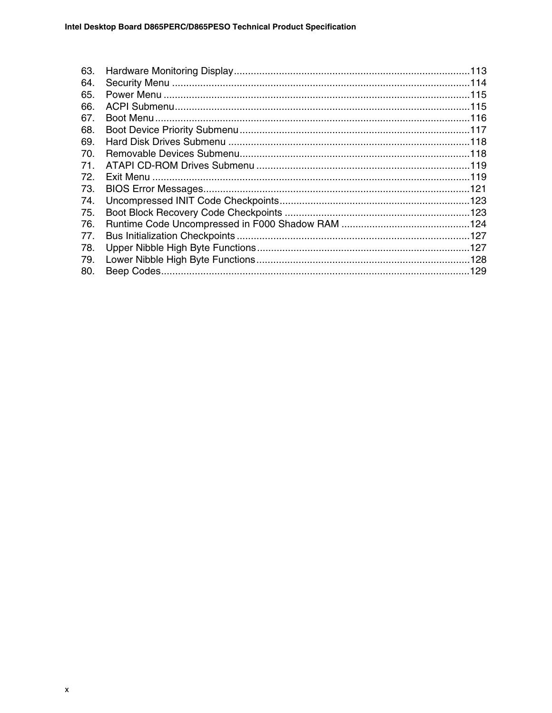| 63. |  |
|-----|--|
| 64. |  |
| 65. |  |
| 66. |  |
| 67. |  |
| 68. |  |
| 69. |  |
| 70. |  |
| 71. |  |
| 72. |  |
| 73. |  |
| 74. |  |
| 75. |  |
| 76. |  |
| 77. |  |
| 78. |  |
| 79. |  |
| 80. |  |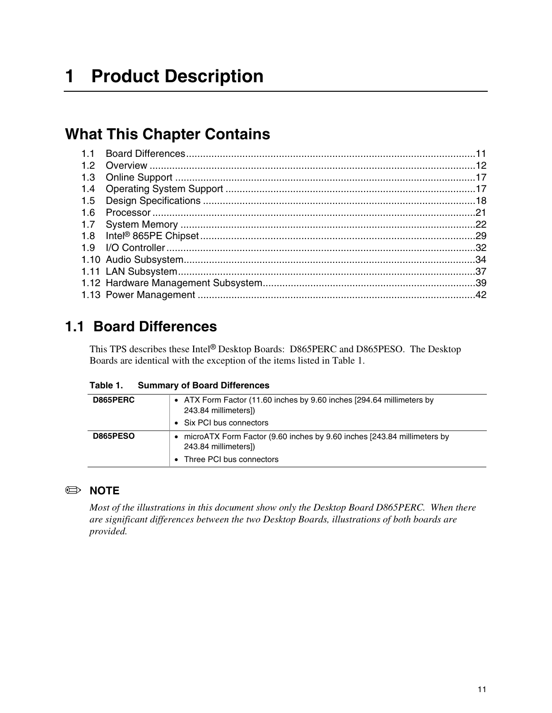## <span id="page-10-0"></span>**1 Product Description**

### **What This Chapter Contains**

| 1.2 |  |
|-----|--|
| 1.3 |  |
| 1.4 |  |
| 1.5 |  |
| 1.6 |  |
|     |  |
| 1.8 |  |
| 1.9 |  |
|     |  |
|     |  |
|     |  |
|     |  |
|     |  |

### **1.1 Board Differences**

This TPS describes these Intel® Desktop Boards: D865PERC and D865PESO. The Desktop Boards are identical with the exception of the items listed in Table 1.

| Table 1. | <b>Summary of Board Differences</b> |  |
|----------|-------------------------------------|--|
|----------|-------------------------------------|--|

| D865PERC | • ATX Form Factor (11.60 inches by 9.60 inches [294.64 millimeters by<br>243.84 millimeters])<br>• Six PCI bus connectors   |
|----------|-----------------------------------------------------------------------------------------------------------------------------|
| D865PESO | microATX Form Factor (9.60 inches by 9.60 inches [243.84 millimeters by<br>243.84 millimeters])<br>Three PCI bus connectors |

#### ✏ **NOTE**

*Most of the illustrations in this document show only the Desktop Board D865PERC. When there are significant differences between the two Desktop Boards, illustrations of both boards are provided.*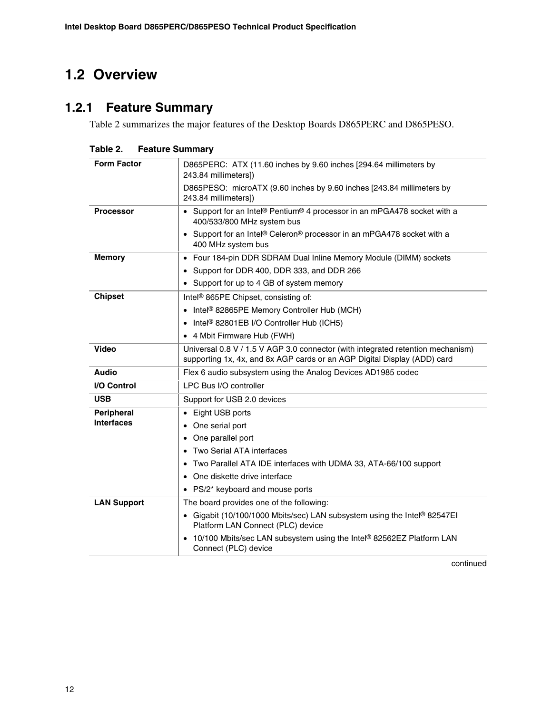### <span id="page-11-0"></span>**1.2 Overview**

#### **1.2.1 Feature Summary**

Table 2 summarizes the major features of the Desktop Boards D865PERC and D865PESO.

| <b>Form Factor</b> | D865PERC: ATX (11.60 inches by 9.60 inches [294.64 millimeters by<br>243.84 millimeters])                                                                   |  |  |
|--------------------|-------------------------------------------------------------------------------------------------------------------------------------------------------------|--|--|
|                    | D865PESO: microATX (9.60 inches by 9.60 inches [243.84 millimeters by<br>243.84 millimeters])                                                               |  |  |
| <b>Processor</b>   | • Support for an Intel <sup>®</sup> Pentium <sup>®</sup> 4 processor in an mPGA478 socket with a<br>400/533/800 MHz system bus                              |  |  |
|                    | • Support for an Intel® Celeron® processor in an mPGA478 socket with a<br>400 MHz system bus                                                                |  |  |
| <b>Memory</b>      | • Four 184-pin DDR SDRAM Dual Inline Memory Module (DIMM) sockets                                                                                           |  |  |
|                    | • Support for DDR 400, DDR 333, and DDR 266                                                                                                                 |  |  |
|                    | • Support for up to 4 GB of system memory                                                                                                                   |  |  |
| <b>Chipset</b>     | Intel <sup>®</sup> 865PE Chipset, consisting of:                                                                                                            |  |  |
|                    | • Intel <sup>®</sup> 82865PE Memory Controller Hub (MCH)                                                                                                    |  |  |
|                    | • Intel <sup>®</sup> 82801EB I/O Controller Hub (ICH5)                                                                                                      |  |  |
|                    | • 4 Mbit Firmware Hub (FWH)                                                                                                                                 |  |  |
| <b>Video</b>       | Universal 0.8 V / 1.5 V AGP 3.0 connector (with integrated retention mechanism)<br>supporting 1x, 4x, and 8x AGP cards or an AGP Digital Display (ADD) card |  |  |
| <b>Audio</b>       | Flex 6 audio subsystem using the Analog Devices AD1985 codec                                                                                                |  |  |
| I/O Control        | LPC Bus I/O controller                                                                                                                                      |  |  |
| <b>USB</b>         | Support for USB 2.0 devices                                                                                                                                 |  |  |
| <b>Peripheral</b>  | • Eight USB ports                                                                                                                                           |  |  |
| <b>Interfaces</b>  | • One serial port                                                                                                                                           |  |  |
|                    | One parallel port                                                                                                                                           |  |  |
|                    | • Two Serial ATA interfaces                                                                                                                                 |  |  |
|                    | Two Parallel ATA IDE interfaces with UDMA 33, ATA-66/100 support                                                                                            |  |  |
|                    | • One diskette drive interface                                                                                                                              |  |  |
|                    | • PS/2* keyboard and mouse ports                                                                                                                            |  |  |
| <b>LAN Support</b> | The board provides one of the following:                                                                                                                    |  |  |
|                    | • Gigabit (10/100/1000 Mbits/sec) LAN subsystem using the Intel® 82547EI<br>Platform LAN Connect (PLC) device                                               |  |  |
|                    | • 10/100 Mbits/sec LAN subsystem using the Intel® 82562EZ Platform LAN<br>Connect (PLC) device                                                              |  |  |

**Table 2. Feature Summary** 

continued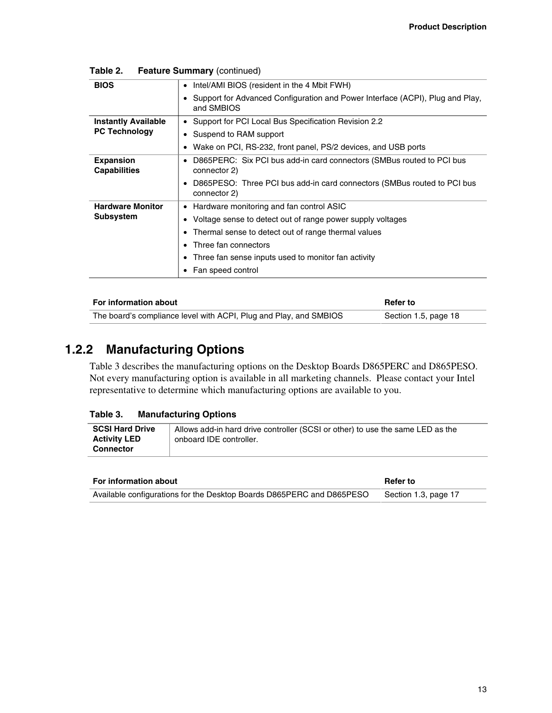| <b>BIOS</b>                             | Intel/AMI BIOS (resident in the 4 Mbit FWH)                                                 |
|-----------------------------------------|---------------------------------------------------------------------------------------------|
|                                         | Support for Advanced Configuration and Power Interface (ACPI), Plug and Play,<br>and SMBIOS |
| <b>Instantly Available</b>              | Support for PCI Local Bus Specification Revision 2.2                                        |
| <b>PC Technology</b>                    | Suspend to RAM support                                                                      |
|                                         | Wake on PCI, RS-232, front panel, PS/2 devices, and USB ports                               |
| <b>Expansion</b><br><b>Capabilities</b> | D865PERC: Six PCI bus add-in card connectors (SMBus routed to PCI bus<br>connector 2)       |
|                                         | D865PESO: Three PCI bus add-in card connectors (SMBus routed to PCI bus<br>connector 2)     |
| <b>Hardware Monitor</b>                 | • Hardware monitoring and fan control ASIC                                                  |
| <b>Subsystem</b>                        | Voltage sense to detect out of range power supply voltages                                  |
|                                         | Thermal sense to detect out of range thermal values                                         |
|                                         | Three fan connectors                                                                        |
|                                         | Three fan sense inputs used to monitor fan activity                                         |
|                                         | Fan speed control                                                                           |
|                                         |                                                                                             |

<span id="page-12-0"></span>**Table 2. Feature Summary** (continued)

| For information about                                             | <b>Refer to</b>      |
|-------------------------------------------------------------------|----------------------|
| The board's compliance level with ACPI, Plug and Play, and SMBIOS | Section 1.5, page 18 |

### **1.2.2 Manufacturing Options**

Table 3 describes the manufacturing options on the Desktop Boards D865PERC and D865PESO. Not every manufacturing option is available in all marketing channels. Please contact your Intel representative to determine which manufacturing options are available to you.

#### **Table 3. Manufacturing Options**

| <b>SCSI Hard Drive</b> | Allows add-in hard drive controller (SCSI or other) to use the same LED as the |
|------------------------|--------------------------------------------------------------------------------|
| <b>Activity LED</b>    | onboard IDE controller.                                                        |
| <b>Connector</b>       |                                                                                |

| For information about                                                 | <b>Refer to</b>      |
|-----------------------------------------------------------------------|----------------------|
| Available configurations for the Desktop Boards D865PERC and D865PESO | Section 1.3, page 17 |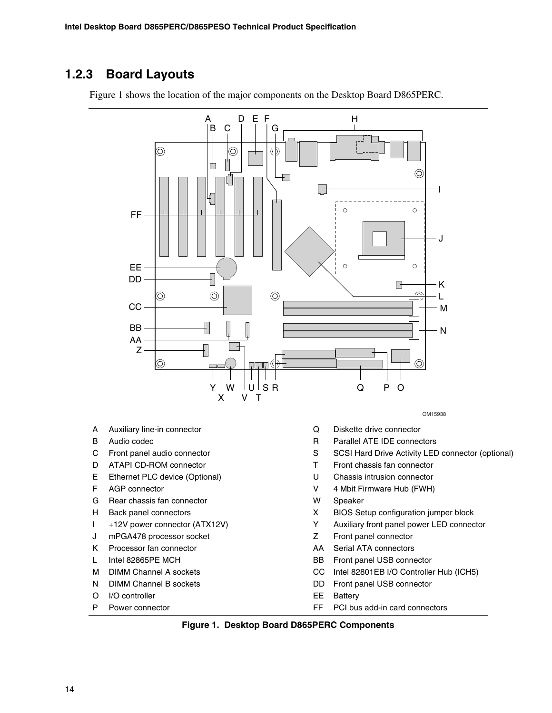#### <span id="page-13-0"></span>**1.2.3 Board Layouts**



Figure 1 shows the location of the major components on the Desktop Board D865PERC.

- A Auxiliary line-in connector Q Diskette drive connector
- 
- 
- 
- E Ethernet PLC device (Optional) U Chassis intrusion connector
- 
- G Rear chassis fan connector W Speaker
- 
- 
- J mPGA478 processor socket Z Front panel connector
- K Processor fan connector **AA Serial ATA connectors**
- 
- 
- 
- O I/O controller CO CONTEXT CONTEXT CONTEXT CONTEXT CONTEXT CONTEXT CONTEXT CONTEXT CONTEXT CONTEXT CONTEXT CONTEXT CONTEXT CONTEXT CONTEXT CONTEXT CONTEXT CONTEXT CONTEXT CONTEXT CONTEXT CONTEXT CONTEXT CONTEXT CONTEXT CO
- 
- 
- 
- B Audio codec **R** Parallel ATE IDE connectors
- C Front panel audio connector S SCSI Hard Drive Activity LED connector (optional)
- D ATAPI CD-ROM connector T Front chassis fan connector
	-
- F AGP connector  $V = 4$  Mbit Firmware Hub (FWH)
	-
- H Back panel connectors X BIOS Setup configuration jumper block
- I +12V power connector (ATX12V) Y Auxiliary front panel power LED connector
	-
	-
- L Intel 82865PE MCH BB Front panel USB connector
- M DIMM Channel A sockets CC Intel 82801EB I/O Controller Hub (ICH5)
- N DIMM Channel B sockets **DD** Front panel USB connector
	-
- P Power connector **P** POI bus add-in card connectors

**Figure 1. Desktop Board D865PERC Components**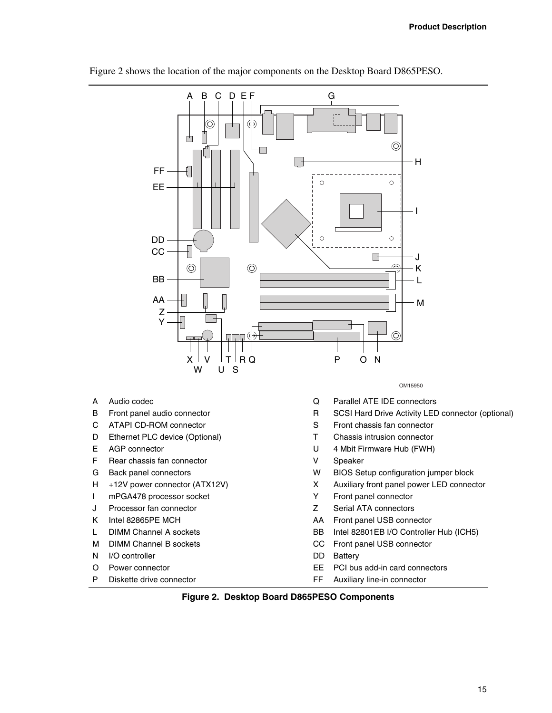

<span id="page-14-0"></span>Figure 2 shows the location of the major components on the Desktop Board D865PESO.

- 
- 
- C ATAPI CD-ROM connector S Front chassis fan connector
- 
- 
- F Rear chassis fan connector V Speaker
- 
- 
- I mPGA478 processor socket Y Front panel connector
- 
- 
- 
- 
- N I/O controller controller controller controller controller controller controller controller controller controller
- 
- 

OM15950

- A Audio codec Q Parallel ATE IDE connectors
- B Front panel audio connector **R** SCSI Hard Drive Activity LED connector (optional)
	-
- D Ethernet PLC device (Optional) T Chassis intrusion connector
- E AGP connector U 4 Mbit Firmware Hub (FWH)
	-
- G Back panel connectors W BIOS Setup configuration jumper block
- H +12V power connector (ATX12V) X Auxiliary front panel power LED connector
	-
- J Processor fan connector <br>
Z Serial ATA connector
- K Intel 82865PE MCH **A**A Front panel USB connector
- L DIMM Channel A sockets BB Intel 82801EB I/O Controller Hub (ICH5)
- M DIMM Channel B sockets CC Front panel USB connector
	-
- O Power connector EE PCI bus add-in card connectors
- P Diskette drive connector **FF** Auxiliary line-in connector

**Figure 2. Desktop Board D865PESO Components**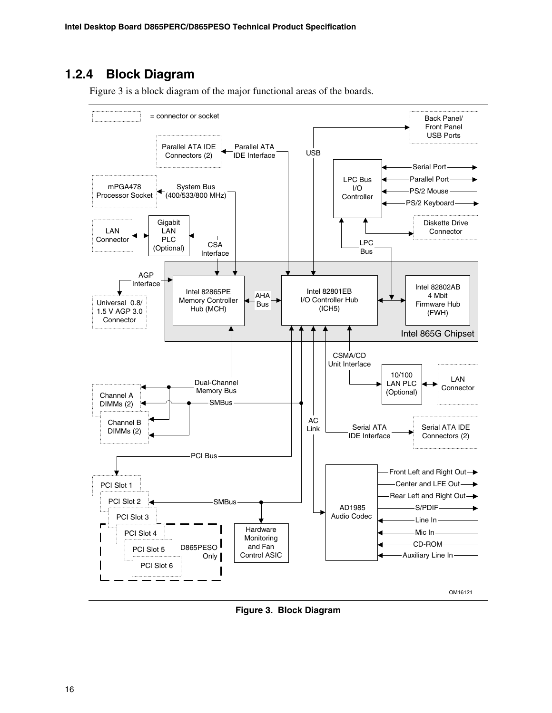#### <span id="page-15-0"></span>**1.2.4 Block Diagram**

Figure 3 is a block diagram of the major functional areas of the boards.



**Figure 3. Block Diagram**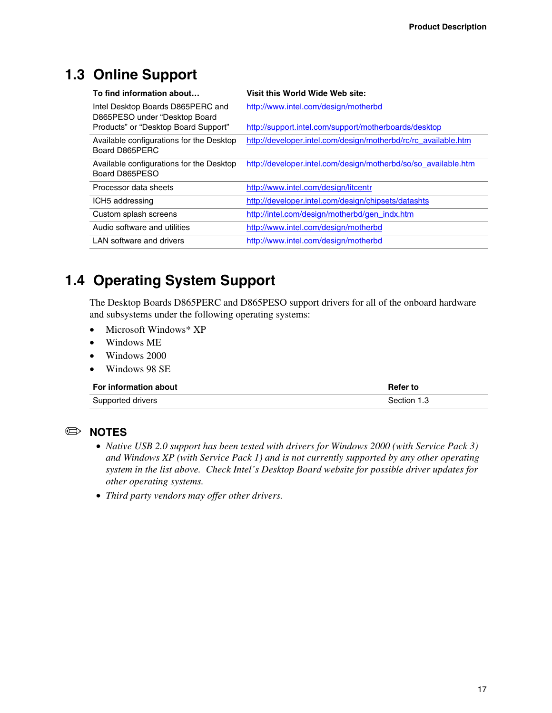### <span id="page-16-0"></span>**1.3 Online Support**

| To find information about                                          | Visit this World Wide Web site:                                |
|--------------------------------------------------------------------|----------------------------------------------------------------|
| Intel Desktop Boards D865PERC and<br>D865PESO under "Desktop Board | http://www.intel.com/design/motherbd                           |
| Products" or "Desktop Board Support"                               | http://support.intel.com/support/motherboards/desktop          |
| Available configurations for the Desktop<br>Board D865PERC         | http://developer.intel.com/design/motherbd/rc/rc_available.htm |
| Available configurations for the Desktop<br>Board D865PESO         | http://developer.intel.com/design/motherbd/so/so_available.htm |
| Processor data sheets                                              | http://www.intel.com/design/litcentr                           |
| ICH5 addressing                                                    | http://developer.intel.com/design/chipsets/datashts            |
| Custom splash screens                                              | http://intel.com/design/motherbd/gen_indx.htm                  |
| Audio software and utilities                                       | http://www.intel.com/design/motherbd                           |
| LAN software and drivers                                           | http://www.intel.com/design/motherbd                           |

### **1.4 Operating System Support**

The Desktop Boards D865PERC and D865PESO support drivers for all of the onboard hardware and subsystems under the following operating systems:

- Microsoft Windows\* XP
- Windows ME
- Windows 2000
- Windows 98 SE

| <b>For information about</b> | Refer to    |
|------------------------------|-------------|
| Supported drivers            | Section 1.3 |



- *Native USB 2.0 support has been tested with drivers for Windows 2000 (with Service Pack 3) and Windows XP (with Service Pack 1) and is not currently supported by any other operating system in the list above. Check Intel's Desktop Board website for possible driver updates for other operating systems.*
- *Third party vendors may offer other drivers.*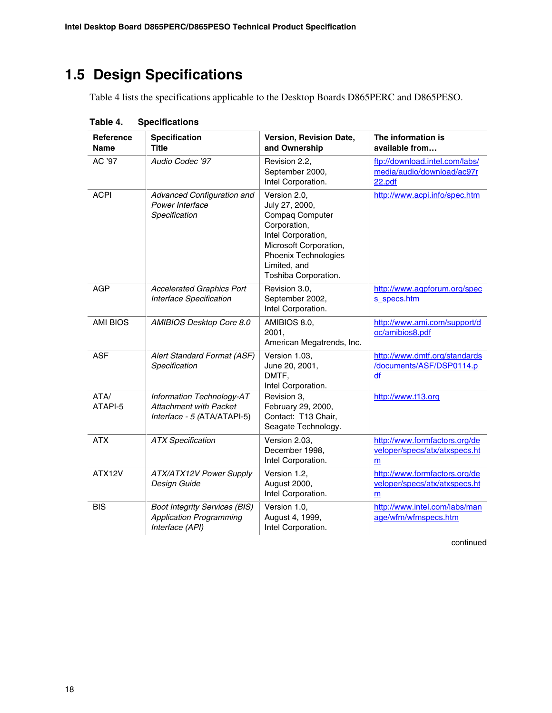### <span id="page-17-0"></span>**1.5 Design Specifications**

Table 4 lists the specifications applicable to the Desktop Boards D865PERC and D865PESO.

| Reference<br>Name | <b>Specification</b><br><b>Title</b>                                                      | Version, Revision Date,<br>and Ownership                                                                                                                                          | The information is<br>available from                                   |
|-------------------|-------------------------------------------------------------------------------------------|-----------------------------------------------------------------------------------------------------------------------------------------------------------------------------------|------------------------------------------------------------------------|
| AC '97            | Audio Codec '97                                                                           | Revision 2.2,<br>September 2000,<br>Intel Corporation.                                                                                                                            | ftp://download.intel.com/labs/<br>media/audio/download/ac97r<br>22.pdf |
| <b>ACPI</b>       | Advanced Configuration and<br>Power Interface<br>Specification                            | Version 2.0,<br>July 27, 2000,<br>Compaq Computer<br>Corporation,<br>Intel Corporation,<br>Microsoft Corporation,<br>Phoenix Technologies<br>Limited, and<br>Toshiba Corporation. | http://www.acpi.info/spec.htm                                          |
| <b>AGP</b>        | <b>Accelerated Graphics Port</b><br>Interface Specification                               | Revision 3.0,<br>September 2002,<br>Intel Corporation.                                                                                                                            | http://www.agpforum.org/spec<br>s specs.htm                            |
| <b>AMI BIOS</b>   | AMIBIOS Desktop Core 8.0                                                                  | AMIBIOS 8.0,<br>2001,<br>American Megatrends, Inc.                                                                                                                                | http://www.ami.com/support/d<br>oc/amibios8.pdf                        |
| <b>ASF</b>        | Alert Standard Format (ASF)<br>Specification                                              | Version 1.03,<br>June 20, 2001,<br>DMTF,<br>Intel Corporation.                                                                                                                    | http://www.dmtf.org/standards<br>/documents/ASF/DSP0114.p<br>df        |
| ATA/<br>ATAPI-5   | Information Technology-AT<br><b>Attachment with Packet</b><br>Interface - 5 (ATA/ATAPI-5) | Revision 3,<br>February 29, 2000,<br>Contact: T13 Chair,<br>Seagate Technology.                                                                                                   | http://www.t13.org                                                     |
| <b>ATX</b>        | <b>ATX Specification</b>                                                                  | Version 2.03,<br>December 1998,<br>Intel Corporation.                                                                                                                             | http://www.formfactors.org/de<br>veloper/specs/atx/atxspecs.ht<br>m    |
| ATX12V            | ATX/ATX12V Power Supply<br>Design Guide                                                   | Version 1.2,<br>August 2000,<br>Intel Corporation.                                                                                                                                | http://www.formfactors.org/de<br>veloper/specs/atx/atxspecs.ht<br>m    |
| <b>BIS</b>        | <b>Boot Integrity Services (BIS)</b><br><b>Application Programming</b><br>Interface (API) | Version 1.0,<br>August 4, 1999,<br>Intel Corporation.                                                                                                                             | http://www.intel.com/labs/man<br>age/wfm/wfmspecs.htm                  |

**Table 4. Specifications** 

continued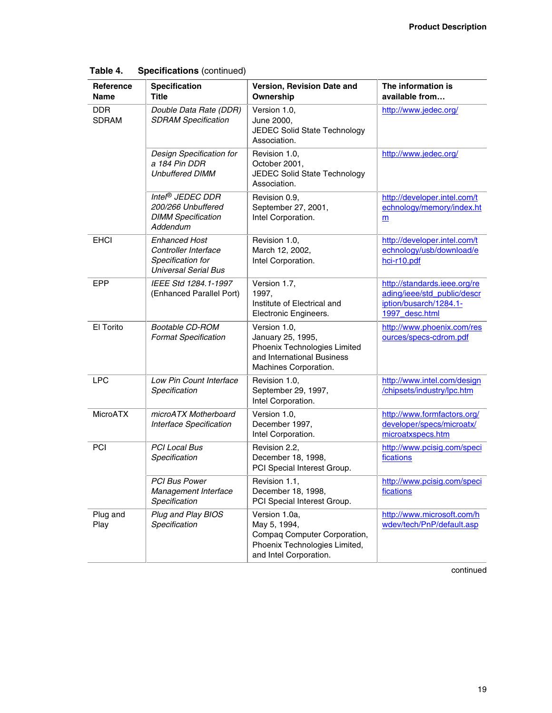| Reference<br>Name          | <b>Specification</b><br><b>Title</b>                                                             | Version, Revision Date and<br>Ownership                                                                                  | The information is<br>available from                                                                    |
|----------------------------|--------------------------------------------------------------------------------------------------|--------------------------------------------------------------------------------------------------------------------------|---------------------------------------------------------------------------------------------------------|
| <b>DDR</b><br><b>SDRAM</b> | Double Data Rate (DDR)<br><b>SDRAM Specification</b>                                             | Version 1.0,<br>June 2000,<br>JEDEC Solid State Technology<br>Association.                                               | http://www.jedec.org/                                                                                   |
|                            | Design Specification for<br>a 184 Pin DDR<br><b>Unbuffered DIMM</b>                              | Revision 1.0,<br>October 2001,<br><b>JEDEC Solid State Technology</b><br>Association.                                    | http://www.jedec.org/                                                                                   |
|                            | Intel <sup>®</sup> JEDEC DDR<br>200/266 Unbuffered<br><b>DIMM Specification</b><br>Addendum      | Revision 0.9,<br>September 27, 2001,<br>Intel Corporation.                                                               | http://developer.intel.com/t<br>echnology/memory/index.ht<br>m                                          |
| <b>EHCI</b>                | <b>Enhanced Host</b><br>Controller Interface<br>Specification for<br><b>Universal Serial Bus</b> | Revision 1.0,<br>March 12, 2002,<br>Intel Corporation.                                                                   | http://developer.intel.com/t<br>echnology/usb/download/e<br>hci-r10.pdf                                 |
| <b>EPP</b>                 | IEEE Std 1284.1-1997<br>(Enhanced Parallel Port)                                                 | Version 1.7,<br>1997,<br>Institute of Electrical and<br>Electronic Engineers.                                            | http://standards.ieee.org/re<br>ading/ieee/std_public/descr<br>iption/busarch/1284.1-<br>1997_desc.html |
| El Torito                  | <b>Bootable CD-ROM</b><br><b>Format Specification</b>                                            | Version 1.0,<br>January 25, 1995,<br>Phoenix Technologies Limited<br>and International Business<br>Machines Corporation. | http://www.phoenix.com/res<br>ources/specs-cdrom.pdf                                                    |
| <b>LPC</b>                 | Low Pin Count Interface<br>Specification                                                         | Revision 1.0,<br>September 29, 1997,<br>Intel Corporation.                                                               | http://www.intel.com/design<br>/chipsets/industry/lpc.htm                                               |
| <b>MicroATX</b>            | microATX Motherboard<br>Interface Specification                                                  | Version 1.0,<br>December 1997,<br>Intel Corporation.                                                                     | http://www.formfactors.org/<br>developer/specs/microatx/<br>microatxspecs.htm                           |
| PCI                        | <b>PCI Local Bus</b><br>Specification                                                            | Revision 2.2,<br>December 18, 1998,<br>PCI Special Interest Group.                                                       | http://www.pcisig.com/speci<br>fications                                                                |
|                            | PCI Bus Power<br>Management Interface<br>Specification                                           | Revision 1.1,<br>December 18, 1998,<br>PCI Special Interest Group.                                                       | http://www.pcisig.com/speci<br>fications                                                                |
| Plug and<br>Play           | Plug and Play BIOS<br>Specification                                                              | Version 1.0a,<br>May 5, 1994,<br>Compaq Computer Corporation,<br>Phoenix Technologies Limited,<br>and Intel Corporation. | http://www.microsoft.com/h<br>wdev/tech/PnP/default.asp                                                 |

**Table 4. Specifications** (continued)

continued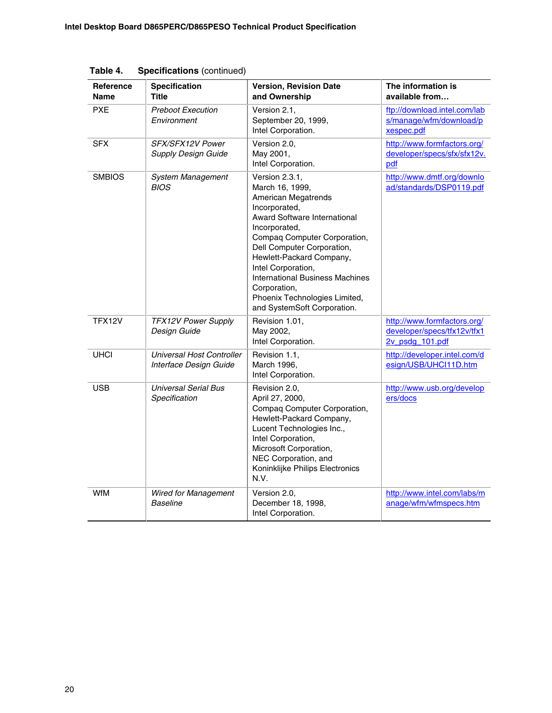| Reference<br>Name | Specification<br><b>Title</b>                              | <b>Version, Revision Date</b><br>and Ownership                                                                                                                                                                                                                                                                                                                              | The information is<br>available from                                          |
|-------------------|------------------------------------------------------------|-----------------------------------------------------------------------------------------------------------------------------------------------------------------------------------------------------------------------------------------------------------------------------------------------------------------------------------------------------------------------------|-------------------------------------------------------------------------------|
| <b>PXE</b>        | <b>Preboot Execution</b><br>Environment                    | Version 2.1,<br>September 20, 1999,<br>Intel Corporation.                                                                                                                                                                                                                                                                                                                   | ftp://download.intel.com/lab<br>s/manage/wfm/download/p<br>xespec.pdf         |
| <b>SFX</b>        | SFX/SFX12V Power<br><b>Supply Design Guide</b>             | Version 2.0,<br>May 2001,<br>Intel Corporation.                                                                                                                                                                                                                                                                                                                             | http://www.formfactors.org/<br>developer/specs/sfx/sfx12v.<br>pdf             |
| <b>SMBIOS</b>     | <b>System Management</b><br><b>BIOS</b>                    | Version 2.3.1,<br>March 16, 1999,<br>American Megatrends<br>Incorporated,<br><b>Award Software International</b><br>Incorporated,<br>Compaq Computer Corporation,<br>Dell Computer Corporation,<br>Hewlett-Packard Company,<br>Intel Corporation,<br><b>International Business Machines</b><br>Corporation,<br>Phoenix Technologies Limited,<br>and SystemSoft Corporation. | http://www.dmtf.org/downlo<br>ad/standards/DSP0119.pdf                        |
| <b>TFX12V</b>     | TFX12V Power Supply<br>Design Guide                        | Revision 1.01,<br>May 2002,<br>Intel Corporation.                                                                                                                                                                                                                                                                                                                           | http://www.formfactors.org/<br>developer/specs/tfx12v/tfx1<br>2v psdg_101.pdf |
| <b>UHCI</b>       | <b>Universal Host Controller</b><br>Interface Design Guide | Revision 1.1,<br>March 1996,<br>Intel Corporation.                                                                                                                                                                                                                                                                                                                          | http://developer.intel.com/d<br>esign/USB/UHCl11D.htm                         |
| <b>USB</b>        | <b>Universal Serial Bus</b><br>Specification               | Revision 2.0,<br>April 27, 2000,<br>Compaq Computer Corporation,<br>Hewlett-Packard Company,<br>Lucent Technologies Inc.,<br>Intel Corporation,<br>Microsoft Corporation,<br>NEC Corporation, and<br>Koninklijke Philips Electronics<br>N.V.                                                                                                                                | http://www.usb.org/develop<br>ers/docs                                        |
| <b>WfM</b>        | Wired for Management<br>Baseline                           | Version 2.0,<br>December 18, 1998,<br>Intel Corporation.                                                                                                                                                                                                                                                                                                                    | http://www.intel.com/labs/m<br>anage/wfm/wfmspecs.htm                         |

<span id="page-19-0"></span>**Table 4. Specifications** (continued)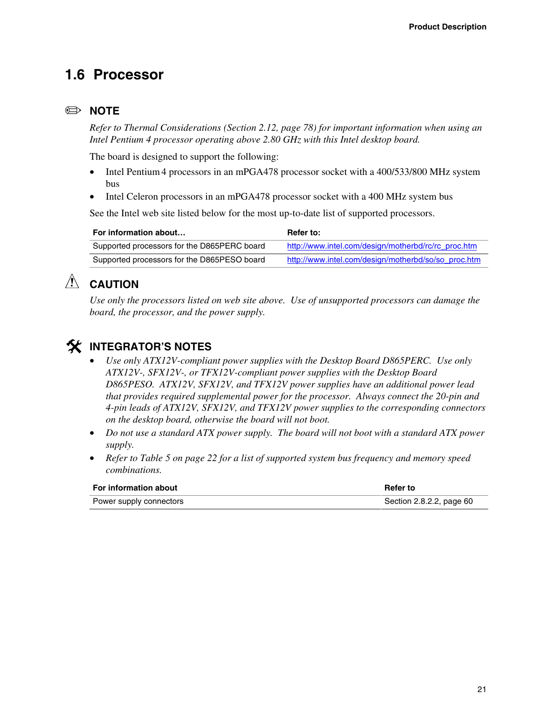### <span id="page-20-0"></span>**1.6 Processor**

#### ✏ **NOTE**

*Refer to [Thermal Considerations](#page-77-0) (Section [2.12,](#page-77-0) page [78\)](#page-77-0) for important information when using an Intel Pentium 4 processor operating above 2.80 GHz with this Intel desktop board.* 

The board is designed to support the following:

- Intel Pentium 4 processors in an mPGA478 processor socket with a 400/533/800 MHz system bus
- Intel Celeron processors in an mPGA478 processor socket with a 400 MHz system bus

See the Intel web site listed below for the most up-to-date list of supported processors.

| For information about                       | <b>Refer to:</b>                                    |
|---------------------------------------------|-----------------------------------------------------|
| Supported processors for the D865PERC board | http://www.intel.com/design/motherbd/rc/rc_proc.htm |
| Supported processors for the D865PESO board | http://www.intel.com/design/motherbd/so/so_proc.htm |

### $\hat{I}$  **CAUTION**

*Use only the processors listed on web site above. Use of unsupported processors can damage the board, the processor, and the power supply.* 

#### **X** INTEGRATOR'S NOTES

- *Use only ATX12V-compliant power supplies with the Desktop Board D865PERC. Use only ATX12V-, SFX12V-, or TFX12V-compliant power supplies with the Desktop Board D865PESO. ATX12V, SFX12V, and TFX12V power supplies have an additional power lead that provides required supplemental power for the processor. Always connect the 20-pin and 4-pin leads of ATX12V, SFX12V, and TFX12V power supplies to the corresponding connectors on the desktop board, otherwise the board will not boot.*
- *Do not use a standard ATX power supply. The board will not boot with a standard ATX power supply.*
- *Refer to [Table 5](#page-21-0) on page [22](#page-21-0) for a list of supported system bus frequency and memory speed combinations.*

| <b>For information about</b> | <b>Refer to</b>          |
|------------------------------|--------------------------|
| Power supply connectors      | Section 2.8.2.2, page 60 |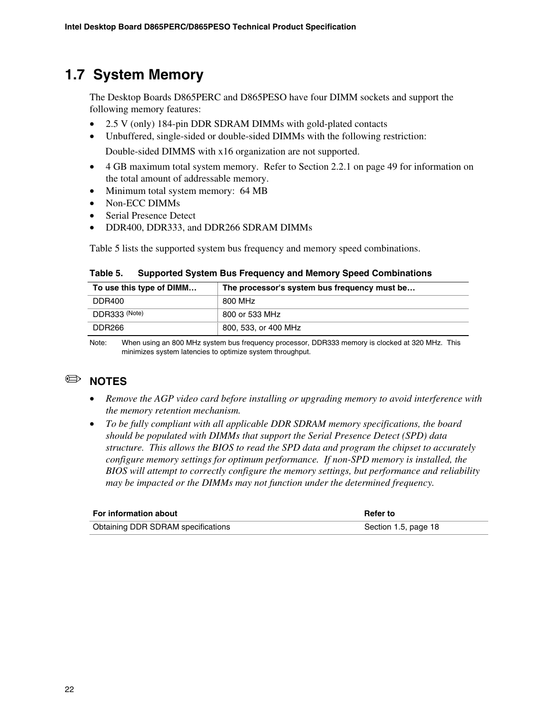### <span id="page-21-0"></span>**1.7 System Memory**

The Desktop Boards D865PERC and D865PESO have four DIMM sockets and support the following memory features:

- 2.5 V (only) 184-pin DDR SDRAM DIMMs with gold-plated contacts
- Unbuffered, single-sided or double-sided DIMMs with the following restriction: Double-sided DIMMS with x16 organization are not supported.
- 4 GB maximum total system memory. Refer to Section [2.2.1](#page-48-0) on page [49](#page-48-0) for information on the total amount of addressable memory.
- Minimum total system memory: 64 MB
- Non-ECC DIMMs
- Serial Presence Detect
- DDR400, DDR333, and DDR266 SDRAM DIMMs

Table 5 lists the supported system bus frequency and memory speed combinations.

| Table 5. | <b>Supported System Bus Frequency and Memory Speed Combinations</b> |  |  |
|----------|---------------------------------------------------------------------|--|--|
|----------|---------------------------------------------------------------------|--|--|

| To use this type of DIMM | The processor's system bus frequency must be |
|--------------------------|----------------------------------------------|
| DDR400                   | 800 MHz                                      |
| DDR333 (Note)            | 800 or 533 MHz                               |
| DDR266                   | 800, 533, or 400 MHz                         |

Note: When using an 800 MHz system bus frequency processor, DDR333 memory is clocked at 320 MHz. This minimizes system latencies to optimize system throughput.

### ✏ **NOTES**

- *Remove the AGP video card before installing or upgrading memory to avoid interference with the memory retention mechanism.*
- *To be fully compliant with all applicable DDR SDRAM memory specifications, the board should be populated with DIMMs that support the Serial Presence Detect (SPD) data structure. This allows the BIOS to read the SPD data and program the chipset to accurately configure memory settings for optimum performance. If non-SPD memory is installed, the BIOS will attempt to correctly configure the memory settings, but performance and reliability may be impacted or the DIMMs may not function under the determined frequency.*

| <b>For information about</b>       | Refer to             |
|------------------------------------|----------------------|
| Obtaining DDR SDRAM specifications | Section 1.5, page 18 |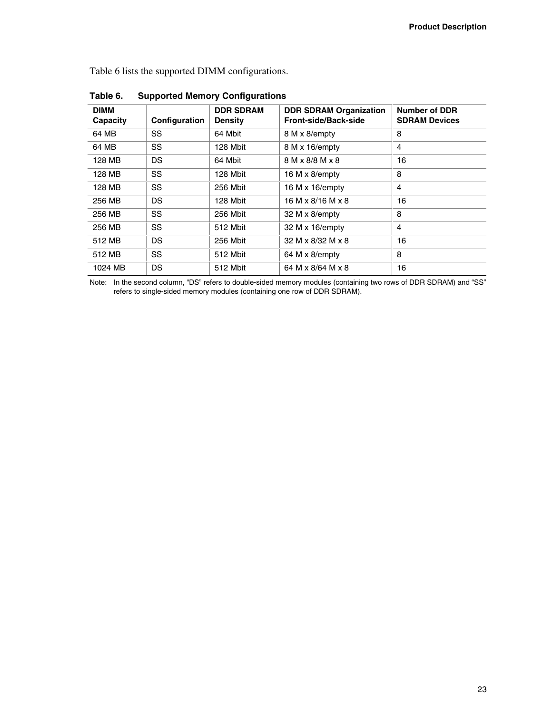<span id="page-22-0"></span>Table 6 lists the supported DIMM configurations.

| <b>DIMM</b><br>Capacity | Configuration | <b>DDR SDRAM</b><br><b>Density</b> | <b>DDR SDRAM Organization</b><br><b>Front-side/Back-side</b> | <b>Number of DDR</b><br><b>SDRAM Devices</b> |
|-------------------------|---------------|------------------------------------|--------------------------------------------------------------|----------------------------------------------|
| 64 MB                   | SS            | 64 Mbit                            | 8 M x 8/empty                                                | 8                                            |
| 64 MB                   | <b>SS</b>     | 128 Mbit                           | 8 M x 16/empty                                               | $\overline{4}$                               |
| 128 MB                  | <b>DS</b>     | 64 Mbit                            | $8$ M x $8/8$ M x $8$                                        | 16                                           |
| 128 MB                  | <b>SS</b>     | 128 Mbit                           | 16 M x 8/empty                                               | 8                                            |
| 128 MB                  | <b>SS</b>     | 256 Mbit                           | 16 M $\times$ 16/empty                                       | 4                                            |
| 256 MB                  | <b>DS</b>     | 128 Mbit                           | $16$ M x 8/16 M x 8                                          | 16                                           |
| 256 MB                  | <b>SS</b>     | 256 Mbit                           | 32 M x 8/empty                                               | 8                                            |
| 256 MB                  | <b>SS</b>     | 512 Mbit                           | 32 M x 16/empty                                              | $\overline{4}$                               |
| 512 MB                  | DS            | 256 Mbit                           | 32 M x 8/32 M x 8                                            | 16                                           |
| 512 MB                  | <b>SS</b>     | 512 Mbit                           | 64 M x 8/empty                                               | 8                                            |
| 1024 MB                 | DS            | 512 Mbit                           | 64 M x 8/64 M x 8                                            | 16                                           |

**Table 6. Supported Memory Configurations** 

Note: In the second column, "DS" refers to double-sided memory modules (containing two rows of DDR SDRAM) and "SS" refers to single-sided memory modules (containing one row of DDR SDRAM).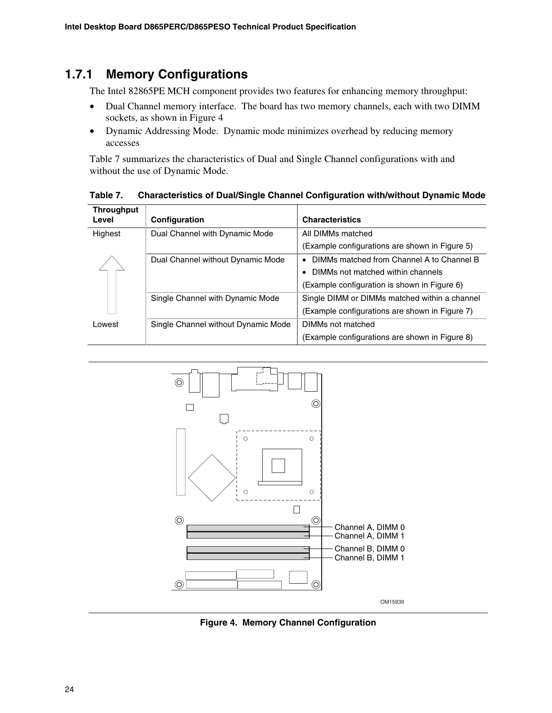#### <span id="page-23-0"></span>**1.7.1 Memory Configurations**

The Intel 82865PE MCH component provides two features for enhancing memory throughput:

- Dual Channel memory interface. The board has two memory channels, each with two DIMM sockets, as shown in Figure 4
- Dynamic Addressing Mode. Dynamic mode minimizes overhead by reducing memory accesses

Table 7 summarizes the characteristics of Dual and Single Channel configurations with and without the use of Dynamic Mode.

| <b>Throughput</b><br>Level | Configuration                       | <b>Characteristics</b>                         |
|----------------------------|-------------------------------------|------------------------------------------------|
| Highest                    | Dual Channel with Dynamic Mode      | All DIMMs matched                              |
|                            |                                     | (Example configurations are shown in Figure 5) |
|                            | Dual Channel without Dynamic Mode   | DIMMs matched from Channel A to Channel B      |
|                            |                                     | DIMMs not matched within channels              |
|                            |                                     | (Example configuration is shown in Figure 6)   |
|                            | Single Channel with Dynamic Mode    | Single DIMM or DIMMs matched within a channel  |
|                            |                                     | (Example configurations are shown in Figure 7) |
| Lowest                     | Single Channel without Dynamic Mode | DIMMs not matched                              |
|                            |                                     | (Example configurations are shown in Figure 8) |

**Table 7. Characteristics of Dual/Single Channel Configuration with/without Dynamic Mode** 



**Figure 4. Memory Channel Configuration**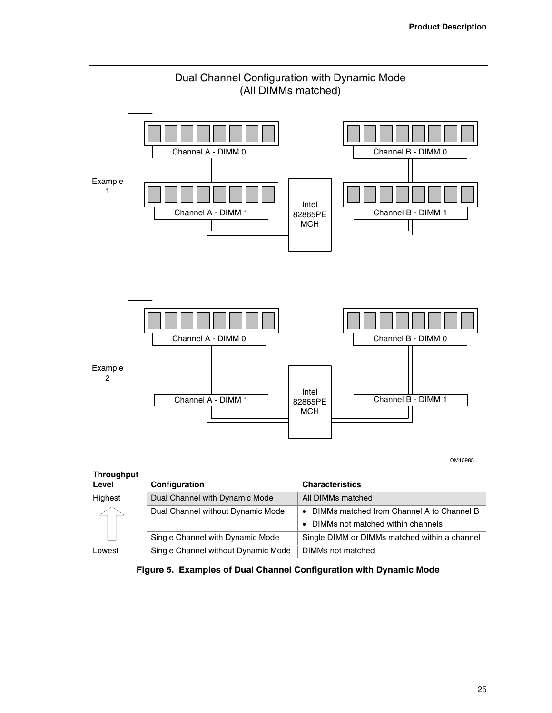<span id="page-24-0"></span>

#### Dual Channel Configuration with Dynamic Mode (All DIMMs matched)

**Figure 5. Examples of Dual Channel Configuration with Dynamic Mode**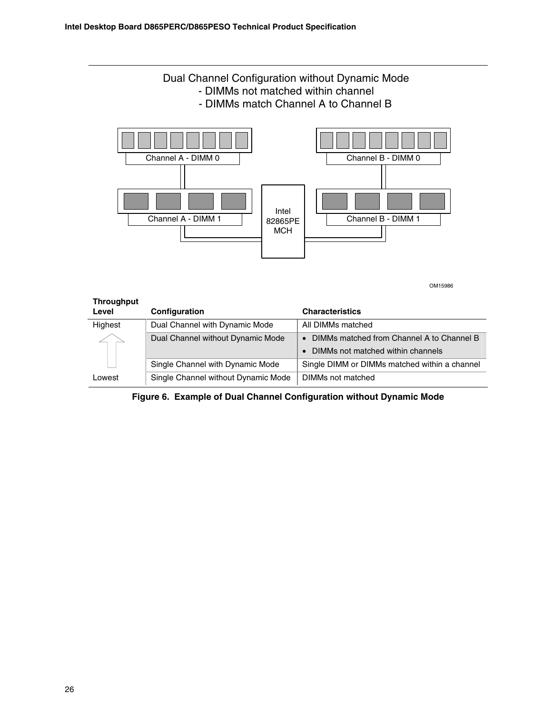

- DIMMs match Channel A to Channel B

<span id="page-25-0"></span>

OM15986

| <b>Throughput</b><br>Level | <b>Configuration</b>                | <b>Characteristics</b>                                 |
|----------------------------|-------------------------------------|--------------------------------------------------------|
| Highest                    | Dual Channel with Dynamic Mode      | All DIMMs matched                                      |
|                            | Dual Channel without Dynamic Mode   | DIMMs matched from Channel A to Channel B<br>$\bullet$ |
|                            |                                     | DIMMs not matched within channels                      |
|                            | Single Channel with Dynamic Mode    | Single DIMM or DIMMs matched within a channel          |
| Lowest                     | Single Channel without Dynamic Mode | DIMMs not matched                                      |

**Figure 6. Example of Dual Channel Configuration without Dynamic Mode**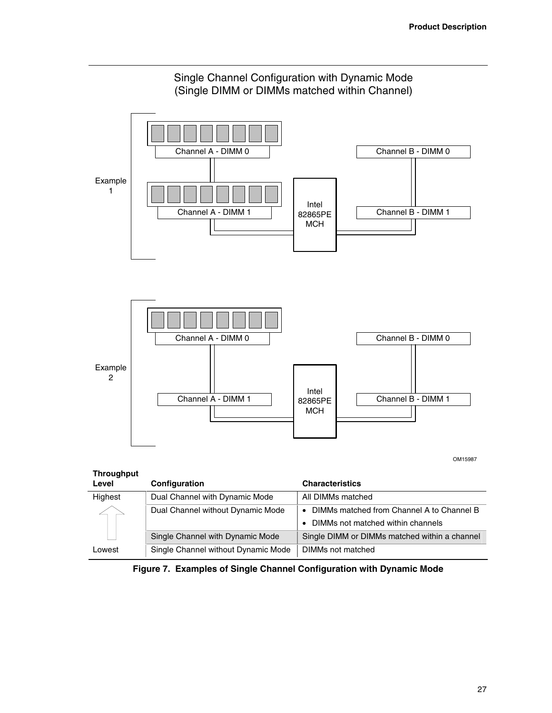<span id="page-26-0"></span>

Single Channel Configuration with Dynamic Mode

**Figure 7. Examples of Single Channel Configuration with Dynamic Mode** 

Lowest | Single Channel without Dynamic Mode | DIMMs not matched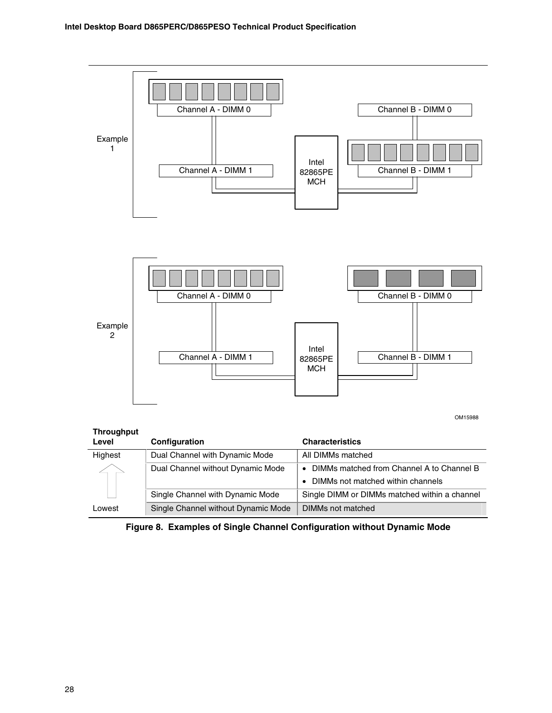<span id="page-27-0"></span>

| Configuration                       | <b>Characteristics</b>                                 |
|-------------------------------------|--------------------------------------------------------|
| Dual Channel with Dynamic Mode      | All DIMMs matched                                      |
| Dual Channel without Dynamic Mode   | DIMMs matched from Channel A to Channel B<br>$\bullet$ |
|                                     | DIMMs not matched within channels                      |
| Single Channel with Dynamic Mode    | Single DIMM or DIMMs matched within a channel          |
| Single Channel without Dynamic Mode | DIMMs not matched                                      |
|                                     |                                                        |

**Figure 8. Examples of Single Channel Configuration without Dynamic Mode**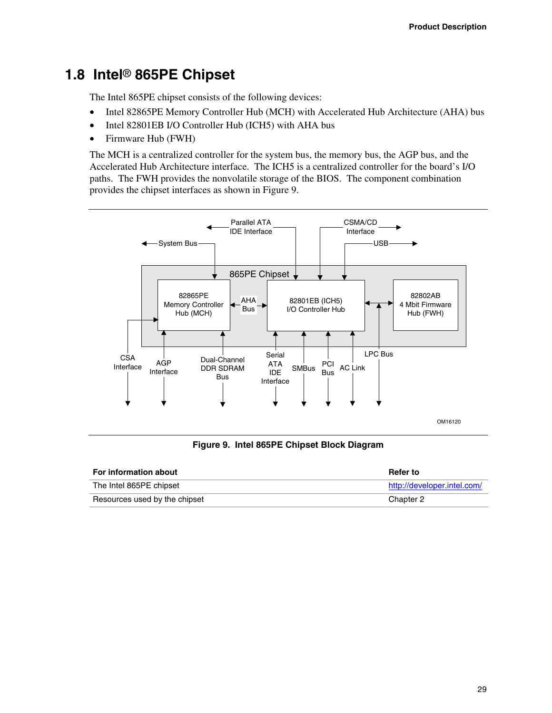### <span id="page-28-0"></span>**1.8 Intel**® **865PE Chipset**

The Intel 865PE chipset consists of the following devices:

- Intel 82865PE Memory Controller Hub (MCH) with Accelerated Hub Architecture (AHA) bus
- Intel 82801EB I/O Controller Hub (ICH5) with AHA bus
- Firmware Hub (FWH)

The MCH is a centralized controller for the system bus, the memory bus, the AGP bus, and the Accelerated Hub Architecture interface. The ICH5 is a centralized controller for the board's I/O paths. The FWH provides the nonvolatile storage of the BIOS. The component combination provides the chipset interfaces as shown in Figure 9.



**Figure 9. Intel 865PE Chipset Block Diagram** 

| For information about         | Refer to                    |
|-------------------------------|-----------------------------|
| The Intel 865PE chipset       | http://developer.intel.com/ |
| Resources used by the chipset | Chapter 2                   |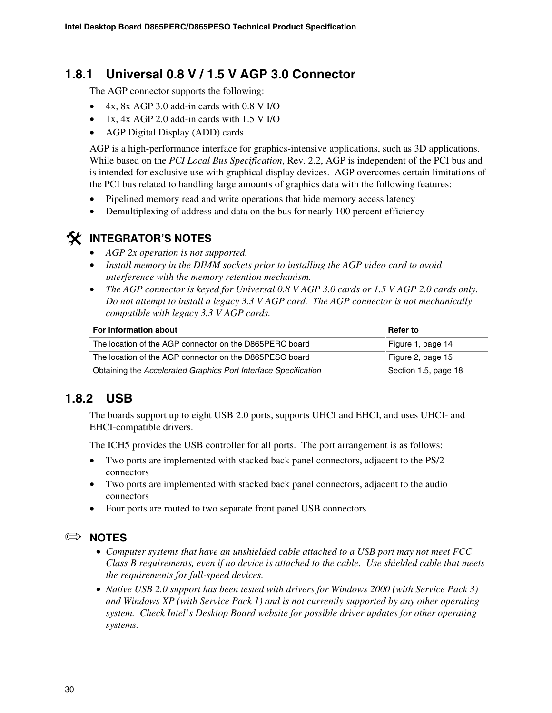#### <span id="page-29-0"></span>**1.8.1 Universal 0.8 V / 1.5 V AGP 3.0 Connector**

The AGP connector supports the following:

- 4x, 8x AGP 3.0 add-in cards with 0.8 V I/O
- 1x,  $4x$  AGP 2.0 add-in cards with 1.5 V I/O
- AGP Digital Display (ADD) cards

AGP is a high-performance interface for graphics-intensive applications, such as 3D applications. While based on the *PCI Local Bus Specification*, Rev. 2.2, AGP is independent of the PCI bus and is intended for exclusive use with graphical display devices. AGP overcomes certain limitations of the PCI bus related to handling large amounts of graphics data with the following features:

- Pipelined memory read and write operations that hide memory access latency
- Demultiplexing of address and data on the bus for nearly 100 percent efficiency

#### **X** INTEGRATOR'S NOTES

- *AGP 2x operation is not supported.*
- *Install memory in the DIMM sockets prior to installing the AGP video card to avoid interference with the memory retention mechanism.*
- *The AGP connector is keyed for Universal 0.8 V AGP 3.0 cards or 1.5 V AGP 2.0 cards only. Do not attempt to install a legacy 3.3 V AGP card. The AGP connector is not mechanically compatible with legacy 3.3 V AGP cards.*

| For information about                                           | Refer to             |
|-----------------------------------------------------------------|----------------------|
| The location of the AGP connector on the D865PERC board         | Figure 1, page 14    |
| The location of the AGP connector on the D865PESO board         | Figure 2, page 15    |
| Obtaining the Accelerated Graphics Port Interface Specification | Section 1.5, page 18 |

#### **1.8.2 USB**

The boards support up to eight USB 2.0 ports, supports UHCI and EHCI, and uses UHCI- and EHCI-compatible drivers.

The ICH5 provides the USB controller for all ports. The port arrangement is as follows:

- Two ports are implemented with stacked back panel connectors, adjacent to the PS/2 connectors
- Two ports are implemented with stacked back panel connectors, adjacent to the audio connectors
- Four ports are routed to two separate front panel USB connectors

#### ✏ **NOTES**

- *Computer systems that have an unshielded cable attached to a USB port may not meet FCC Class B requirements, even if no device is attached to the cable. Use shielded cable that meets the requirements for full-speed devices.*
- *Native USB 2.0 support has been tested with drivers for Windows 2000 (with Service Pack 3) and Windows XP (with Service Pack 1) and is not currently supported by any other operating system. Check Intel's Desktop Board website for possible driver updates for other operating systems.*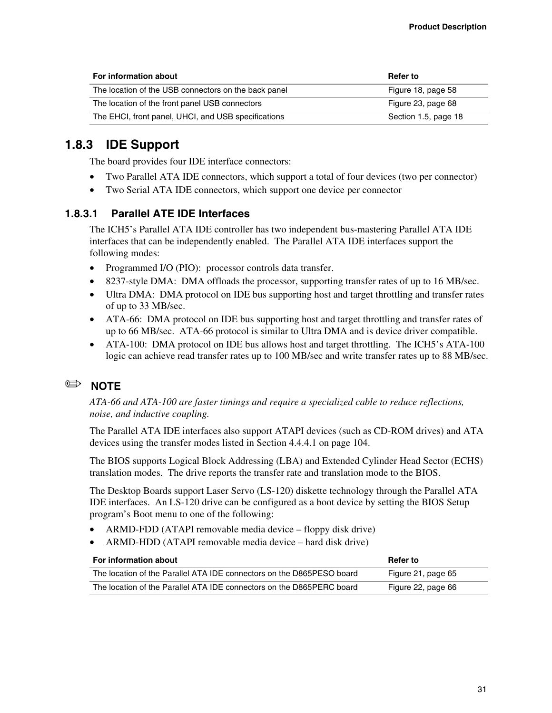<span id="page-30-0"></span>

| For information about                                | <b>Refer to</b>      |
|------------------------------------------------------|----------------------|
| The location of the USB connectors on the back panel | Figure 18, page 58   |
| The location of the front panel USB connectors       | Figure 23, page 68   |
| The EHCI, front panel, UHCI, and USB specifications  | Section 1.5, page 18 |

#### **1.8.3 IDE Support**

The board provides four IDE interface connectors:

- Two Parallel ATA IDE connectors, which support a total of four devices (two per connector)
- Two Serial ATA IDE connectors, which support one device per connector

#### **1.8.3.1 Parallel ATE IDE Interfaces**

The ICH5's Parallel ATA IDE controller has two independent bus-mastering Parallel ATA IDE interfaces that can be independently enabled. The Parallel ATA IDE interfaces support the following modes:

- Programmed I/O (PIO): processor controls data transfer.
- 8237-style DMA: DMA offloads the processor, supporting transfer rates of up to 16 MB/sec.
- Ultra DMA: DMA protocol on IDE bus supporting host and target throttling and transfer rates of up to 33 MB/sec.
- ATA-66: DMA protocol on IDE bus supporting host and target throttling and transfer rates of up to 66 MB/sec. ATA-66 protocol is similar to Ultra DMA and is device driver compatible.
- ATA-100: DMA protocol on IDE bus allows host and target throttling. The ICH5's ATA-100 logic can achieve read transfer rates up to 100 MB/sec and write transfer rates up to 88 MB/sec.

#### ✏ **NOTE**

#### *ATA-66 and ATA-100 are faster timings and require a specialized cable to reduce reflections, noise, and inductive coupling.*

The Parallel ATA IDE interfaces also support ATAPI devices (such as CD-ROM drives) and ATA devices using the transfer modes listed in Section [4.4.4.1](#page-103-0) on page [104.](#page-103-0)

The BIOS supports Logical Block Addressing (LBA) and Extended Cylinder Head Sector (ECHS) translation modes. The drive reports the transfer rate and translation mode to the BIOS.

The Desktop Boards support Laser Servo (LS-120) diskette technology through the Parallel ATA IDE interfaces. An LS-120 drive can be configured as a boot device by setting the BIOS Setup program's Boot menu to one of the following:

- ARMD-FDD (ATAPI removable media device floppy disk drive)
- ARMD-HDD (ATAPI removable media device hard disk drive)

| <b>For information about</b>                                          | Refer to           |
|-----------------------------------------------------------------------|--------------------|
| The location of the Parallel ATA IDE connectors on the D865PESO board | Figure 21, page 65 |
| The location of the Parallel ATA IDE connectors on the D865PERC board | Figure 22, page 66 |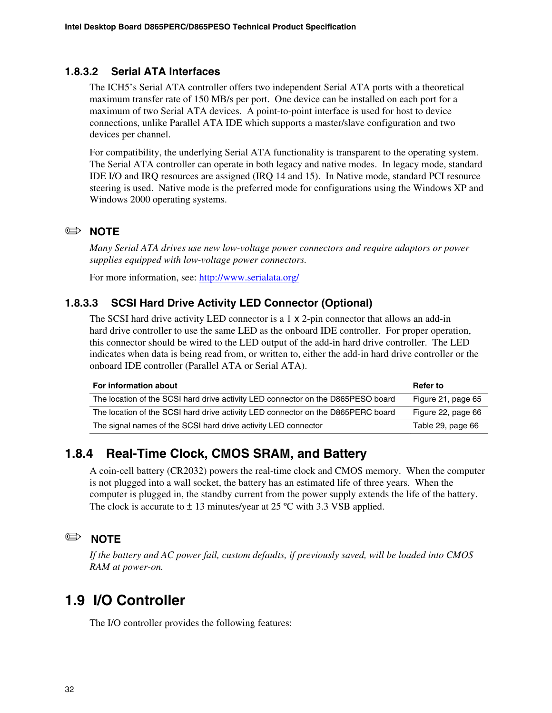#### <span id="page-31-0"></span>**1.8.3.2 Serial ATA Interfaces**

The ICH5's Serial ATA controller offers two independent Serial ATA ports with a theoretical maximum transfer rate of 150 MB/s per port. One device can be installed on each port for a maximum of two Serial ATA devices. A point-to-point interface is used for host to device connections, unlike Parallel ATA IDE which supports a master/slave configuration and two devices per channel.

For compatibility, the underlying Serial ATA functionality is transparent to the operating system. The Serial ATA controller can operate in both legacy and native modes. In legacy mode, standard IDE I/O and IRQ resources are assigned (IRQ 14 and 15). In Native mode, standard PCI resource steering is used. Native mode is the preferred mode for configurations using the Windows XP and Windows 2000 operating systems.

#### ✏ **NOTE**

*Many Serial ATA drives use new low-voltage power connectors and require adaptors or power supplies equipped with low-voltage power connectors.* 

For more information, see:<http://www.serialata.org/>

#### **1.8.3.3 SCSI Hard Drive Activity LED Connector (Optional)**

The SCSI hard drive activity LED connector is a  $1 \times 2$ -pin connector that allows an add-in hard drive controller to use the same LED as the onboard IDE controller. For proper operation, this connector should be wired to the LED output of the add-in hard drive controller. The LED indicates when data is being read from, or written to, either the add-in hard drive controller or the onboard IDE controller (Parallel ATA or Serial ATA).

| For information about                                                            | Refer to           |
|----------------------------------------------------------------------------------|--------------------|
| The location of the SCSI hard drive activity LED connector on the D865PESO board | Figure 21, page 65 |
| The location of the SCSI hard drive activity LED connector on the D865PERC board | Figure 22, page 66 |
| The signal names of the SCSI hard drive activity LED connector                   | Table 29, page 66  |

#### **1.8.4 Real-Time Clock, CMOS SRAM, and Battery**

A coin-cell battery (CR2032) powers the real-time clock and CMOS memory. When the computer is not plugged into a wall socket, the battery has an estimated life of three years. When the computer is plugged in, the standby current from the power supply extends the life of the battery. The clock is accurate to  $\pm$  13 minutes/year at 25 °C with 3.3 VSB applied.

#### ✏ **NOTE**

*If the battery and AC power fail, custom defaults, if previously saved, will be loaded into CMOS RAM at power-on.* 

#### **1.9 I/O Controller**

The I/O controller provides the following features: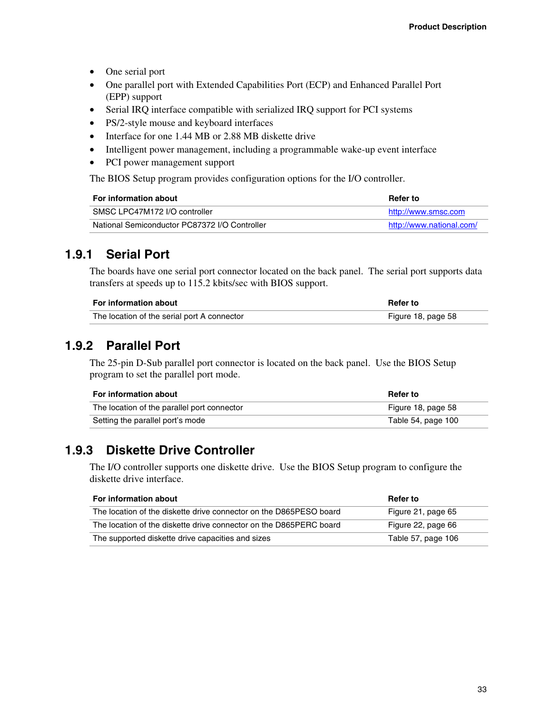- <span id="page-32-0"></span>• One serial port
- One parallel port with Extended Capabilities Port (ECP) and Enhanced Parallel Port (EPP) support
- Serial IRQ interface compatible with serialized IRQ support for PCI systems
- PS/2-style mouse and keyboard interfaces
- Interface for one 1.44 MB or 2.88 MB diskette drive
- Intelligent power management, including a programmable wake-up event interface
- PCI power management support

The BIOS Setup program provides configuration options for the I/O controller.

| <b>For information about</b>                  | <b>Refer to</b>          |
|-----------------------------------------------|--------------------------|
| SMSC LPC47M172 I/O controller                 | http://www.smsc.com      |
| National Semiconductor PC87372 I/O Controller | http://www.national.com/ |

#### **1.9.1 Serial Port**

The boards have one serial port connector located on the back panel. The serial port supports data transfers at speeds up to 115.2 kbits/sec with BIOS support.

| <b>For information about</b>                | <b>Refer to</b>    |
|---------------------------------------------|--------------------|
| The location of the serial port A connector | Figure 18, page 58 |

#### **1.9.2 Parallel Port**

The 25-pin D-Sub parallel port connector is located on the back panel. Use the BIOS Setup program to set the parallel port mode.

| <b>For information about</b>                | <b>Refer to</b>    |
|---------------------------------------------|--------------------|
| The location of the parallel port connector | Figure 18, page 58 |
| Setting the parallel port's mode            | Table 54, page 100 |

#### **1.9.3 Diskette Drive Controller**

The I/O controller supports one diskette drive. Use the BIOS Setup program to configure the diskette drive interface.

| For information about                                              | <b>Refer to</b>    |
|--------------------------------------------------------------------|--------------------|
| The location of the diskette drive connector on the D865PESO board | Figure 21, page 65 |
| The location of the diskette drive connector on the D865PERC board | Figure 22, page 66 |
| The supported diskette drive capacities and sizes                  | Table 57, page 106 |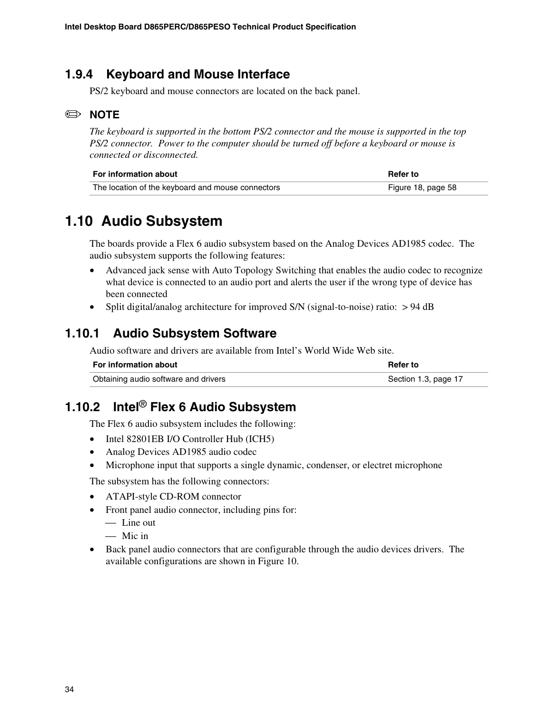#### <span id="page-33-0"></span>**1.9.4 Keyboard and Mouse Interface**

PS/2 keyboard and mouse connectors are located on the back panel.

#### ✏ **NOTE**

*The keyboard is supported in the bottom PS/2 connector and the mouse is supported in the top PS/2 connector. Power to the computer should be turned off before a keyboard or mouse is connected or disconnected.* 

| <b>For information about</b>                      | Refer to           |
|---------------------------------------------------|--------------------|
| The location of the keyboard and mouse connectors | Figure 18, page 58 |

### **1.10 Audio Subsystem**

The boards provide a Flex 6 audio subsystem based on the Analog Devices AD1985 codec. The audio subsystem supports the following features:

- Advanced jack sense with Auto Topology Switching that enables the audio codec to recognize what device is connected to an audio port and alerts the user if the wrong type of device has been connected
- Split digital/analog architecture for improved S/N (signal-to-noise) ratio:> 94 dB

#### **1.10.1 Audio Subsystem Software**

Audio software and drivers are available from Intel's World Wide Web site.

| For information about                | Refer to             |
|--------------------------------------|----------------------|
| Obtaining audio software and drivers | Section 1.3, page 17 |

### **1.10.2 Intel**® **Flex 6 Audio Subsystem**

The Flex 6 audio subsystem includes the following:

- Intel 82801EB I/O Controller Hub (ICH5)
- Analog Devices AD1985 audio codec
- Microphone input that supports a single dynamic, condenser, or electret microphone

The subsystem has the following connectors:

- ATAPI-style CD-ROM connector
- Front panel audio connector, including pins for:
	- Line out
	- Mic in
- Back panel audio connectors that are configurable through the audio devices drivers. The available configurations are shown in [Figure 10.](#page-34-0)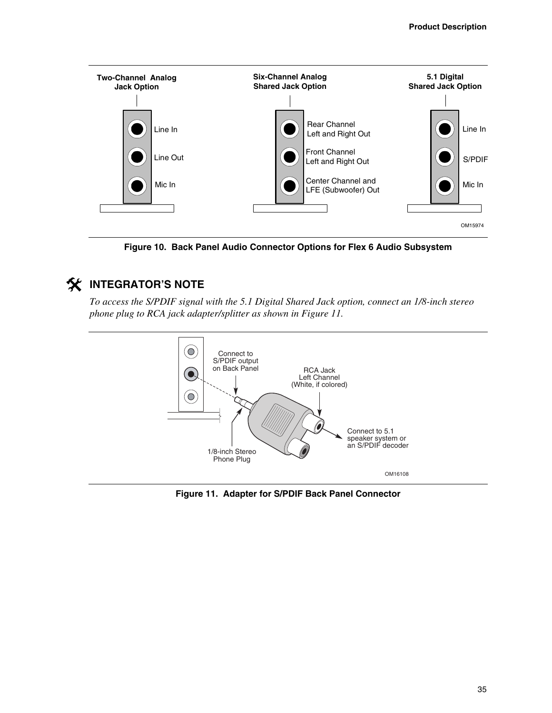<span id="page-34-0"></span>

**Figure 10. Back Panel Audio Connector Options for Flex 6 Audio Subsystem** 

#### **X** INTEGRATOR'S NOTE

*To access the S/PDIF signal with the 5.1 Digital Shared Jack option, connect an 1/8-inch stereo phone plug to RCA jack adapter/splitter as shown in Figure 11.* 



**Figure 11. Adapter for S/PDIF Back Panel Connector**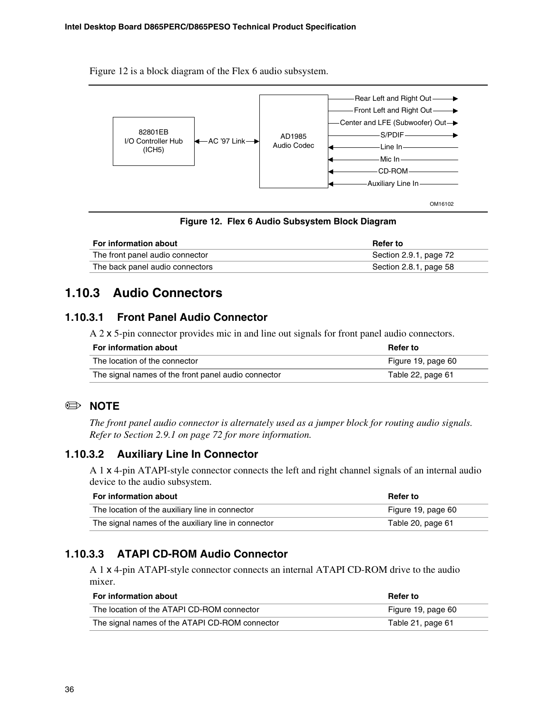<span id="page-35-0"></span>Figure 12 is a block diagram of the Flex 6 audio subsystem.



**Figure 12. Flex 6 Audio Subsystem Block Diagram** 

| <b>For information about</b>    | <b>Refer to</b>        |
|---------------------------------|------------------------|
| The front panel audio connector | Section 2.9.1, page 72 |
| The back panel audio connectors | Section 2.8.1, page 58 |

#### **1.10.3 Audio Connectors**

#### **1.10.3.1 Front Panel Audio Connector**

A 2 x 5-pin connector provides mic in and line out signals for front panel audio connectors.

| For information about                               | <b>Refer to</b>    |
|-----------------------------------------------------|--------------------|
| The location of the connector                       | Figure 19, page 60 |
| The signal names of the front panel audio connector | Table 22, page 61  |

#### ✏ **NOTE**

*The front panel audio connector is alternately used as a jumper block for routing audio signals. Refer to Section [2.9.1](#page-71-0) on page [72](#page-71-0) for more information.* 

#### **1.10.3.2 Auxiliary Line In Connector**

A 1 x 4-pin ATAPI-style connector connects the left and right channel signals of an internal audio device to the audio subsystem.

| <b>For information about</b>                        | <b>Refer to</b>    |
|-----------------------------------------------------|--------------------|
| The location of the auxiliary line in connector     | Figure 19, page 60 |
| The signal names of the auxiliary line in connector | Table 20, page 61  |

#### **1.10.3.3 ATAPI CD-ROM Audio Connector**

A 1 x 4-pin ATAPI-style connector connects an internal ATAPI CD-ROM drive to the audio mixer.

| <b>For information about</b>                   | Refer to           |
|------------------------------------------------|--------------------|
| The location of the ATAPI CD-ROM connector     | Figure 19, page 60 |
| The signal names of the ATAPI CD-ROM connector | Table 21, page 61  |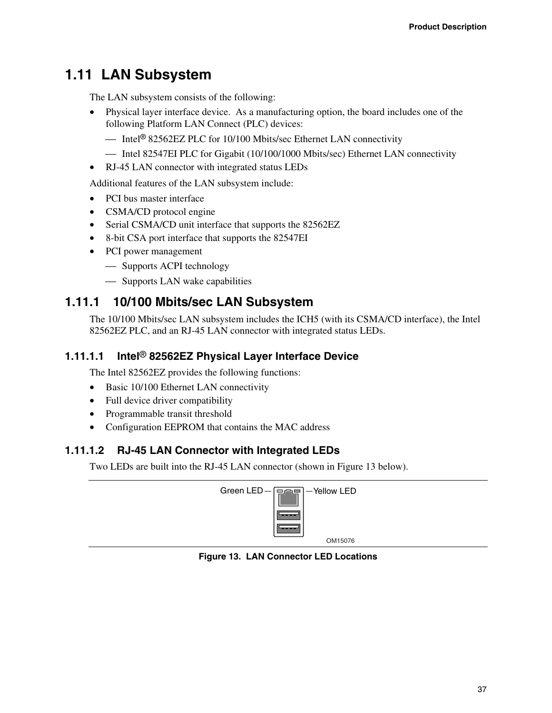# **1.11 LAN Subsystem**

The LAN subsystem consists of the following:

- Physical layer interface device. As a manufacturing option, the board includes one of the following Platform LAN Connect (PLC) devices:
	- Intel® 82562EZ PLC for 10/100 Mbits/sec Ethernet LAN connectivity
	- Intel 82547EI PLC for Gigabit (10/100/1000 Mbits/sec) Ethernet LAN connectivity
- RJ-45 LAN connector with integrated status LEDs

Additional features of the LAN subsystem include:

- PCI bus master interface
- CSMA/CD protocol engine
- Serial CSMA/CD unit interface that supports the 82562EZ
- 8-bit CSA port interface that supports the 82547EI
- PCI power management
	- Supports ACPI technology
	- Supports LAN wake capabilities

## **1.11.1 10/100 Mbits/sec LAN Subsystem**

The 10/100 Mbits/sec LAN subsystem includes the ICH5 (with its CSMA/CD interface), the Intel 82562EZ PLC, and an RJ-45 LAN connector with integrated status LEDs.

### **1.11.1.1 Intel**® **82562EZ Physical Layer Interface Device**

The Intel 82562EZ provides the following functions:

- Basic 10/100 Ethernet LAN connectivity
- Full device driver compatibility
- Programmable transit threshold
- Configuration EEPROM that contains the MAC address

### **1.11.1.2 RJ-45 LAN Connector with Integrated LEDs**

Two LEDs are built into the RJ-45 LAN connector (shown in Figure 13 below).



**Figure 13. LAN Connector LED Locations**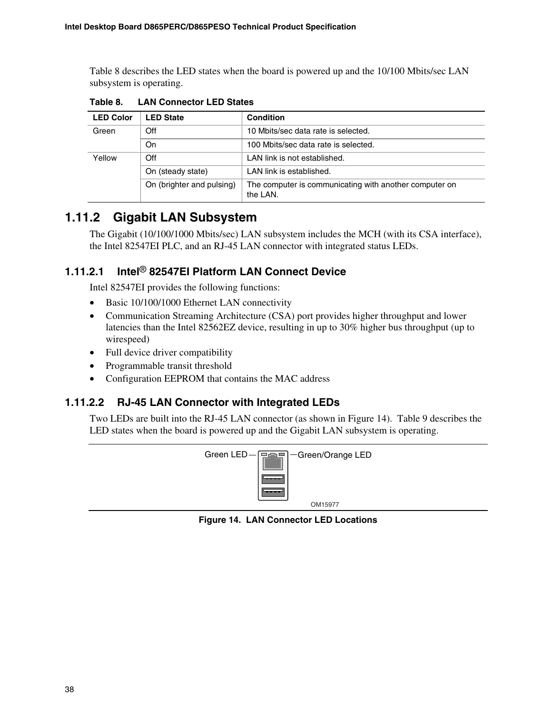Table 8 describes the LED states when the board is powered up and the 10/100 Mbits/sec LAN subsystem is operating.

| <b>LED Color</b> | <b>LED State</b>          | <b>Condition</b>                                                   |
|------------------|---------------------------|--------------------------------------------------------------------|
| Green            | Off                       | 10 Mbits/sec data rate is selected.                                |
|                  | On                        | 100 Mbits/sec data rate is selected.                               |
| Yellow           | Off                       | LAN link is not established.                                       |
|                  | On (steady state)         | LAN link is established.                                           |
|                  | On (brighter and pulsing) | The computer is communicating with another computer on<br>the LAN. |

**Table 8. LAN Connector LED States** 

# **1.11.2 Gigabit LAN Subsystem**

The Gigabit (10/100/1000 Mbits/sec) LAN subsystem includes the MCH (with its CSA interface), the Intel 82547EI PLC, and an RJ-45 LAN connector with integrated status LEDs.

## **1.11.2.1 Intel**® **82547EI Platform LAN Connect Device**

Intel 82547EI provides the following functions:

- Basic 10/100/1000 Ethernet LAN connectivity
- Communication Streaming Architecture (CSA) port provides higher throughput and lower latencies than the Intel 82562EZ device, resulting in up to 30% higher bus throughput (up to wirespeed)
- Full device driver compatibility
- Programmable transit threshold
- Configuration EEPROM that contains the MAC address

## **1.11.2.2 RJ-45 LAN Connector with Integrated LEDs**

Two LEDs are built into the RJ-45 LAN connector (as shown in Figure 14). [Table 9](#page-38-0) describes the LED states when the board is powered up and the Gigabit LAN subsystem is operating.



**Figure 14. LAN Connector LED Locations**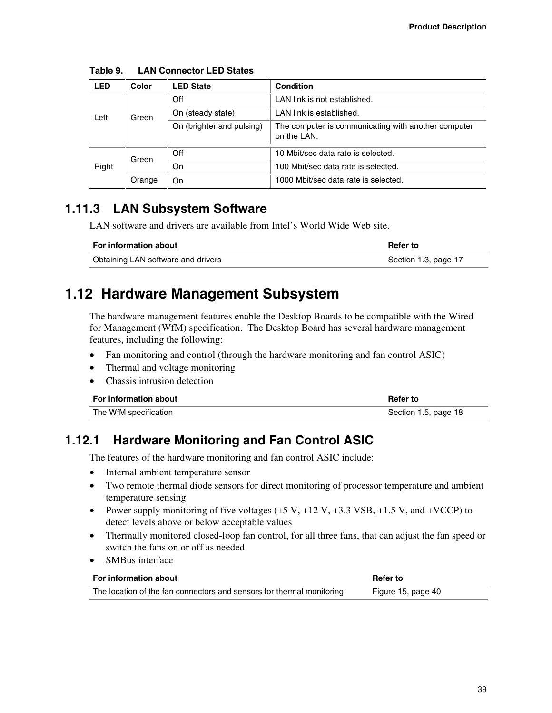| <b>LED</b>    | Color  | <b>LED State</b>          | Condition                                                          |  |
|---------------|--------|---------------------------|--------------------------------------------------------------------|--|
|               |        | Off                       | LAN link is not established.                                       |  |
| Left<br>Green |        | On (steady state)         | LAN link is established.                                           |  |
|               |        | On (brighter and pulsing) | The computer is communicating with another computer<br>on the LAN. |  |
|               | Green  | Off                       | 10 Mbit/sec data rate is selected.                                 |  |
| Right         |        | On                        | 100 Mbit/sec data rate is selected.                                |  |
|               | Orange | On                        | 1000 Mbit/sec data rate is selected.                               |  |

<span id="page-38-0"></span>**Table 9. LAN Connector LED States** 

## **1.11.3 LAN Subsystem Software**

LAN software and drivers are available from Intel's World Wide Web site.

| For information about              | <b>Refer to</b>      |
|------------------------------------|----------------------|
| Obtaining LAN software and drivers | Section 1.3, page 17 |

# **1.12 Hardware Management Subsystem**

The hardware management features enable the Desktop Boards to be compatible with the Wired for Management (WfM) specification. The Desktop Board has several hardware management features, including the following:

- Fan monitoring and control (through the hardware monitoring and fan control ASIC)
- Thermal and voltage monitoring
- Chassis intrusion detection

#### **For information about Refer to**

|                       | יש ושושו             |
|-----------------------|----------------------|
| The WfM specification | Section 1.5, page 18 |

## **1.12.1 Hardware Monitoring and Fan Control ASIC**

The features of the hardware monitoring and fan control ASIC include:

- Internal ambient temperature sensor
- Two remote thermal diode sensors for direct monitoring of processor temperature and ambient temperature sensing
- Power supply monitoring of five voltages  $(+5 \text{ V}, +12 \text{ V}, +3.3 \text{ VSB}, +1.5 \text{ V}, \text{ and } + \text{VCCP})$  to detect levels above or below acceptable values
- Thermally monitored closed-loop fan control, for all three fans, that can adjust the fan speed or switch the fans on or off as needed
- SMBus interface

| For information about                                                 | Refer to           |
|-----------------------------------------------------------------------|--------------------|
| The location of the fan connectors and sensors for thermal monitoring | Figure 15, page 40 |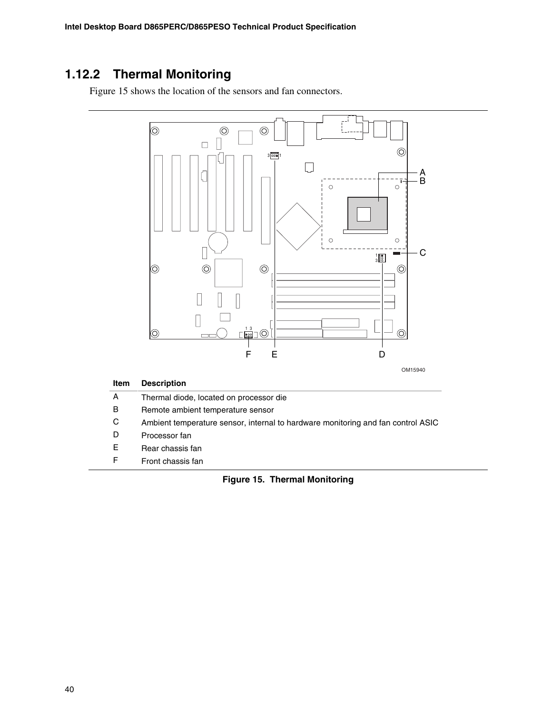# <span id="page-39-0"></span>**1.12.2 Thermal Monitoring**

Figure 15 shows the location of the sensors and fan connectors.



| А  | Thermal diode, located on processor die                                          |
|----|----------------------------------------------------------------------------------|
| В  | Remote ambient temperature sensor                                                |
| C  | Ambient temperature sensor, internal to hardware monitoring and fan control ASIC |
|    | Processor fan                                                                    |
| E. | Rear chassis fan                                                                 |
|    | Front chassis fan                                                                |

**Figure 15. Thermal Monitoring**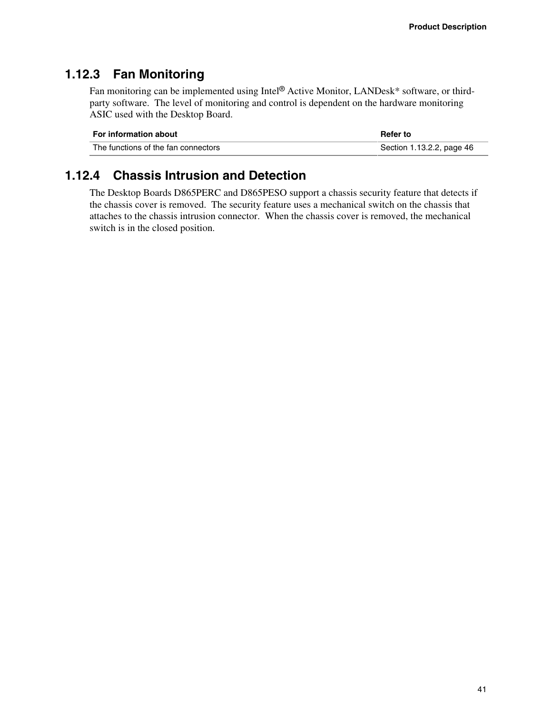## **1.12.3 Fan Monitoring**

Fan monitoring can be implemented using Intel® Active Monitor, LANDesk\* software, or thirdparty software. The level of monitoring and control is dependent on the hardware monitoring ASIC used with the Desktop Board.

| <b>For information about</b>        | Refer to                  |
|-------------------------------------|---------------------------|
| The functions of the fan connectors | Section 1.13.2.2, page 46 |

# **1.12.4 Chassis Intrusion and Detection**

The Desktop Boards D865PERC and D865PESO support a chassis security feature that detects if the chassis cover is removed. The security feature uses a mechanical switch on the chassis that attaches to the chassis intrusion connector. When the chassis cover is removed, the mechanical switch is in the closed position.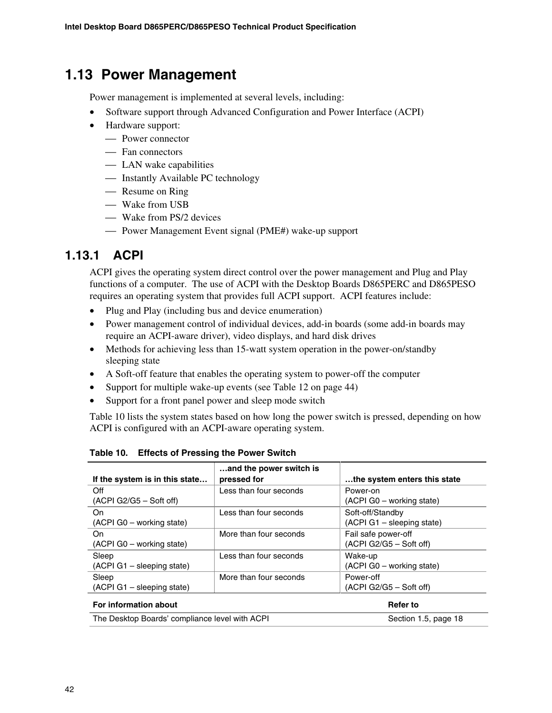# **1.13 Power Management**

Power management is implemented at several levels, including:

- Software support through Advanced Configuration and Power Interface (ACPI)
- Hardware support:
	- Power connector
	- Fan connectors
	- LAN wake capabilities
	- Instantly Available PC technology
	- Resume on Ring
	- Wake from USB
	- Wake from PS/2 devices
	- Power Management Event signal (PME#) wake-up support

## **1.13.1 ACPI**

ACPI gives the operating system direct control over the power management and Plug and Play functions of a computer. The use of ACPI with the Desktop Boards D865PERC and D865PESO requires an operating system that provides full ACPI support. ACPI features include:

- Plug and Play (including bus and device enumeration)
- Power management control of individual devices, add-in boards (some add-in boards may require an ACPI-aware driver), video displays, and hard disk drives
- Methods for achieving less than 15-watt system operation in the power-on/standby sleeping state
- A Soft-off feature that enables the operating system to power-off the computer
- Support for multiple wake-up events (see [Table 12](#page-43-0) on page [44\)](#page-43-0)
- Support for a front panel power and sleep mode switch

Table 10 lists the system states based on how long the power switch is pressed, depending on how ACPI is configured with an ACPI-aware operating system.

| If the system is in this state                 | and the power switch is.<br>pressed for | the system enters this state |
|------------------------------------------------|-----------------------------------------|------------------------------|
| Off                                            | Less than four seconds                  | Power-on                     |
| $(ACPI G2/G5 - Soft off)$                      |                                         | (ACPI G0 – working state)    |
| On.                                            | Less than four seconds                  | Soft-off/Standby             |
| (ACPI G0 – working state)                      |                                         | (ACPI G1 – sleeping state)   |
| On                                             | More than four seconds                  | Fail safe power-off          |
| (ACPI G0 – working state)                      |                                         | $(ACPI G2/G5 - Soft off)$    |
| Sleep                                          | Less than four seconds                  | Wake-up                      |
| (ACPI G1 – sleeping state)                     |                                         | (ACPI G0 - working state)    |
| Sleep                                          | More than four seconds                  | Power-off                    |
| (ACPI G1 – sleeping state)                     |                                         | $(ACPI G2/G5 - Soft off)$    |
| For information about                          |                                         | Refer to                     |
| The Desktop Boards' compliance level with ACPI |                                         | Section 1.5, page 18         |

**Table 10. Effects of Pressing the Power Switch**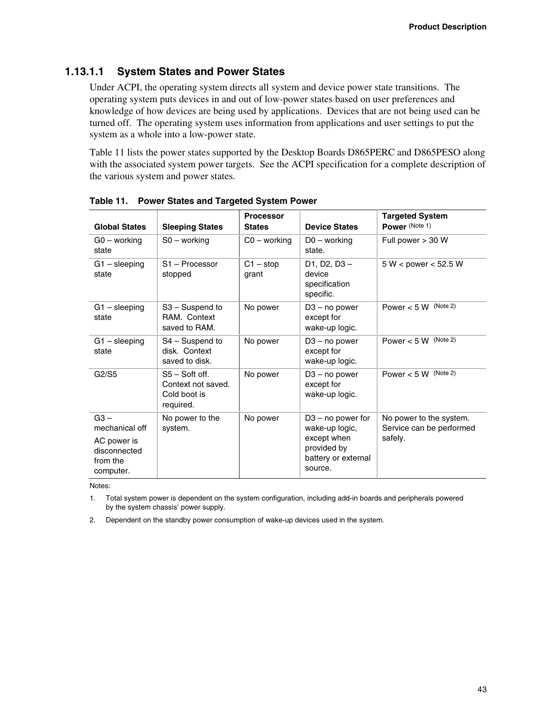### **1.13.1.1 System States and Power States**

Under ACPI, the operating system directs all system and device power state transitions. The operating system puts devices in and out of low-power states based on user preferences and knowledge of how devices are being used by applications. Devices that are not being used can be turned off. The operating system uses information from applications and user settings to put the system as a whole into a low-power state.

Table 11 lists the power states supported by the Desktop Boards D865PERC and D865PESO along with the associated system power targets. See the ACPI specification for a complete description of the various system and power states.

| <b>Global States</b>                                                             | <b>Sleeping States</b>                                              | <b>Processor</b><br><b>States</b> | <b>Device States</b>                                                                                  | <b>Targeted System</b><br>Power (Note 1)                       |
|----------------------------------------------------------------------------------|---------------------------------------------------------------------|-----------------------------------|-------------------------------------------------------------------------------------------------------|----------------------------------------------------------------|
| $G_0$ – working<br>state                                                         | $S_0$ – working                                                     | $CO - working$                    | $D0 - workinq$<br>state.                                                                              | Full power > 30 W                                              |
| $G1 - s$ leeping<br>state                                                        | S1 - Processor<br>stopped                                           | $C1 - stop$<br>grant              | D <sub>1</sub> , D <sub>2</sub> , D <sub>3</sub> $-$<br>device<br>specification<br>specific.          | $5 W$ < power < 52.5 W                                         |
| $G1 - s$ leeping<br>state                                                        | S3 - Suspend to<br>RAM. Context<br>saved to RAM.                    | No power                          | $D3 - no power$<br>except for<br>wake-up logic.                                                       | Power $< 5 W$ (Note 2)                                         |
| $G1 - s$ leeping<br>state                                                        | S4 - Suspend to<br>disk. Context<br>saved to disk.                  | No power                          | $D3 - no power$<br>except for<br>wake-up logic.                                                       | Power $< 5 W$ (Note 2)                                         |
| G2/S5                                                                            | $S5 - Soft off.$<br>Context not saved.<br>Cold boot is<br>required. | No power                          | $D3 - no power$<br>except for<br>wake-up logic.                                                       | Power $< 5 W$ (Note 2)                                         |
| $G3 -$<br>mechanical off<br>AC power is<br>disconnected<br>from the<br>computer. | No power to the<br>system.                                          | No power                          | $D3 - no power for$<br>wake-up logic,<br>except when<br>provided by<br>battery or external<br>source. | No power to the system.<br>Service can be performed<br>safely. |

**Table 11. Power States and Targeted System Power** 

Notes:

1. Total system power is dependent on the system configuration, including add-in boards and peripherals powered by the system chassis' power supply.

2. Dependent on the standby power consumption of wake-up devices used in the system.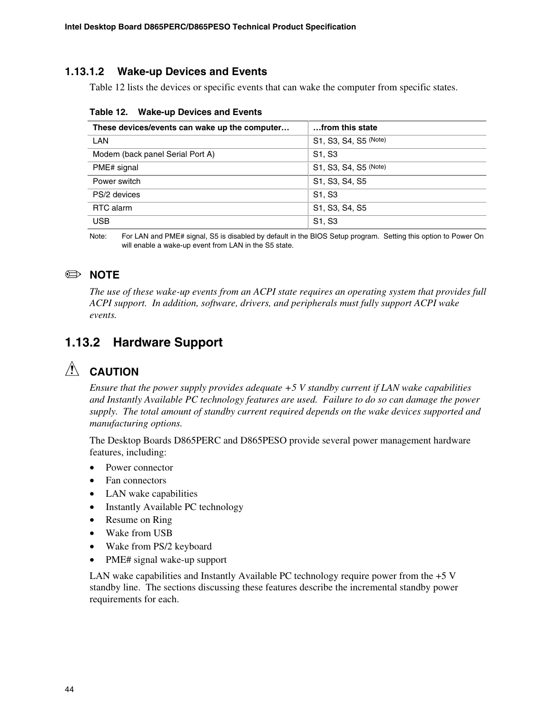### <span id="page-43-0"></span>**1.13.1.2 Wake-up Devices and Events**

Table 12 lists the devices or specific events that can wake the computer from specific states.

| $1.44919$ $1 = 1$ $1.4119$ $109$ $109$ $109$ $109$ $1119$ $1119$ |                                 |
|------------------------------------------------------------------|---------------------------------|
| These devices/events can wake up the computer                    | from this state                 |
| LAN                                                              | S1, S3, S4, S5 (Note)           |
| Modem (back panel Serial Port A)                                 | S <sub>1</sub> , S <sub>3</sub> |
| PME# signal                                                      | S1, S3, S4, S5 (Note)           |
| Power switch                                                     | S1, S3, S4, S5                  |
| PS/2 devices                                                     | S1, S3                          |
| RTC alarm                                                        | S1, S3, S4, S5                  |
| <b>USB</b>                                                       | S1, S3                          |

**Table 12. Wake-up Devices and Events** 

Note: For LAN and PME# signal, S5 is disabled by default in the BIOS Setup program. Setting this option to Power On will enable a wake-up event from LAN in the S5 state.

### ✏ **NOTE**

*The use of these wake-up events from an ACPI state requires an operating system that provides full ACPI support. In addition, software, drivers, and peripherals must fully support ACPI wake events.* 

## **1.13.2 Hardware Support**

# $\hat{A}$  **CAUTION**

*Ensure that the power supply provides adequate +5 V standby current if LAN wake capabilities and Instantly Available PC technology features are used. Failure to do so can damage the power supply. The total amount of standby current required depends on the wake devices supported and manufacturing options.* 

The Desktop Boards D865PERC and D865PESO provide several power management hardware features, including:

- Power connector
- Fan connectors
- LAN wake capabilities
- Instantly Available PC technology
- Resume on Ring
- Wake from USB
- Wake from PS/2 keyboard
- PME# signal wake-up support

LAN wake capabilities and Instantly Available PC technology require power from the  $+5$  V standby line. The sections discussing these features describe the incremental standby power requirements for each.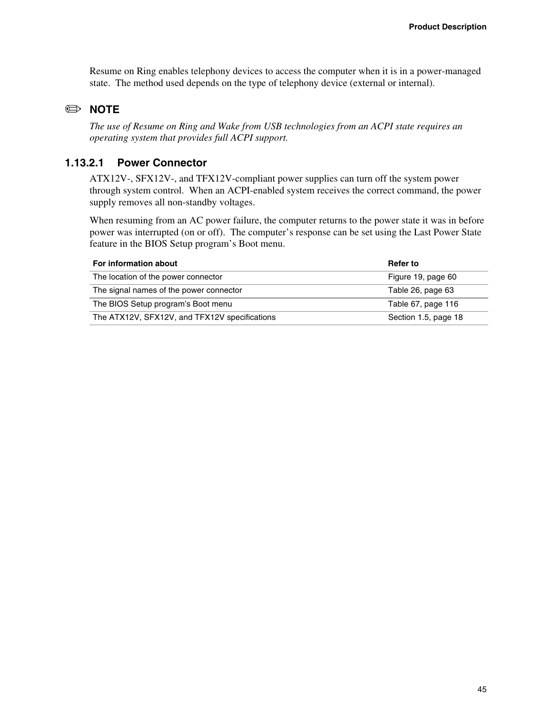Resume on Ring enables telephony devices to access the computer when it is in a power-managed state. The method used depends on the type of telephony device (external or internal).

### ✏ **NOTE**

*The use of Resume on Ring and Wake from USB technologies from an ACPI state requires an operating system that provides full ACPI support.* 

#### **1.13.2.1 Power Connector**

ATX12V-, SFX12V-, and TFX12V-compliant power supplies can turn off the system power through system control. When an ACPI-enabled system receives the correct command, the power supply removes all non-standby voltages.

When resuming from an AC power failure, the computer returns to the power state it was in before power was interrupted (on or off). The computer's response can be set using the Last Power State feature in the BIOS Setup program's Boot menu.

| For information about                         | <b>Refer to</b>      |
|-----------------------------------------------|----------------------|
| The location of the power connector           | Figure 19, page 60   |
| The signal names of the power connector       | Table 26, page 63    |
| The BIOS Setup program's Boot menu            | Table 67, page 116   |
| The ATX12V, SFX12V, and TFX12V specifications | Section 1.5, page 18 |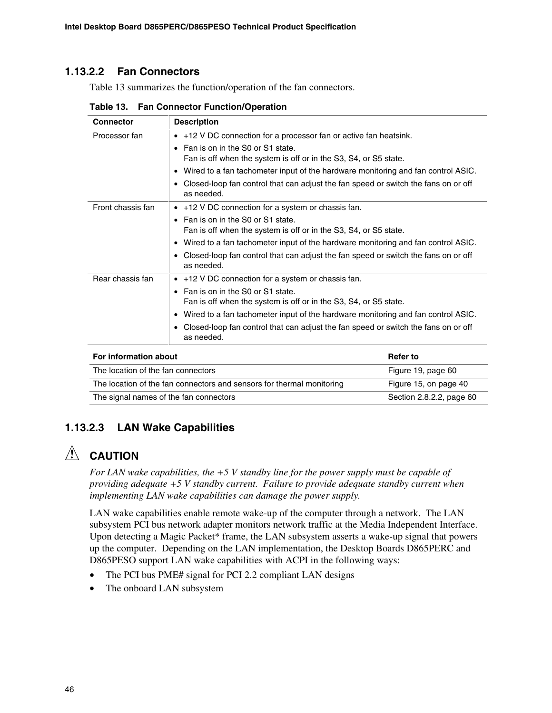## <span id="page-45-0"></span>**1.13.2.2 Fan Connectors**

Table 13 summarizes the function/operation of the fan connectors.

| <b>Connector</b>             | <b>Description</b>                                                                                                |
|------------------------------|-------------------------------------------------------------------------------------------------------------------|
| Processor fan                | $\bullet$ +12 V DC connection for a processor fan or active fan heatsink.                                         |
|                              | Fan is on in the S0 or S1 state.<br>$\bullet$<br>Fan is off when the system is off or in the S3, S4, or S5 state. |
|                              | Wired to a fan tachometer input of the hardware monitoring and fan control ASIC.<br>٠                             |
|                              | Closed-loop fan control that can adjust the fan speed or switch the fans on or off<br>as needed.                  |
| Front chassis fan            | • +12 V DC connection for a system or chassis fan.                                                                |
|                              | Fan is on in the S0 or S1 state.<br>$\bullet$<br>Fan is off when the system is off or in the S3, S4, or S5 state. |
|                              | Wired to a fan tachometer input of the hardware monitoring and fan control ASIC.<br>٠                             |
|                              | Closed-loop fan control that can adjust the fan speed or switch the fans on or off<br>as needed.                  |
| Rear chassis fan             | • +12 V DC connection for a system or chassis fan.                                                                |
|                              | • Fan is on in the S0 or S1 state.<br>Fan is off when the system is off or in the S3, S4, or S5 state.            |
|                              | Wired to a fan tachometer input of the hardware monitoring and fan control ASIC.<br>٠                             |
|                              | Closed-loop fan control that can adjust the fan speed or switch the fans on or off<br>as needed.                  |
| <b>For information about</b> | Refer to                                                                                                          |

**Table 13. Fan Connector Function/Operation** 

| For information about                                                 | <b>Refer to</b>          |
|-----------------------------------------------------------------------|--------------------------|
| The location of the fan connectors                                    | Figure 19, page 60       |
| The location of the fan connectors and sensors for thermal monitoring | Figure 15, on page 40    |
| The signal names of the fan connectors                                | Section 2.8.2.2, page 60 |

# **1.13.2.3 LAN Wake Capabilities**

# $\hat{A}$  **CAUTION**

*For LAN wake capabilities, the +5 V standby line for the power supply must be capable of providing adequate +5 V standby current. Failure to provide adequate standby current when implementing LAN wake capabilities can damage the power supply.* 

LAN wake capabilities enable remote wake-up of the computer through a network. The LAN subsystem PCI bus network adapter monitors network traffic at the Media Independent Interface. Upon detecting a Magic Packet\* frame, the LAN subsystem asserts a wake-up signal that powers up the computer. Depending on the LAN implementation, the Desktop Boards D865PERC and D865PESO support LAN wake capabilities with ACPI in the following ways:

- The PCI bus PME# signal for PCI 2.2 compliant LAN designs
- The onboard LAN subsystem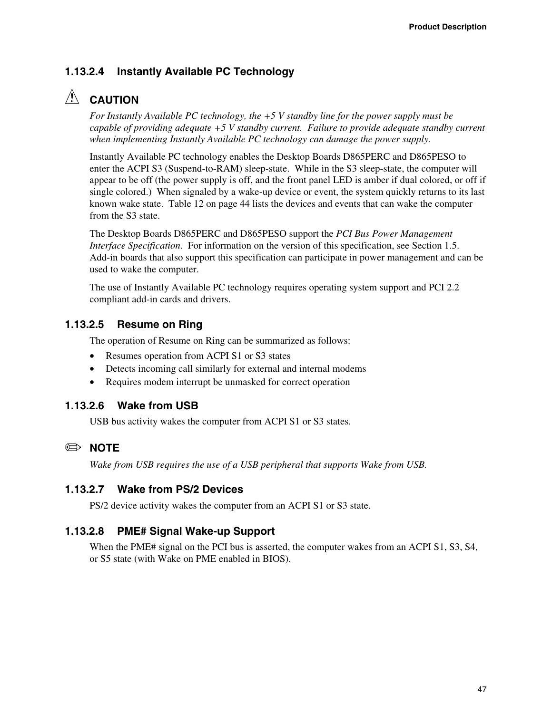### **1.13.2.4 Instantly Available PC Technology**

# $\hat{A}$  **CAUTION**

*For Instantly Available PC technology, the +5 V standby line for the power supply must be capable of providing adequate +5 V standby current. Failure to provide adequate standby current when implementing Instantly Available PC technology can damage the power supply.* 

Instantly Available PC technology enables the Desktop Boards D865PERC and D865PESO to enter the ACPI S3 (Suspend-to-RAM) sleep-state. While in the S3 sleep-state, the computer will appear to be off (the power supply is off, and the front panel LED is amber if dual colored, or off if single colored.) When signaled by a wake-up device or event, the system quickly returns to its last known wake state. [Table 12](#page-43-0) on page [44](#page-43-0) lists the devices and events that can wake the computer from the S3 state.

The Desktop Boards D865PERC and D865PESO support the *PCI Bus Power Management Interface Specification.* For information on the version of this specification, see Section [1.5.](#page-17-0) Add-in boards that also support this specification can participate in power management and can be used to wake the computer.

The use of Instantly Available PC technology requires operating system support and PCI 2.2 compliant add-in cards and drivers.

#### **1.13.2.5 Resume on Ring**

The operation of Resume on Ring can be summarized as follows:

- Resumes operation from ACPI S1 or S3 states
- Detects incoming call similarly for external and internal modems
- Requires modem interrupt be unmasked for correct operation

### **1.13.2.6 Wake from USB**

USB bus activity wakes the computer from ACPI S1 or S3 states.

#### ✏ **NOTE**

*Wake from USB requires the use of a USB peripheral that supports Wake from USB.* 

#### **1.13.2.7 Wake from PS/2 Devices**

PS/2 device activity wakes the computer from an ACPI S1 or S3 state.

#### **1.13.2.8 PME# Signal Wake-up Support**

When the PME# signal on the PCI bus is asserted, the computer wakes from an ACPI S1, S3, S4, or S5 state (with Wake on PME enabled in BIOS).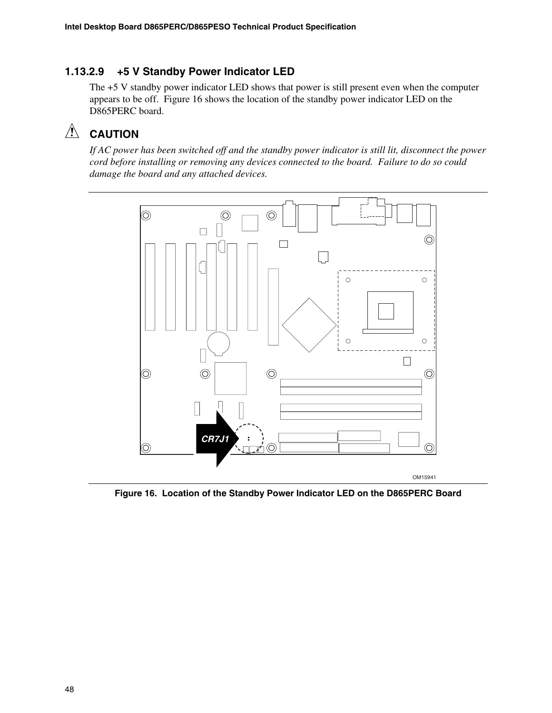## **1.13.2.9 +5 V Standby Power Indicator LED**

The +5 V standby power indicator LED shows that power is still present even when the computer appears to be off. Figure 16 shows the location of the standby power indicator LED on the D865PERC board.

# $\hat{I}$  **CAUTION**

*If AC power has been switched off and the standby power indicator is still lit, disconnect the power cord before installing or removing any devices connected to the board. Failure to do so could damage the board and any attached devices.* 



**Figure 16. Location of the Standby Power Indicator LED on the D865PERC Board**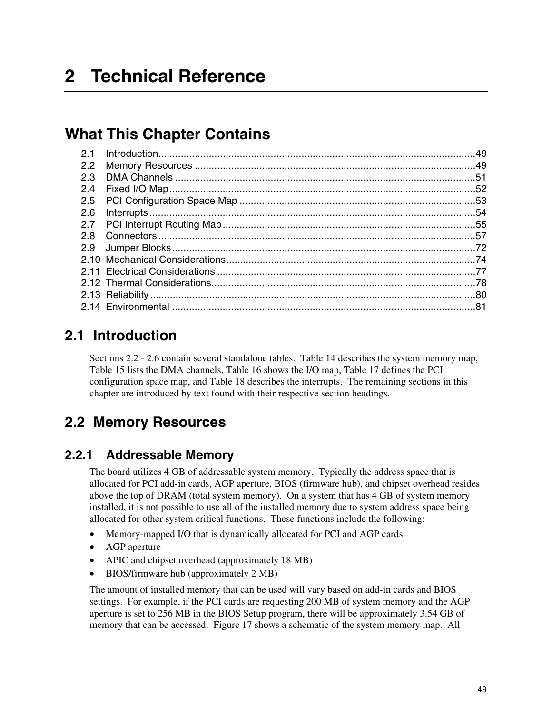# **What This Chapter Contains**

| $2.2^{\circ}$ |  |
|---------------|--|
| 2.3           |  |
| 2.4           |  |
| 2.5           |  |
| 2.6           |  |
|               |  |
| 2.8           |  |
|               |  |
|               |  |
|               |  |
|               |  |
|               |  |
|               |  |
|               |  |

# **2.1 Introduction**

Sections 2.2 - 2.6 contain several standalone tables. [Table 14](#page-50-0) describes the system memory map, [Table 15](#page-50-0) lists the DMA channels, [Table 16](#page-51-0) shows the I/O map, [Table 17](#page-52-0) defines the PCI configuration space map, and [Table 18](#page-53-0) describes the interrupts. The remaining sections in this chapter are introduced by text found with their respective section headings.

# **2.2 Memory Resources**

## **2.2.1 Addressable Memory**

The board utilizes 4 GB of addressable system memory. Typically the address space that is allocated for PCI add-in cards, AGP aperture, BIOS (firmware hub), and chipset overhead resides above the top of DRAM (total system memory). On a system that has 4 GB of system memory installed, it is not possible to use all of the installed memory due to system address space being allocated for other system critical functions. These functions include the following:

- Memory-mapped I/O that is dynamically allocated for PCI and AGP cards
- AGP aperture
- APIC and chipset overhead (approximately 18 MB)
- BIOS/firmware hub (approximately 2 MB)

The amount of installed memory that can be used will vary based on add-in cards and BIOS settings. For example, if the PCI cards are requesting 200 MB of system memory and the AGP aperture is set to 256 MB in the BIOS Setup program, there will be approximately 3.54 GB of memory that can be accessed. [Figure 17](#page-49-0) shows a schematic of the system memory map. All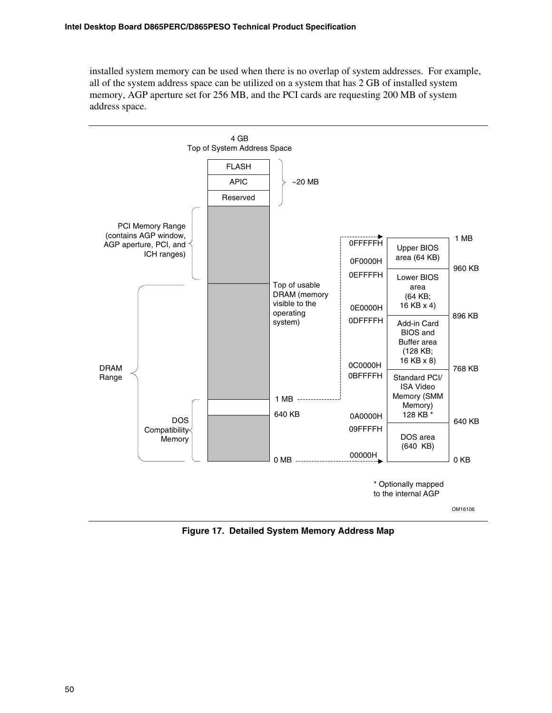<span id="page-49-0"></span>installed system memory can be used when there is no overlap of system addresses. For example, all of the system address space can be utilized on a system that has 2 GB of installed system memory, AGP aperture set for 256 MB, and the PCI cards are requesting 200 MB of system address space.



**Figure 17. Detailed System Memory Address Map**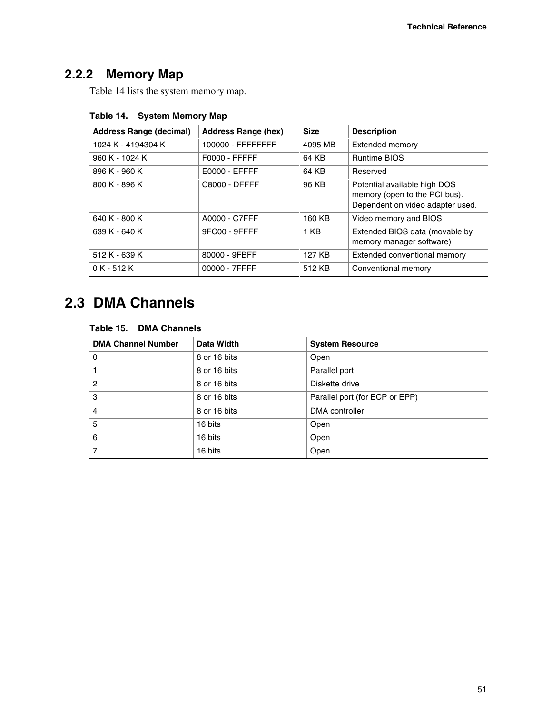# <span id="page-50-0"></span>**2.2.2 Memory Map**

Table 14 lists the system memory map.

| <b>Address Range (decimal)</b> | <b>Address Range (hex)</b> | <b>Size</b> | <b>Description</b>                                                                                |
|--------------------------------|----------------------------|-------------|---------------------------------------------------------------------------------------------------|
| 1024 K - 4194304 K             | 100000 - FFFFFFFF          | 4095 MB     | Extended memory                                                                                   |
| 960 K - 1024 K                 | F0000 - FFFFF              | 64 KB       | <b>Runtime BIOS</b>                                                                               |
| 896 K - 960 K                  | $E0000 - EFFFF$            | 64 KB       | Reserved                                                                                          |
| 800 K - 896 K                  | C8000 - DFFFF              | 96 KB       | Potential available high DOS<br>memory (open to the PCI bus).<br>Dependent on video adapter used. |
| 640 K - 800 K                  | A0000 - C7FFF              | 160 KB      | Video memory and BIOS                                                                             |
| 639 K - 640 K                  | $9FCOO - 9FFFF$            | 1 KB        | Extended BIOS data (movable by<br>memory manager software)                                        |
| 512 K - 639 K                  | 80000 - 9FBFF              | 127 KB      | Extended conventional memory                                                                      |
| $0 K - 512 K$                  | 00000 - 7FFFF              | 512 KB      | Conventional memory                                                                               |

### **Table 14. System Memory Map**

# **2.3 DMA Channels**

## **Table 15. DMA Channels**

| <b>DMA Channel Number</b> | Data Width   | <b>System Resource</b>         |
|---------------------------|--------------|--------------------------------|
| $\Omega$                  | 8 or 16 bits | Open                           |
|                           | 8 or 16 bits | Parallel port                  |
| 2                         | 8 or 16 bits | Diskette drive                 |
| 3                         | 8 or 16 bits | Parallel port (for ECP or EPP) |
| $\overline{4}$            | 8 or 16 bits | DMA controller                 |
| 5                         | 16 bits      | Open                           |
| 6                         | 16 bits      | Open                           |
|                           | 16 bits      | Open                           |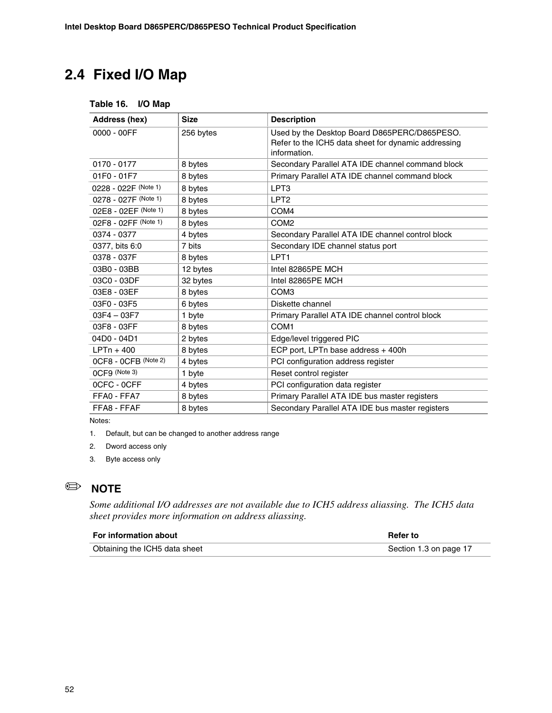# <span id="page-51-0"></span>**2.4 Fixed I/O Map**

| Table 16. |  | I/O Map |
|-----------|--|---------|
|           |  |         |

| Address (hex)        | <b>Size</b> | <b>Description</b>                                                                                                  |
|----------------------|-------------|---------------------------------------------------------------------------------------------------------------------|
| $0000 - 00FF$        | 256 bytes   | Used by the Desktop Board D865PERC/D865PESO.<br>Refer to the ICH5 data sheet for dynamic addressing<br>information. |
| $0170 - 0177$        | 8 bytes     | Secondary Parallel ATA IDE channel command block                                                                    |
| 01F0 - 01F7          | 8 bytes     | Primary Parallel ATA IDE channel command block                                                                      |
| 0228 - 022F (Note 1) | 8 bytes     | LPT <sub>3</sub>                                                                                                    |
| 0278 - 027F (Note 1) | 8 bytes     | LPT <sub>2</sub>                                                                                                    |
| 02E8 - 02EF (Note 1) | 8 bytes     | COM4                                                                                                                |
| 02F8 - 02FF (Note 1) | 8 bytes     | COM <sub>2</sub>                                                                                                    |
| 0374 - 0377          | 4 bytes     | Secondary Parallel ATA IDE channel control block                                                                    |
| 0377, bits 6:0       | 7 bits      | Secondary IDE channel status port                                                                                   |
| 0378 - 037F          | 8 bytes     | LPT <sub>1</sub>                                                                                                    |
| 03B0 - 03BB          | 12 bytes    | Intel 82865PE MCH                                                                                                   |
| 03C0 - 03DF          | 32 bytes    | Intel 82865PE MCH                                                                                                   |
| 03E8 - 03EF          | 8 bytes     | COM <sub>3</sub>                                                                                                    |
| 03F0 - 03F5          | 6 bytes     | Diskette channel                                                                                                    |
| $03F4 - 03F7$        | 1 byte      | Primary Parallel ATA IDE channel control block                                                                      |
| 03F8 - 03FF          | 8 bytes     | COM1                                                                                                                |
| 04D0 - 04D1          | 2 bytes     | Edge/level triggered PIC                                                                                            |
| $LPTn + 400$         | 8 bytes     | ECP port, LPTn base address + 400h                                                                                  |
| OCF8 - OCFB (Note 2) | 4 bytes     | PCI configuration address register                                                                                  |
| OCF9 (Note 3)        | 1 byte      | Reset control register                                                                                              |
| OCFC - OCFF          | 4 bytes     | PCI configuration data register                                                                                     |
| FFA0 - FFA7          | 8 bytes     | Primary Parallel ATA IDE bus master registers                                                                       |
| FFA8 - FFAF          | 8 bytes     | Secondary Parallel ATA IDE bus master registers                                                                     |

Notes:

1. Default, but can be changed to another address range

2. Dword access only

3. Byte access only

### ✏ **NOTE**

*Some additional I/O addresses are not available due to ICH5 address aliassing. The ICH5 data sheet provides more information on address aliassing.* 

| <b>For information about</b>  | <b>Refer to</b>        |
|-------------------------------|------------------------|
| Obtaining the ICH5 data sheet | Section 1.3 on page 17 |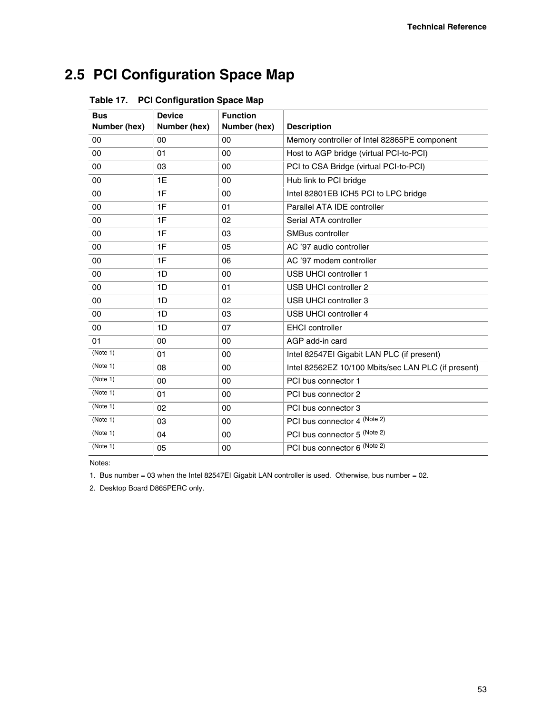# <span id="page-52-0"></span>**2.5 PCI Configuration Space Map**

| <b>Bus</b><br>Number (hex) | <b>Device</b><br>Number (hex) | <b>Function</b><br>Number (hex) | <b>Description</b>                                  |
|----------------------------|-------------------------------|---------------------------------|-----------------------------------------------------|
| $00\,$                     | 00                            | 00                              | Memory controller of Intel 82865PE component        |
| 00                         | 01                            | 00                              | Host to AGP bridge (virtual PCI-to-PCI)             |
| 00                         | 03                            | 00                              | PCI to CSA Bridge (virtual PCI-to-PCI)              |
| 00                         | 1E                            | 00                              | Hub link to PCI bridge                              |
| 00                         | 1F                            | 00                              | Intel 82801EB ICH5 PCI to LPC bridge                |
| 00                         | 1F                            | 01                              | Parallel ATA IDE controller                         |
| 00                         | 1F                            | 02                              | Serial ATA controller                               |
| 00                         | 1F                            | 03                              | SMBus controller                                    |
| 00                         | 1F                            | 05                              | AC '97 audio controller                             |
| 00                         | 1F                            | 06                              | AC '97 modem controller                             |
| 00                         | 1D                            | 00                              | <b>USB UHCI controller 1</b>                        |
| 00                         | 1D                            | 01                              | USB UHCI controller 2                               |
| 00                         | 1D                            | 02                              | USB UHCI controller 3                               |
| 00                         | 1D                            | 03                              | USB UHCI controller 4                               |
| 00                         | 1D                            | 07                              | <b>EHCI</b> controller                              |
| 01                         | 00                            | 00                              | AGP add-in card                                     |
| (Note 1)                   | 01                            | 00                              | Intel 82547EI Gigabit LAN PLC (if present)          |
| (Note 1)                   | 08                            | 00                              | Intel 82562EZ 10/100 Mbits/sec LAN PLC (if present) |
| (Note 1)                   | 00                            | 00                              | PCI bus connector 1                                 |
| (Note 1)                   | 01                            | 00                              | PCI bus connector 2                                 |
| (Note 1)                   | 02                            | 00                              | PCI bus connector 3                                 |
| (Note 1)                   | 03                            | 00                              | PCI bus connector 4 (Note 2)                        |
| (Note 1)                   | 04                            | 00                              | PCI bus connector 5 (Note 2)                        |
| (Note 1)                   | 05                            | 00                              | PCI bus connector 6 (Note 2)                        |

**Table 17. PCI Configuration Space Map** 

Notes:

1. Bus number = 03 when the Intel 82547EI Gigabit LAN controller is used. Otherwise, bus number = 02.

2. Desktop Board D865PERC only.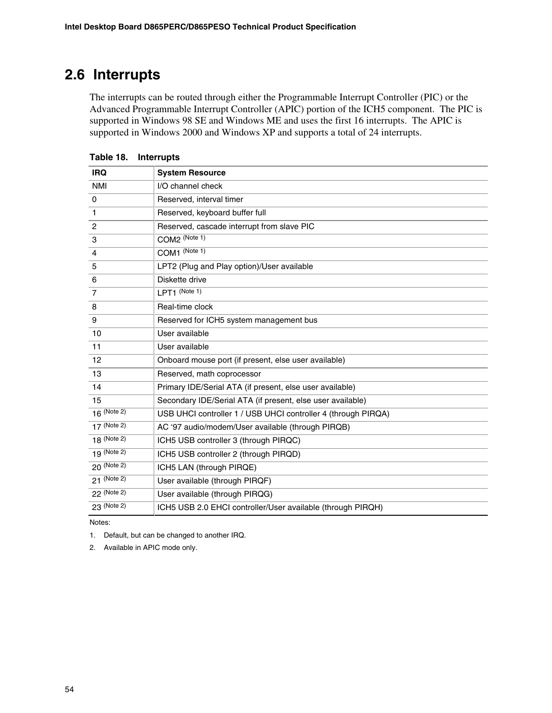# <span id="page-53-0"></span>**2.6 Interrupts**

The interrupts can be routed through either the Programmable Interrupt Controller (PIC) or the Advanced Programmable Interrupt Controller (APIC) portion of the ICH5 component. The PIC is supported in Windows 98 SE and Windows ME and uses the first 16 interrupts. The APIC is supported in Windows 2000 and Windows XP and supports a total of 24 interrupts.

| <b>IRQ</b>     | <b>System Resource</b>                                        |
|----------------|---------------------------------------------------------------|
| <b>NMI</b>     | I/O channel check                                             |
| $\mathbf 0$    | Reserved, interval timer                                      |
| $\mathbf{1}$   | Reserved, keyboard buffer full                                |
| $\overline{c}$ | Reserved, cascade interrupt from slave PIC                    |
| 3              | $COM2^{(Note 1)}$                                             |
| $\overline{4}$ | COM1 <sup>(Note 1)</sup>                                      |
| 5              | LPT2 (Plug and Play option)/User available                    |
| 6              | Diskette drive                                                |
| $\overline{7}$ | LPT1 (Note 1)                                                 |
| 8              | Real-time clock                                               |
| 9              | Reserved for ICH5 system management bus                       |
| 10             | User available                                                |
| 11             | User available                                                |
| 12             | Onboard mouse port (if present, else user available)          |
| 13             | Reserved, math coprocessor                                    |
| 14             | Primary IDE/Serial ATA (if present, else user available)      |
| 15             | Secondary IDE/Serial ATA (if present, else user available)    |
| $16$ (Note 2)  | USB UHCI controller 1 / USB UHCI controller 4 (through PIRQA) |
| $17$ (Note 2)  | AC '97 audio/modem/User available (through PIRQB)             |
| $18$ (Note 2)  | ICH5 USB controller 3 (through PIRQC)                         |
| $19$ (Note 2)  | ICH5 USB controller 2 (through PIRQD)                         |
| $20$ (Note 2)  | ICH5 LAN (through PIRQE)                                      |
| $21$ (Note 2)  | User available (through PIRQF)                                |
| $22$ (Note 2)  | User available (through PIRQG)                                |
| 23 (Note 2)    | ICH5 USB 2.0 EHCI controller/User available (through PIRQH)   |

**Table 18. Interrupts** 

Notes:

1. Default, but can be changed to another IRQ.

2. Available in APIC mode only.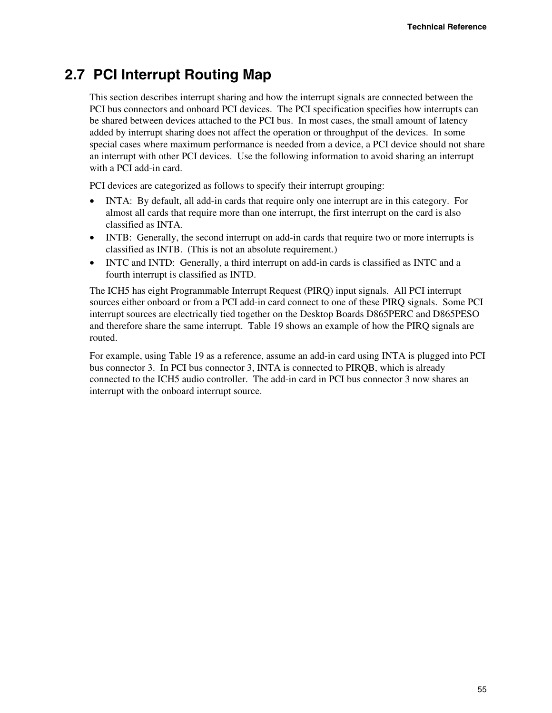# <span id="page-54-0"></span>**2.7 PCI Interrupt Routing Map**

This section describes interrupt sharing and how the interrupt signals are connected between the PCI bus connectors and onboard PCI devices. The PCI specification specifies how interrupts can be shared between devices attached to the PCI bus. In most cases, the small amount of latency added by interrupt sharing does not affect the operation or throughput of the devices. In some special cases where maximum performance is needed from a device, a PCI device should not share an interrupt with other PCI devices. Use the following information to avoid sharing an interrupt with a PCI add-in card.

PCI devices are categorized as follows to specify their interrupt grouping:

- INTA: By default, all add-in cards that require only one interrupt are in this category. For almost all cards that require more than one interrupt, the first interrupt on the card is also classified as INTA.
- INTB: Generally, the second interrupt on add-in cards that require two or more interrupts is classified as INTB. (This is not an absolute requirement.)
- INTC and INTD: Generally, a third interrupt on add-in cards is classified as INTC and a fourth interrupt is classified as INTD.

The ICH5 has eight Programmable Interrupt Request (PIRQ) input signals. All PCI interrupt sources either onboard or from a PCI add-in card connect to one of these PIRQ signals. Some PCI interrupt sources are electrically tied together on the Desktop Boards D865PERC and D865PESO and therefore share the same interrupt. [Table 19](#page-55-0) shows an example of how the PIRQ signals are routed.

For example, using [Table 19](#page-55-0) as a reference, assume an add-in card using INTA is plugged into PCI bus connector 3. In PCI bus connector 3, INTA is connected to PIRQB, which is already connected to the ICH5 audio controller. The add-in card in PCI bus connector 3 now shares an interrupt with the onboard interrupt source.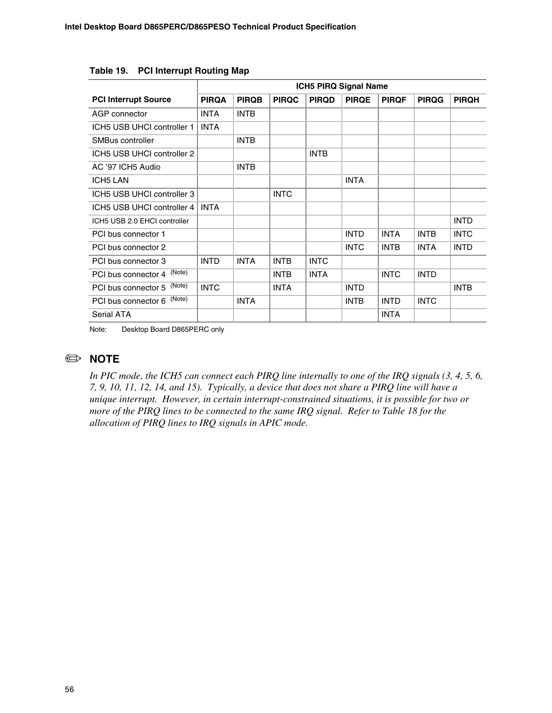|                               | ICH5 PIRQ Signal Name |              |              |              |              |              |              |              |
|-------------------------------|-----------------------|--------------|--------------|--------------|--------------|--------------|--------------|--------------|
| <b>PCI Interrupt Source</b>   | <b>PIRQA</b>          | <b>PIRQB</b> | <b>PIRQC</b> | <b>PIRQD</b> | <b>PIRQE</b> | <b>PIRQF</b> | <b>PIRQG</b> | <b>PIRQH</b> |
| AGP connector                 | <b>INTA</b>           | <b>INTB</b>  |              |              |              |              |              |              |
| ICH5 USB UHCI controller 1    | <b>INTA</b>           |              |              |              |              |              |              |              |
| SMBus controller              |                       | <b>INTB</b>  |              |              |              |              |              |              |
| ICH5 USB UHCI controller 2    |                       |              |              | <b>INTB</b>  |              |              |              |              |
| AC '97 ICH5 Audio             |                       | <b>INTB</b>  |              |              |              |              |              |              |
| <b>ICH5 LAN</b>               |                       |              |              |              | <b>INTA</b>  |              |              |              |
| ICH5 USB UHCI controller 3    |                       |              | <b>INTC</b>  |              |              |              |              |              |
| ICH5 USB UHCI controller 4    | <b>INTA</b>           |              |              |              |              |              |              |              |
| ICH5 USB 2.0 EHCI controller  |                       |              |              |              |              |              |              | <b>INTD</b>  |
| PCI bus connector 1           |                       |              |              |              | <b>INTD</b>  | <b>INTA</b>  | <b>INTB</b>  | <b>INTC</b>  |
| PCI bus connector 2           |                       |              |              |              | <b>INTC</b>  | <b>INTB</b>  | <b>INTA</b>  | <b>INTD</b>  |
| PCI bus connector 3           | <b>INTD</b>           | <b>INTA</b>  | <b>INTB</b>  | <b>INTC</b>  |              |              |              |              |
| (Note)<br>PCI bus connector 4 |                       |              | <b>INTB</b>  | <b>INTA</b>  |              | <b>INTC</b>  | <b>INTD</b>  |              |
| (Note)<br>PCI bus connector 5 | <b>INTC</b>           |              | <b>INTA</b>  |              | <b>INTD</b>  |              |              | <b>INTB</b>  |
| (Note)<br>PCI bus connector 6 |                       | <b>INTA</b>  |              |              | <b>INTB</b>  | <b>INTD</b>  | <b>INTC</b>  |              |
| Serial ATA                    |                       |              |              |              |              | <b>INTA</b>  |              |              |

#### <span id="page-55-0"></span>**Table 19. PCI Interrupt Routing Map**

Note: Desktop Board D865PERC only

#### ✏ **NOTE**

*In PIC mode, the ICH5 can connect each PIRQ line internally to one of the IRQ signals (3, 4, 5, 6, 7, 9, 10, 11, 12, 14, and 15). Typically, a device that does not share a PIRQ line will have a unique interrupt. However, in certain interrupt-constrained situations, it is possible for two or more of the PIRQ lines to be connected to the same IRQ signal. Refer to [Table 18 f](#page-53-0)or the allocation of PIRQ lines to IRQ signals in APIC mode.*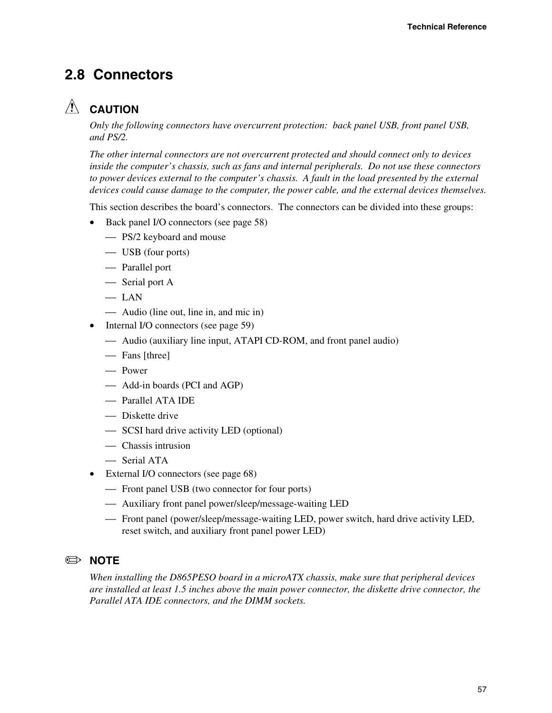# <span id="page-56-0"></span>**2.8 Connectors**

# $\hat{A}$  **CAUTION**

*Only the following connectors have overcurrent protection: back panel USB, front panel USB, and PS/2.* 

*The other internal connectors are not overcurrent protected and should connect only to devices inside the computer's chassis, such as fans and internal peripherals. Do not use these connectors to power devices external to the computer's chassis. A fault in the load presented by the external devices could cause damage to the computer, the power cable, and the external devices themselves.* 

This section describes the board's connectors. The connectors can be divided into these groups:

- Back panel I/O connectors (see page [58\)](#page-57-0)
	- PS/2 keyboard and mouse
	- USB (four ports)
	- Parallel port
	- Serial port A
	- $-LAN$
	- Audio (line out, line in, and mic in)
- Internal I/O connectors (see page [59\)](#page-73-0)
	- Audio (auxiliary line input, ATAPI CD-ROM, and front panel audio)
	- Fans [three]
	- Power
	- Add-in boards (PCI and AGP)
	- Parallel ATA IDE
	- Diskette drive
	- SCSI hard drive activity LED (optional)
	- Chassis intrusion
	- Serial ATA
- External I/O connectors (see page [68\)](#page-67-0)
	- Front panel USB (two connector for four ports)
	- Auxiliary front panel power/sleep/message-waiting LED
	- Front panel (power/sleep/message-waiting LED, power switch, hard drive activity LED, reset switch, and auxiliary front panel power LED)

#### ✏ **NOTE**

*When installing the D865PESO board in a microATX chassis, make sure that peripheral devices are installed at least 1.5 inches above the main power connector, the diskette drive connector, the Parallel ATA IDE connectors, and the DIMM sockets.*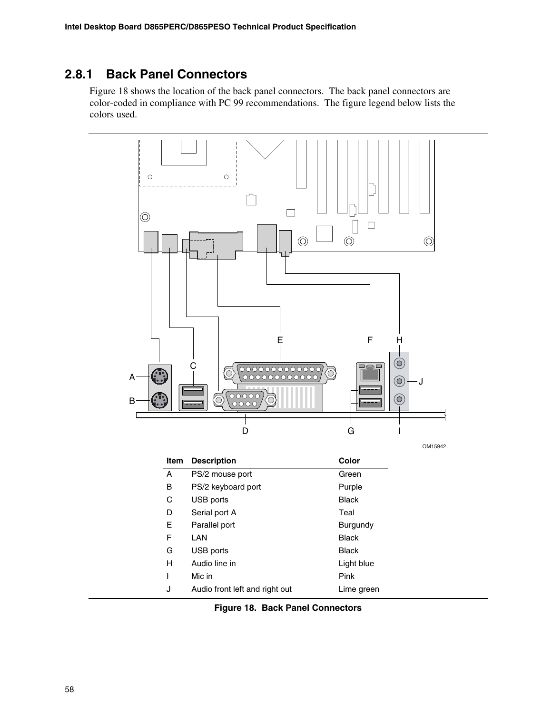## <span id="page-57-0"></span>**2.8.1 Back Panel Connectors**

Figure 18 shows the location of the back panel connectors. The back panel connectors are color-coded in compliance with PC 99 recommendations. The figure legend below lists the colors used.



**Figure 18. Back Panel Connectors**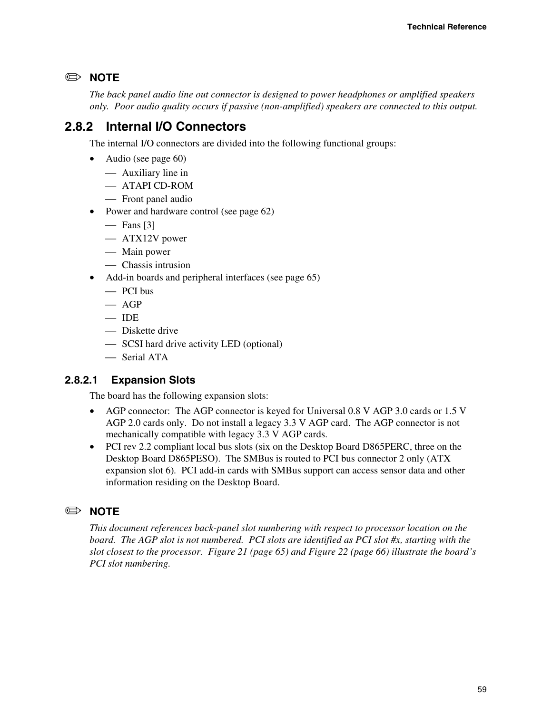## ✏ **NOTE**

*The back panel audio line out connector is designed to power headphones or amplified speakers only. Poor audio quality occurs if passive (non-amplified) speakers are connected to this output.* 

## **2.8.2 Internal I/O Connectors**

The internal I/O connectors are divided into the following functional groups:

- Audio (see page [60\)](#page-59-0)
	- Auxiliary line in
	- ATAPI CD-ROM
	- Front panel audio
- Power and hardware control (see page [62\)](#page-61-0)
	- $-$  Fans [3]
	- ATX12V power
	- Main power
	- Chassis intrusion
- Add-in boards and peripheral interfaces (see page [65\)](#page-64-0)
	- PCI bus
	- $-$  AGP
	- $-$  IDE
	- Diskette drive
	- $\sim$  SCSI hard drive activity LED (optional)
	- Serial ATA

#### **2.8.2.1 Expansion Slots**

The board has the following expansion slots:

- AGP connector: The AGP connector is keyed for Universal 0.8 V AGP 3.0 cards or 1.5 V AGP 2.0 cards only. Do not install a legacy 3.3 V AGP card. The AGP connector is not mechanically compatible with legacy 3.3 V AGP cards.
- PCI rev 2.2 compliant local bus slots (six on the Desktop Board D865PERC, three on the Desktop Board D865PESO). The SMBus is routed to PCI bus connector 2 only (ATX expansion slot 6)*.* PCI add-in cards with SMBus support can access sensor data and other information residing on the Desktop Board.

#### ✏ **NOTE**

*This document references back-panel slot numbering with respect to processor location on the board. The AGP slot is not numbered. PCI slots are identified as PCI slot #x, starting with the slot closest to the processor. [Figure 21](#page-64-0) (page [65\)](#page-64-0) and [Figure 22](#page-65-0) (page [66\)](#page-65-0) illustrate the board's PCI slot numbering.*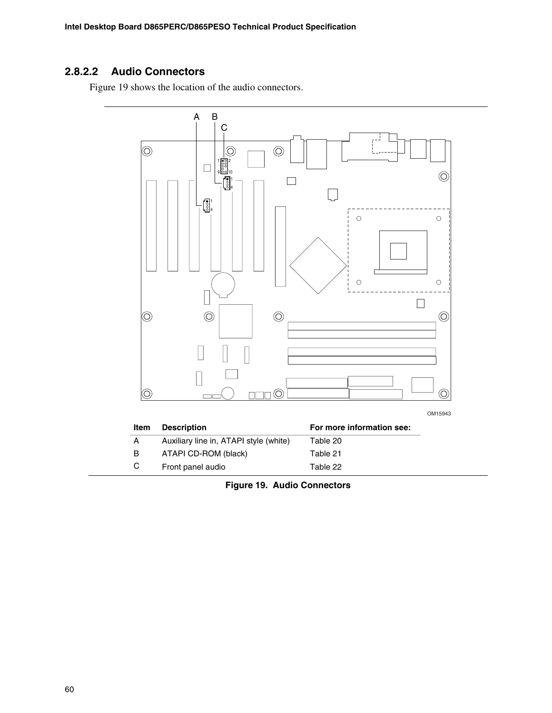## <span id="page-59-0"></span>**2.8.2.2 Audio Connectors**

Figure 19 shows the location of the audio connectors.



**Figure 19. Audio Connectors**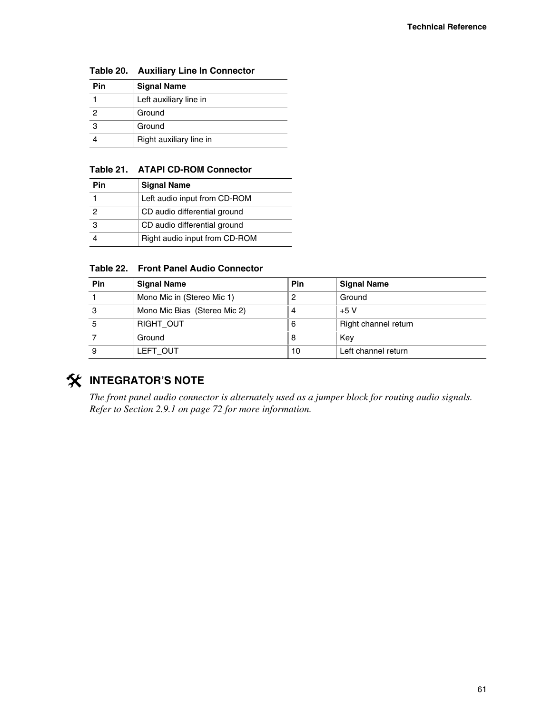| Pin | <b>Signal Name</b>      |
|-----|-------------------------|
|     | Left auxiliary line in  |
|     | Ground                  |
| з   | Ground                  |
|     | Right auxiliary line in |

### <span id="page-60-0"></span>**Table 20. Auxiliary Line In Connector**

#### **Table 21. ATAPI CD-ROM Connector**

| Pin | <b>Signal Name</b>            |
|-----|-------------------------------|
|     | Left audio input from CD-ROM  |
|     | CD audio differential ground  |
| 3   | CD audio differential ground  |
|     | Right audio input from CD-ROM |

**Table 22. Front Panel Audio Connector** 

| Pin | <b>Signal Name</b>           | Pin | <b>Signal Name</b>   |
|-----|------------------------------|-----|----------------------|
|     | Mono Mic in (Stereo Mic 1)   |     | Ground               |
| З   | Mono Mic Bias (Stereo Mic 2) | 4   | $+5V$                |
| 5   | RIGHT OUT                    | 6   | Right channel return |
|     | Ground                       | 8   | Kev                  |
|     | LEFT OUT                     | 10  | Left channel return  |

# **INTEGRATOR'S NOTE**

*The front panel audio connector is alternately used as a jumper block for routing audio signals. Refer to Section [2.9.1](#page-71-0) on page [72](#page-71-0) for more information.*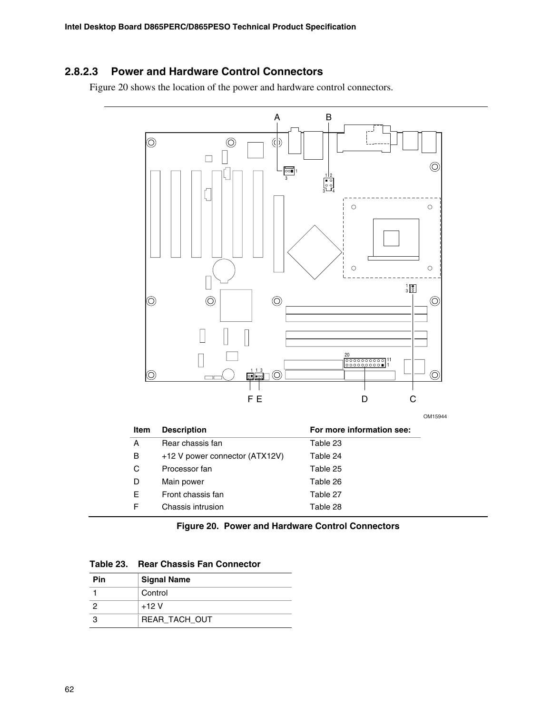### <span id="page-61-0"></span>**2.8.2.3 Power and Hardware Control Connectors**

Figure 20 shows the location of the power and hardware control connectors.



**Figure 20. Power and Hardware Control Connectors** 

|  |  | Table 23. Rear Chassis Fan Connector |
|--|--|--------------------------------------|
|  |  |                                      |

| Pin | <b>Signal Name</b> |
|-----|--------------------|
|     | Control            |
|     | $+12V$             |
|     | REAR_TACH_OUT      |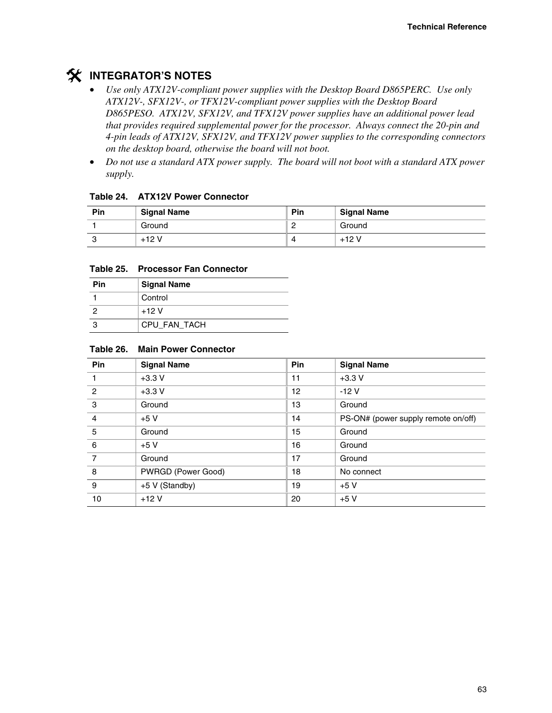# <span id="page-62-0"></span>**X** INTEGRATOR'S NOTES

- *Use only ATX12V-compliant power supplies with the Desktop Board D865PERC. Use only ATX12V-, SFX12V-, or TFX12V-compliant power supplies with the Desktop Board D865PESO. ATX12V, SFX12V, and TFX12V power supplies have an additional power lead that provides required supplemental power for the processor. Always connect the 20-pin and 4-pin leads of ATX12V, SFX12V, and TFX12V power supplies to the corresponding connectors on the desktop board, otherwise the board will not boot.*
- *Do not use a standard ATX power supply. The board will not boot with a standard ATX power supply.*

| Pin | <b>Signal Name</b> | Pin | <b>Signal Name</b> |
|-----|--------------------|-----|--------------------|
|     | Ground             | c   | Ground             |
|     | $+12V$             | Д   | $+12V$             |

#### **Table 24. ATX12V Power Connector**

#### **Table 25. Processor Fan Connector**

| Pin | <b>Signal Name</b> |
|-----|--------------------|
|     | Control            |
|     | $+12V$             |
|     | CPU FAN TACH       |

#### **Table 26. Main Power Connector**

| Pin            | <b>Signal Name</b> | Pin             | <b>Signal Name</b>                  |
|----------------|--------------------|-----------------|-------------------------------------|
| 1              | $+3.3V$            | 11              | $+3.3$ V                            |
| $\overline{2}$ | $+3.3V$            | 12 <sup>°</sup> | $-12V$                              |
| 3              | Ground             | 13              | Ground                              |
| $\overline{4}$ | $+5V$              | 14              | PS-ON# (power supply remote on/off) |
| 5              | Ground             | 15              | Ground                              |
| 6              | $+5V$              | 16              | Ground                              |
| $\overline{7}$ | Ground             | 17              | Ground                              |
| 8              | PWRGD (Power Good) | 18              | No connect                          |
| 9              | +5 V (Standby)     | 19              | $+5V$                               |
| 10             | $+12V$             | 20              | $+5V$                               |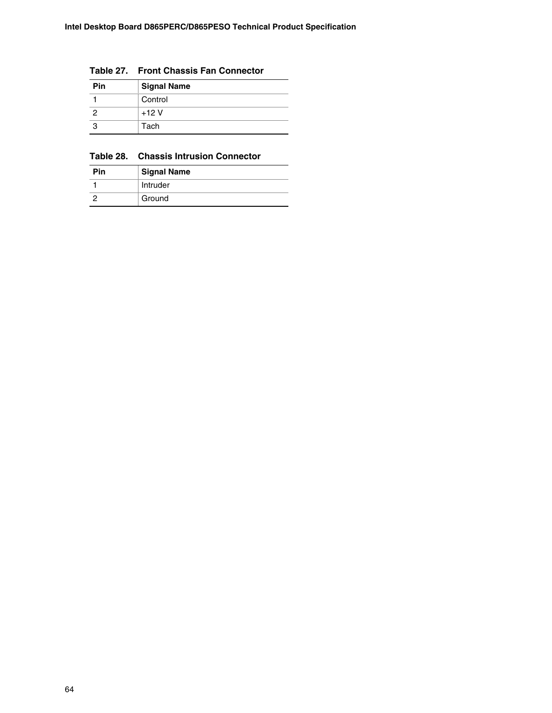| Pin | <b>Signal Name</b> |
|-----|--------------------|
|     | Control            |
|     | $+12V$             |
|     | Tach               |

<span id="page-63-0"></span>**Table 27. Front Chassis Fan Connector** 

#### **Table 28. Chassis Intrusion Connector**

| Pin | <b>Signal Name</b> |
|-----|--------------------|
|     | Intruder           |
| ◠   | Ground             |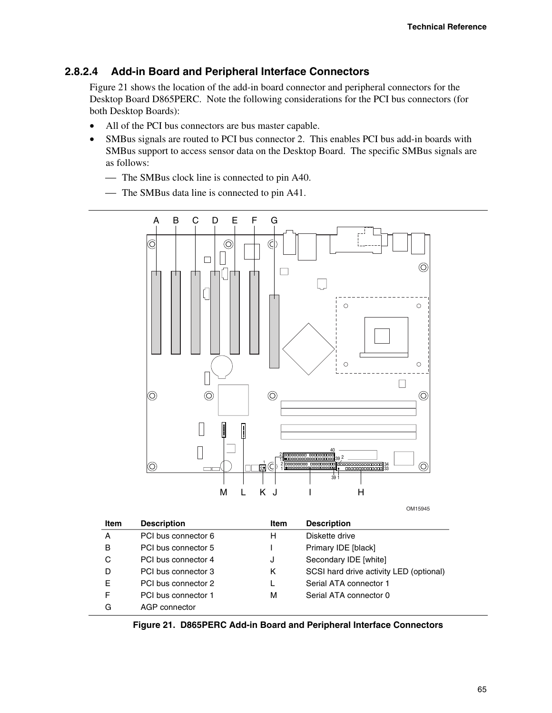### <span id="page-64-0"></span>**2.8.2.4 Add-in Board and Peripheral Interface Connectors**

Figure 21 shows the location of the add-in board connector and peripheral connectors for the Desktop Board D865PERC. Note the following considerations for the PCI bus connectors (for both Desktop Boards):

- All of the PCI bus connectors are bus master capable.
- SMBus signals are routed to PCI bus connector 2. This enables PCI bus add-in boards with SMBus support to access sensor data on the Desktop Board. The specific SMBus signals are as follows:
	- The SMBus clock line is connected to pin A40.
	- The SMBus data line is connected to pin A41.



OM15945

| Item | <b>Description</b>  | <b>Item</b> | <b>Description</b>                      |
|------|---------------------|-------------|-----------------------------------------|
| А    | PCI bus connector 6 | н           | Diskette drive                          |
| в    | PCI bus connector 5 |             | Primary IDE [black]                     |
| С    | PCI bus connector 4 | J           | Secondary IDE [white]                   |
| D    | PCI bus connector 3 | к           | SCSI hard drive activity LED (optional) |
| Е    | PCI bus connector 2 |             | Serial ATA connector 1                  |
| F    | PCI bus connector 1 | м           | Serial ATA connector 0                  |
| G    | AGP connector       |             |                                         |

**Figure 21. D865PERC Add-in Board and Peripheral Interface Connectors**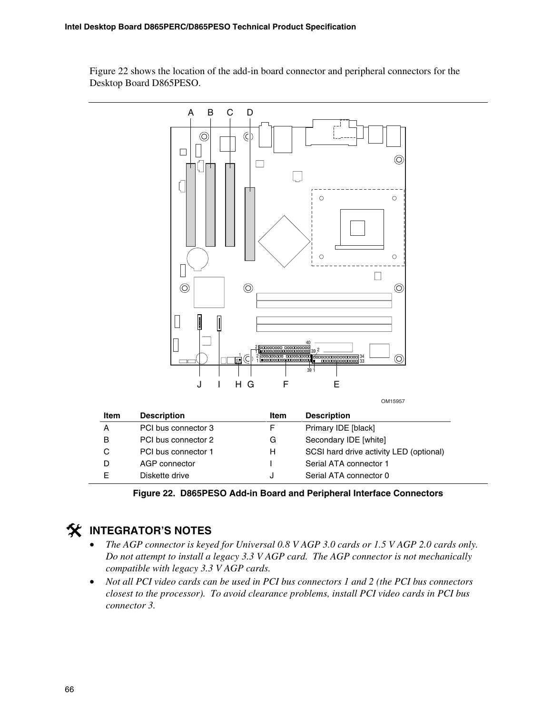

<span id="page-65-0"></span>Figure 22 shows the location of the add-in board connector and peripheral connectors for the Desktop Board D865PESO.

**Figure 22. D865PESO Add-in Board and Peripheral Interface Connectors** 

E Diskette drive J Serial ATA connector 0

## **X** INTEGRATOR'S NOTES

- *The AGP connector is keyed for Universal 0.8 V AGP 3.0 cards or 1.5 V AGP 2.0 cards only. Do not attempt to install a legacy 3.3 V AGP card. The AGP connector is not mechanically compatible with legacy 3.3 V AGP cards.*
- *Not all PCI video cards can be used in PCI bus connectors 1 and 2 (the PCI bus connectors closest to the processor). To avoid clearance problems, install PCI video cards in PCI bus connector 3.*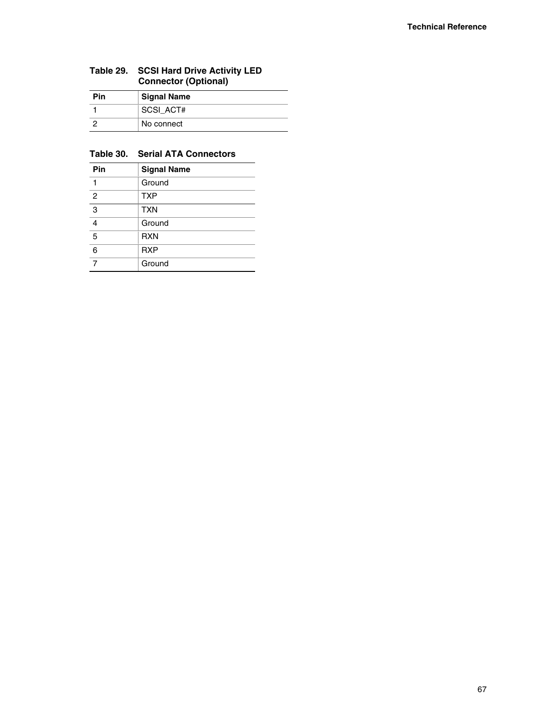#### **Table 29. SCSI Hard Drive Activity LED Connector (Optional)**

| Pin | <b>Signal Name</b> |
|-----|--------------------|
|     | SCSI ACT#          |
|     | No connect         |

#### **Table 30. Serial ATA Connectors**

| Pin                       | <b>Signal Name</b> |
|---------------------------|--------------------|
| 1                         | Ground             |
| $\overline{2}$            | <b>TXP</b>         |
| $\overline{\overline{3}}$ | <b>TXN</b>         |
| $\overline{4}$            | Ground             |
| $\overline{5}$            | <b>RXN</b>         |
| 6                         | <b>RXP</b>         |
| $\overline{7}$            | Ground             |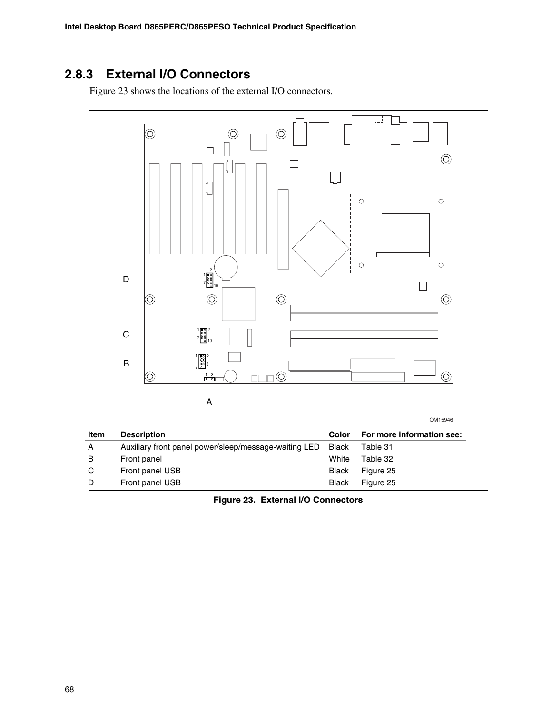## <span id="page-67-0"></span>**2.8.3 External I/O Connectors**

Figure 23 shows the locations of the external I/O connectors.



OM15946

| Item | <b>Description</b>                                    | Color        | For more information see: |
|------|-------------------------------------------------------|--------------|---------------------------|
| A    | Auxiliary front panel power/sleep/message-waiting LED | Black        | Table 31                  |
| B    | Front panel                                           | White        | Table 32                  |
| C    | Front panel USB                                       | <b>Black</b> | Figure 25                 |
| D    | Front panel USB                                       | <b>Black</b> | Figure 25                 |

**Figure 23. External I/O Connectors**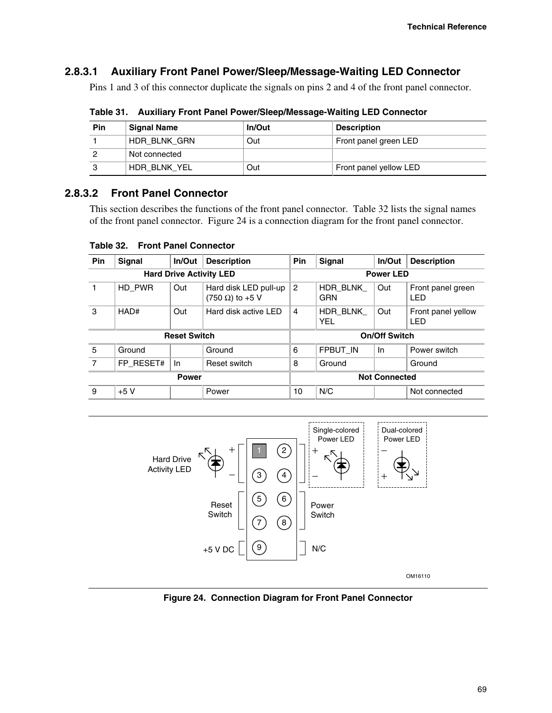### <span id="page-68-0"></span>**2.8.3.1 Auxiliary Front Panel Power/Sleep/Message-Waiting LED Connector**

Pins 1 and 3 of this connector duplicate the signals on pins 2 and 4 of the front panel connector.

| Pin | <b>Signal Name</b> | In/Out | <b>Description</b>     |
|-----|--------------------|--------|------------------------|
|     | HDR BLNK GRN       | Out    | Front panel green LED  |
|     | Not connected      |        |                        |
|     | HDR BLNK YEL       | Out    | Front panel yellow LED |

**Table 31. Auxiliary Front Panel Power/Sleep/Message-Waiting LED Connector** 

### **2.8.3.2 Front Panel Connector**

This section describes the functions of the front panel connector. Table 32 lists the signal names of the front panel connector. Figure 24 is a connection diagram for the front panel connector.

| <b>Pin</b>                     | Signal    | In/Out               | <b>Description</b>                              | <b>Pin</b>     | Signal                  | In/Out | <b>Description</b>        |
|--------------------------------|-----------|----------------------|-------------------------------------------------|----------------|-------------------------|--------|---------------------------|
| <b>Hard Drive Activity LED</b> |           |                      |                                                 |                | <b>Power LED</b>        |        |                           |
|                                | HD PWR    | Out                  | Hard disk LED pull-up<br>$(750 \Omega)$ to +5 V | $\overline{2}$ | HDR_BLNK_<br><b>GRN</b> | Out    | Front panel green<br>LED  |
| 3                              | HAD#      | Out                  | Hard disk active LED                            | 4              | HDR BLNK<br>YEL         | Out    | Front panel yellow<br>LED |
| <b>Reset Switch</b>            |           | <b>On/Off Switch</b> |                                                 |                |                         |        |                           |
| 5                              | Ground    |                      | Ground                                          | 6              | FPBUT_IN                | In     | Power switch              |
| $\overline{7}$                 | FP RESET# | In                   | Reset switch                                    | 8              | Ground                  |        | Ground                    |
| <b>Power</b>                   |           | <b>Not Connected</b> |                                                 |                |                         |        |                           |
| 9                              | $+5V$     |                      | Power                                           | 10             | N/C                     |        | Not connected             |

**Table 32. Front Panel Connector** 



**Figure 24. Connection Diagram for Front Panel Connector**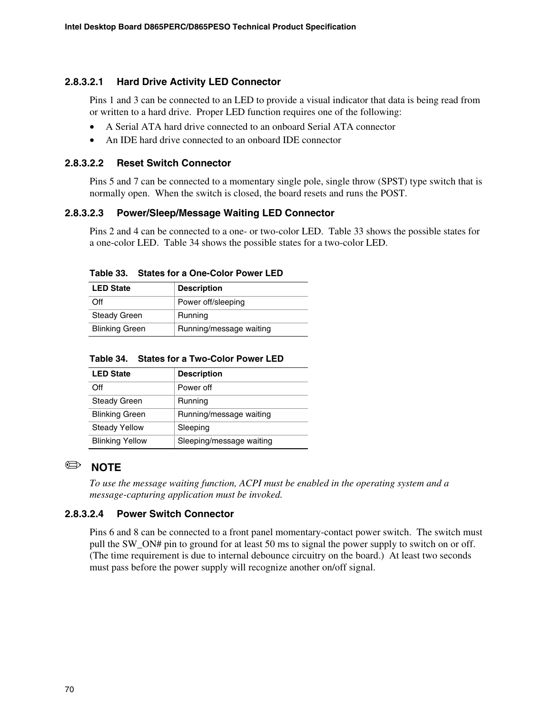#### **2.8.3.2.1 Hard Drive Activity LED Connector**

Pins 1 and 3 can be connected to an LED to provide a visual indicator that data is being read from or written to a hard drive. Proper LED function requires one of the following:

- A Serial ATA hard drive connected to an onboard Serial ATA connector
- An IDE hard drive connected to an onboard IDE connector

#### **2.8.3.2.2 Reset Switch Connector**

Pins 5 and 7 can be connected to a momentary single pole, single throw (SPST) type switch that is normally open. When the switch is closed, the board resets and runs the POST.

#### **2.8.3.2.3 Power/Sleep/Message Waiting LED Connector**

Pins 2 and 4 can be connected to a one- or two-color LED. Table 33 shows the possible states for a one-color LED. Table 34 shows the possible states for a two-color LED.

| <b>LED State</b>      | <b>Description</b>      |  |
|-----------------------|-------------------------|--|
| Off                   | Power off/sleeping      |  |
| Steady Green          | Running                 |  |
| <b>Blinking Green</b> | Running/message waiting |  |

**Table 33. States for a One-Color Power LED** 

| Table 34. States for a Two-Color Power LED |  |
|--------------------------------------------|--|
|                                            |  |

| <b>LED State</b>       | <b>Description</b>       |
|------------------------|--------------------------|
| Off                    | Power off                |
| <b>Steady Green</b>    | Running                  |
| <b>Blinking Green</b>  | Running/message waiting  |
| <b>Steady Yellow</b>   | Sleeping                 |
| <b>Blinking Yellow</b> | Sleeping/message waiting |

### ✏ **NOTE**

*To use the message waiting function, ACPI must be enabled in the operating system and a message-capturing application must be invoked.* 

#### **2.8.3.2.4 Power Switch Connector**

Pins 6 and 8 can be connected to a front panel momentary-contact power switch. The switch must pull the SW\_ON# pin to ground for at least 50 ms to signal the power supply to switch on or off. (The time requirement is due to internal debounce circuitry on the board.) At least two seconds must pass before the power supply will recognize another on/off signal.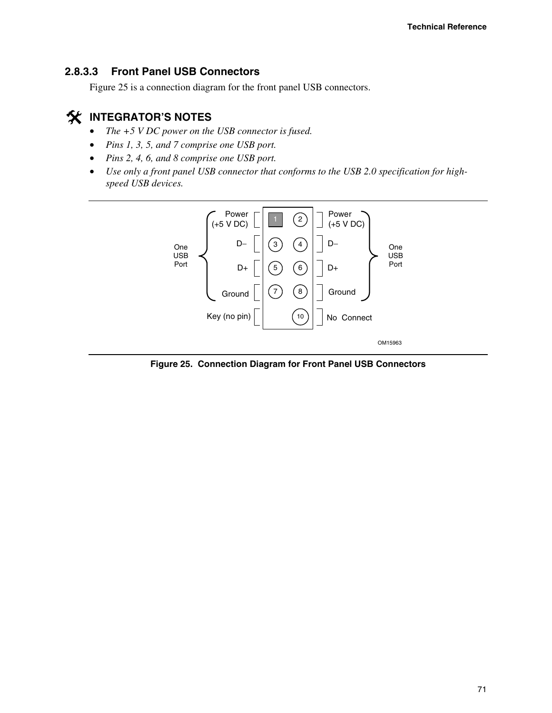### <span id="page-70-0"></span>**2.8.3.3 Front Panel USB Connectors**

Figure 25 is a connection diagram for the front panel USB connectors.

## **X** INTEGRATOR'S NOTES

- *The +5 V DC power on the USB connector is fused.*
- *Pins 1, 3, 5, and 7 comprise one USB port.*
- *Pins 2, 4, 6, and 8 comprise one USB port.*
- Use only a front panel USB connector that conforms to the USB 2.0 specification for high*speed USB devices.*



**Figure 25. Connection Diagram for Front Panel USB Connectors**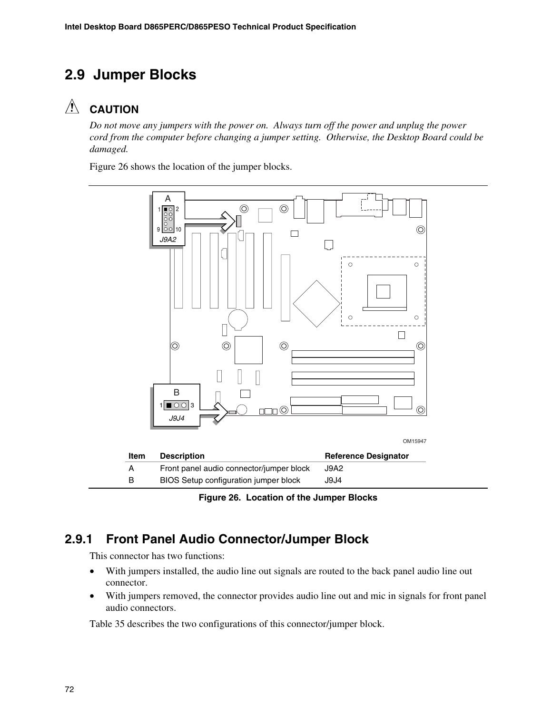# <span id="page-71-0"></span>**2.9 Jumper Blocks**

# $\hat{A}$  **CAUTION**

*Do not move any jumpers with the power on. Always turn off the power and unplug the power cord from the computer before changing a jumper setting. Otherwise, the Desktop Board could be damaged.* 

Figure 26 shows the location of the jumper blocks.



**Figure 26. Location of the Jumper Blocks** 

## **2.9.1 Front Panel Audio Connector/Jumper Block**

This connector has two functions:

- With jumpers installed, the audio line out signals are routed to the back panel audio line out connector.
- With jumpers removed, the connector provides audio line out and mic in signals for front panel audio connectors.

[Table 35](#page-72-0) describes the two configurations of this connector/jumper block.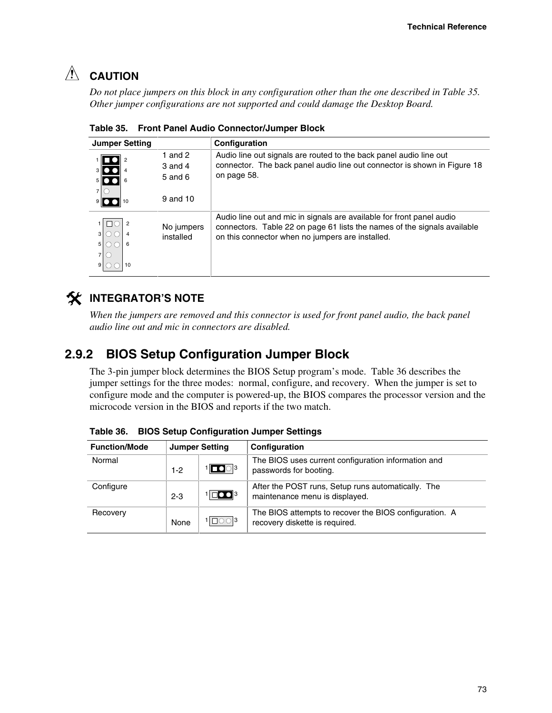# <span id="page-72-0"></span> $\hat{\mathbb{A}}$  **CAUTION**

*Do not place jumpers on this block in any configuration other than the one described in Table 35. Other jumper configurations are not supported and could damage the Desktop Board.* 

| <b>Jumper Setting</b> |             | Configuration                                                            |
|-----------------------|-------------|--------------------------------------------------------------------------|
|                       | 1 and $2$   | Audio line out signals are routed to the back panel audio line out       |
|                       | 3 and 4     | connector. The back panel audio line out connector is shown in Figure 18 |
|                       | $5$ and $6$ | on page 58.                                                              |
| 7   O<br>10           | 9 and 10    |                                                                          |
| $\Box$                |             | Audio line out and mic in signals are available for front panel audio    |
| 3                     | No jumpers  | connectors. Table 22 on page 61 lists the names of the signals available |
| 5 OO<br>6             | installed   | on this connector when no jumpers are installed.                         |
| 70                    |             |                                                                          |
| 10                    |             |                                                                          |

**Table 35. Front Panel Audio Connector/Jumper Block** 

## **X** INTEGRATOR'S NOTE

When the jumpers are removed and this connector is used for front panel audio, the back panel *audio line out and mic in connectors are disabled.* 

### **2.9.2 BIOS Setup Configuration Jumper Block**

The 3-pin jumper block determines the BIOS Setup program's mode. Table 36 describes the jumper settings for the three modes: normal, configure, and recovery. When the jumper is set to configure mode and the computer is powered-up, the BIOS compares the processor version and the microcode version in the BIOS and reports if the two match.

| <b>Function/Mode</b> | <b>Jumper Setting</b> |                                                                       | Configuration                                                                            |
|----------------------|-----------------------|-----------------------------------------------------------------------|------------------------------------------------------------------------------------------|
| Normal               | $1 - 2$               | $\Box$ O $\odot$ <sup>3</sup>                                         | The BIOS uses current configuration information and<br>passwords for booting.            |
| Configure            | $2 - 3$               | $\blacksquare$ $\bullet$ $\blacksquare$ $\blacksquare$ $\blacksquare$ | After the POST runs, Setup runs automatically. The<br>maintenance menu is displayed.     |
| Recovery             | None                  | $\bigcap \bigcirc \bigcirc \big 3$                                    | The BIOS attempts to recover the BIOS configuration. A<br>recovery diskette is required. |

**Table 36. BIOS Setup Configuration Jumper Settings**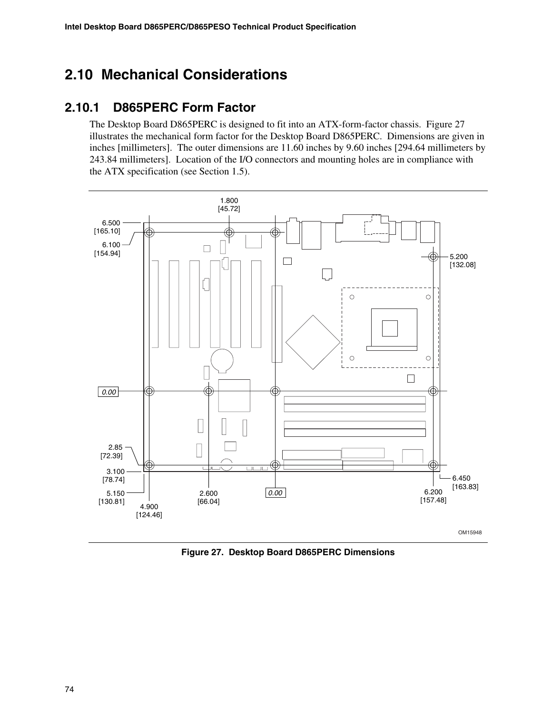# **2.10 Mechanical Considerations**

### **2.10.1 D865PERC Form Factor**

The Desktop Board D865PERC is designed to fit into an ATX-form-factor chassis. Figure 27 illustrates the mechanical form factor for the Desktop Board D865PERC. Dimensions are given in inches [millimeters]. The outer dimensions are 11.60 inches by 9.60 inches [294.64 millimeters by 243.84 millimeters]. Location of the I/O connectors and mounting holes are in compliance with the ATX specification (see Section [1.5\)](#page-17-0).



**Figure 27. Desktop Board D865PERC Dimensions**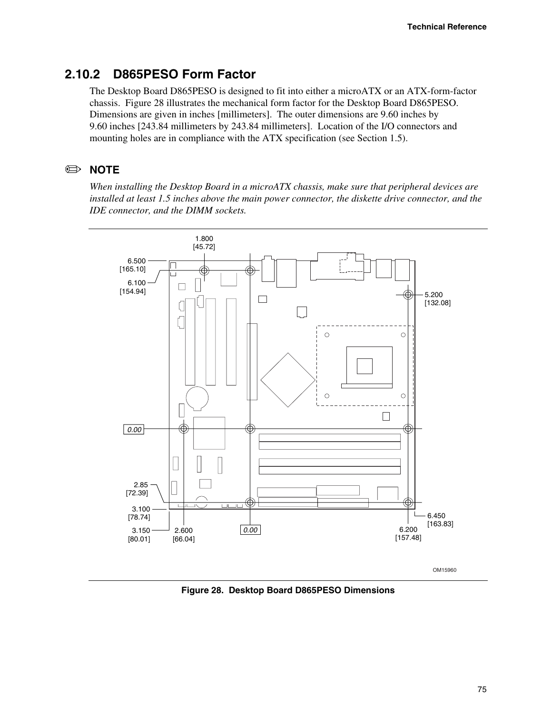### **2.10.2 D865PESO Form Factor**

The Desktop Board D865PESO is designed to fit into either a microATX or an ATX-form-factor chassis. Figure 28 illustrates the mechanical form factor for the Desktop Board D865PESO. Dimensions are given in inches [millimeters]. The outer dimensions are 9.60 inches by 9.60 inches [243.84 millimeters by 243.84 millimeters]. Location of the I/O connectors and mounting holes are in compliance with the ATX specification (see Section [1.5\)](#page-17-0).

#### ✏ **NOTE**

*When installing the Desktop Board in a microATX chassis, make sure that peripheral devices are installed at least 1.5 inches above the main power connector, the diskette drive connector, and the IDE connector, and the DIMM sockets.* 



**Figure 28. Desktop Board D865PESO Dimensions**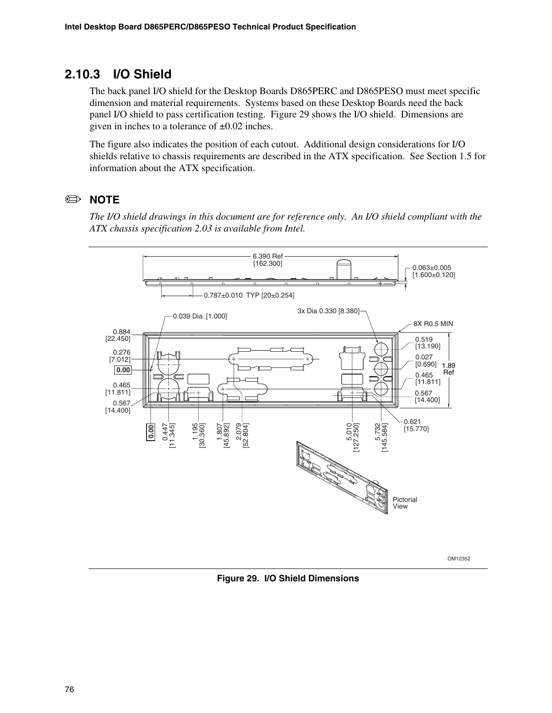### **2.10.3 I/O Shield**

The back panel I/O shield for the Desktop Boards D865PERC and D865PESO must meet specific dimension and material requirements. Systems based on these Desktop Boards need the back panel I/O shield to pass certification testing. Figure 29 shows the I/O shield. Dimensions are given in inches to a tolerance of ±0.02 inches.

The figure also indicates the position of each cutout. Additional design considerations for I/O shields relative to chassis requirements are described in the ATX specification. See Section [1.5](#page-17-0) for information about the ATX specification.

#### ✏ **NOTE**

*The I/O shield drawings in this document are for reference only. An I/O shield compliant with the ATX chassis specification 2.03 is available from Intel.* 



**Figure 29. I/O Shield Dimensions**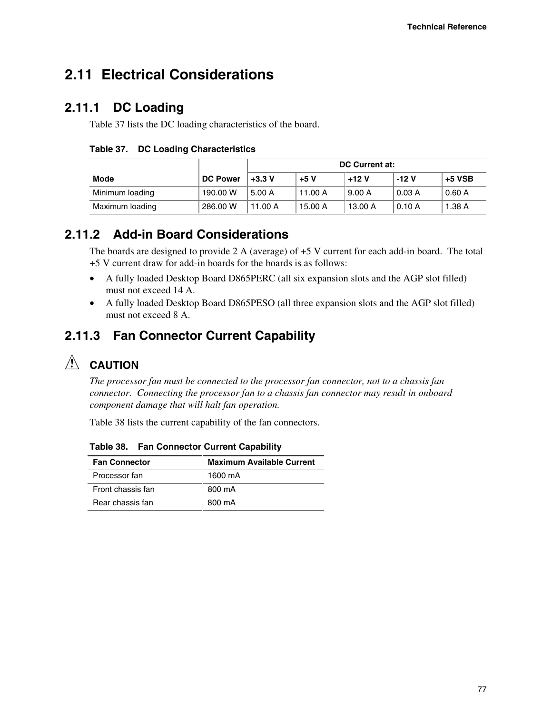# <span id="page-76-0"></span>**2.11 Electrical Considerations**

### **2.11.1 DC Loading**

Table 37 lists the DC loading characteristics of the board.

|  | Table 37. DC Loading Characteristics |
|--|--------------------------------------|
|--|--------------------------------------|

|                 |                 |          |         | <b>DC Current at:</b> |        |          |
|-----------------|-----------------|----------|---------|-----------------------|--------|----------|
| <b>Mode</b>     | <b>DC Power</b> | $+3.3$ V | +5 V    | $+12V$                | $-12V$ | $+5$ VSB |
| Minimum loading | 190.00 W        | 5.00 A   | 11.00 A | 9.00A                 | 0.03A  | 0.60A    |
| Maximum loading | 286,00 W        | 11.00 A  | 15.00 A | 13.00 A               | 0.10 A | 1.38A    |

#### **2.11.2 Add-in Board Considerations**

The boards are designed to provide 2 A (average) of +5 V current for each add-in board. The total +5 V current draw for add-in boards for the boards is as follows:

- A fully loaded Desktop Board D865PERC (all six expansion slots and the AGP slot filled) must not exceed 14 A.
- A fully loaded Desktop Board D865PESO (all three expansion slots and the AGP slot filled) must not exceed 8 A.

### **2.11.3 Fan Connector Current Capability**

# $\hat{A}$  **CAUTION**

*The processor fan must be connected to the processor fan connector, not to a chassis fan connector. Connecting the processor fan to a chassis fan connector may result in onboard component damage that will halt fan operation.* 

Table 38 lists the current capability of the fan connectors.

| <b>Fan Connector</b> | <b>Maximum Available Current</b> |
|----------------------|----------------------------------|
| Processor fan        | 1600 mA                          |
| Front chassis fan    | 800 mA                           |
| Rear chassis fan     | 800 mA                           |

**Table 38. Fan Connector Current Capability**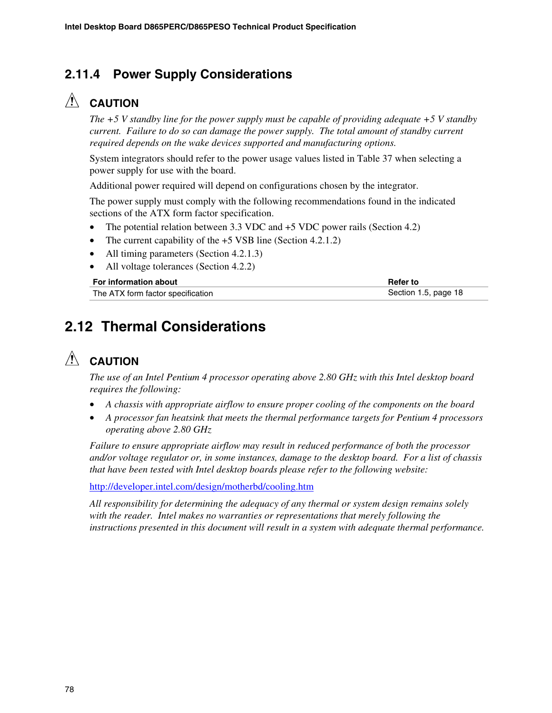### **2.11.4 Power Supply Considerations**

# $\hat{P}$  **CAUTION**

*The +5 V standby line for the power supply must be capable of providing adequate +5 V standby current. Failure to do so can damage the power supply. The total amount of standby current required depends on the wake devices supported and manufacturing options.* 

System integrators should refer to the power usage values listed in [Table 37](#page-76-0) when selecting a power supply for use with the board.

Additional power required will depend on configurations chosen by the integrator.

The power supply must comply with the following recommendations found in the indicated sections of the ATX form factor specification.

- The potential relation between 3.3 VDC and  $+5$  VDC power rails (Section 4.2)
- The current capability of the  $+5$  VSB line (Section 4.2.1.2)
- All timing parameters (Section 4.2.1.3)
- All voltage tolerances (Section 4.2.2)

#### **For information about Refer to**

| 1 YI 11119111146911 GDVGG         |                      |
|-----------------------------------|----------------------|
| The ATX form factor specification | Section 1.5, page 18 |

# **2.12 Thermal Considerations**

# $\hat{A}$  **CAUTION**

*The use of an Intel Pentium 4 processor operating above 2.80 GHz with this Intel desktop board requires the following:* 

- *A chassis with appropriate airflow to ensure proper cooling of the components on the board*
- *A processor fan heatsink that meets the thermal performance targets for Pentium 4 processors operating above 2.80 GHz*

*Failure to ensure appropriate airflow may result in reduced performance of both the processor and/or voltage regulator or, in some instances, damage to the desktop board. For a list of chassis that have been tested with Intel desktop boards please refer to the following website:* 

<http://developer.intel.com/design/motherbd/cooling.htm>

*All responsibility for determining the adequacy of any thermal or system design remains solely with the reader. Intel makes no warranties or representations that merely following the instructions presented in this document will result in a system with adequate thermal performance.*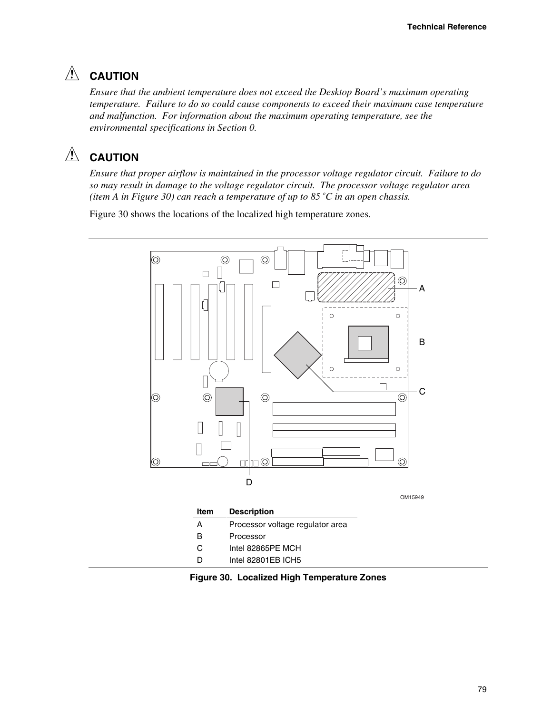# $\hat{\mathbb{A}}$  **CAUTION**

*Ensure that the ambient temperature does not exceed the Desktop Board's maximum operating temperature. Failure to do so could cause components to exceed their maximum case temperature and malfunction. For information about the maximum operating temperature, see the environmental specifications in Section [0.](#page-80-0)* 

# $\hat{I}$  **CAUTION**

*Ensure that proper airflow is maintained in the processor voltage regulator circuit. Failure to do so may result in damage to the voltage regulator circuit. The processor voltage regulator area*  (*item A in Figure 30*) can reach a temperature of up to 85 °C in an open chassis.

Figure 30 shows the locations of the localized high temperature zones.



**Figure 30. Localized High Temperature Zones**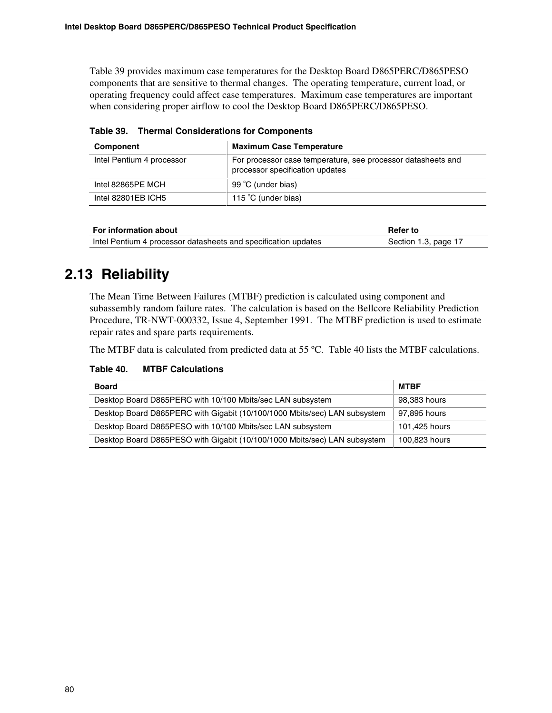Table 39 provides maximum case temperatures for the Desktop Board D865PERC/D865PESO components that are sensitive to thermal changes. The operating temperature, current load, or operating frequency could affect case temperatures. Maximum case temperatures are important when considering proper airflow to cool the Desktop Board D865PERC/D865PESO.

| Component                 | <b>Maximum Case Temperature</b>                                                                 |
|---------------------------|-------------------------------------------------------------------------------------------------|
| Intel Pentium 4 processor | For processor case temperature, see processor datasheets and<br>processor specification updates |
| Intel 82865PE MCH         | 99 °C (under bias)                                                                              |
| Intel 82801EB ICH5        | 115 °C (under bias)                                                                             |

**Table 39. Thermal Considerations for Components** 

| For information about                                          | <b>Refer to</b>      |
|----------------------------------------------------------------|----------------------|
| Intel Pentium 4 processor datasheets and specification updates | Section 1.3, page 17 |

# **2.13 Reliability**

The Mean Time Between Failures (MTBF) prediction is calculated using component and subassembly random failure rates. The calculation is based on the Bellcore Reliability Prediction Procedure, TR-NWT-000332, Issue 4, September 1991. The MTBF prediction is used to estimate repair rates and spare parts requirements.

The MTBF data is calculated from predicted data at 55 ºC. Table 40 lists the MTBF calculations.

|  | Table 40. |  | <b>MTBF Calculations</b> |
|--|-----------|--|--------------------------|
|--|-----------|--|--------------------------|

| <b>Board</b>                                                              | <b>MTBF</b>   |
|---------------------------------------------------------------------------|---------------|
| Desktop Board D865PERC with 10/100 Mbits/sec LAN subsystem                | 98,383 hours  |
| Desktop Board D865PERC with Gigabit (10/100/1000 Mbits/sec) LAN subsystem | 97,895 hours  |
| Desktop Board D865PESO with 10/100 Mbits/sec LAN subsystem                | 101,425 hours |
| Desktop Board D865PESO with Gigabit (10/100/1000 Mbits/sec) LAN subsystem | 100,823 hours |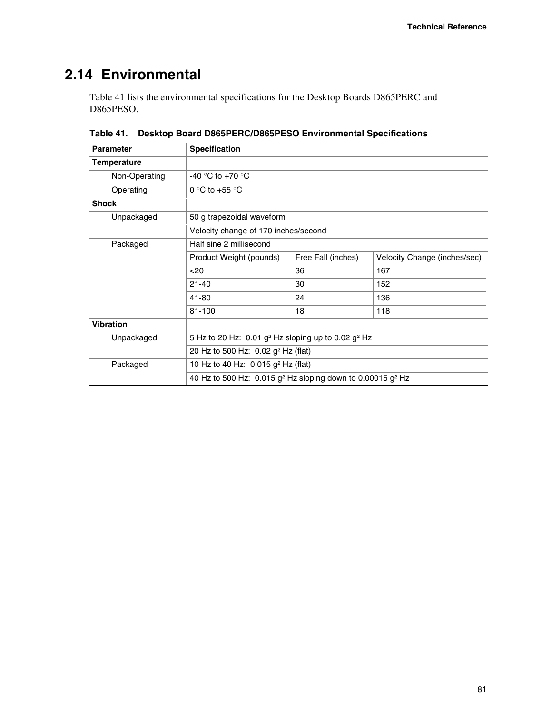# <span id="page-80-0"></span>**2.14 Environmental**

Table 41 lists the environmental specifications for the Desktop Boards D865PERC and D865PESO.

| <b>Parameter</b>                                                                           | <b>Specification</b>                                                               |                    |                              |  |  |
|--------------------------------------------------------------------------------------------|------------------------------------------------------------------------------------|--------------------|------------------------------|--|--|
| <b>Temperature</b>                                                                         |                                                                                    |                    |                              |  |  |
| Non-Operating                                                                              | -40 °C to +70 °C                                                                   |                    |                              |  |  |
| Operating                                                                                  | 0 °C to +55 °C                                                                     |                    |                              |  |  |
| <b>Shock</b>                                                                               |                                                                                    |                    |                              |  |  |
| Unpackaged                                                                                 | 50 g trapezoidal waveform                                                          |                    |                              |  |  |
|                                                                                            | Velocity change of 170 inches/second                                               |                    |                              |  |  |
| Packaged                                                                                   | Half sine 2 millisecond                                                            |                    |                              |  |  |
|                                                                                            | Product Weight (pounds)                                                            | Free Fall (inches) | Velocity Change (inches/sec) |  |  |
|                                                                                            | $20$                                                                               | 36                 | 167                          |  |  |
|                                                                                            | $21 - 40$                                                                          | 30                 | 152                          |  |  |
|                                                                                            | 41-80                                                                              | 24                 | 136                          |  |  |
|                                                                                            | 81-100                                                                             | 18                 | 118                          |  |  |
| <b>Vibration</b>                                                                           |                                                                                    |                    |                              |  |  |
| 5 Hz to 20 Hz: $0.01$ g <sup>2</sup> Hz sloping up to 0.02 g <sup>2</sup> Hz<br>Unpackaged |                                                                                    |                    |                              |  |  |
|                                                                                            | 20 Hz to 500 Hz: 0.02 g <sup>2</sup> Hz (flat)                                     |                    |                              |  |  |
| Packaged                                                                                   | 10 Hz to 40 Hz: $0.015$ g <sup>2</sup> Hz (flat)                                   |                    |                              |  |  |
|                                                                                            | 40 Hz to 500 Hz: 0.015 g <sup>2</sup> Hz sloping down to 0.00015 g <sup>2</sup> Hz |                    |                              |  |  |

**Table 41. Desktop Board D865PERC/D865PESO Environmental Specifications**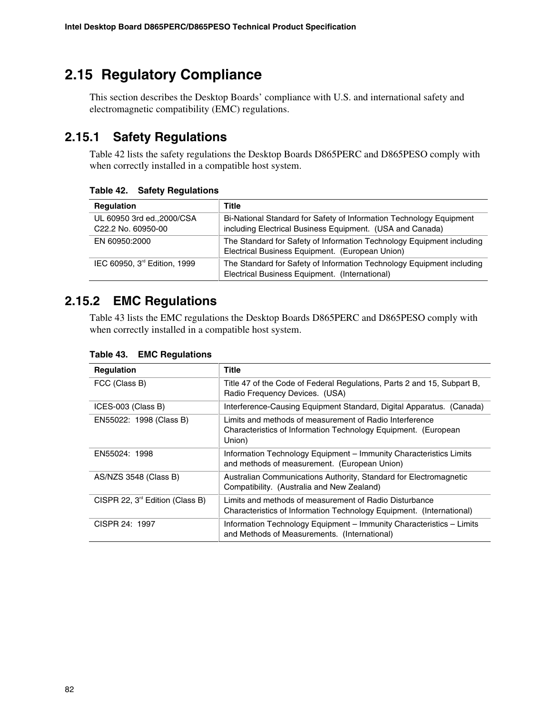# **2.15 Regulatory Compliance**

This section describes the Desktop Boards' compliance with U.S. and international safety and electromagnetic compatibility (EMC) regulations.

### **2.15.1 Safety Regulations**

Table 42 lists the safety regulations the Desktop Boards D865PERC and D865PESO comply with when correctly installed in a compatible host system.

| <b>Regulation</b>                                | Title                                                                                                                            |
|--------------------------------------------------|----------------------------------------------------------------------------------------------------------------------------------|
| UL 60950 3rd ed., 2000/CSA<br>C22.2 No. 60950-00 | Bi-National Standard for Safety of Information Technology Equipment<br>including Electrical Business Equipment. (USA and Canada) |
| EN 60950:2000                                    | The Standard for Safety of Information Technology Equipment including<br>Electrical Business Equipment. (European Union)         |
| IEC 60950, 3rd Edition, 1999                     | The Standard for Safety of Information Technology Equipment including<br>Electrical Business Equipment. (International)          |

**Table 42. Safety Regulations** 

### **2.15.2 EMC Regulations**

Table 43 lists the EMC regulations the Desktop Boards D865PERC and D865PESO comply with when correctly installed in a compatible host system.

| <b>Regulation</b>                           | <b>Title</b>                                                                                                                        |
|---------------------------------------------|-------------------------------------------------------------------------------------------------------------------------------------|
| FCC (Class B)                               | Title 47 of the Code of Federal Regulations, Parts 2 and 15, Subpart B,<br>Radio Frequency Devices. (USA)                           |
| ICES-003 (Class B)                          | Interference-Causing Equipment Standard, Digital Apparatus. (Canada)                                                                |
| EN55022: 1998 (Class B)                     | Limits and methods of measurement of Radio Interference<br>Characteristics of Information Technology Equipment. (European<br>Union) |
| EN55024: 1998                               | Information Technology Equipment - Immunity Characteristics Limits<br>and methods of measurement. (European Union)                  |
| AS/NZS 3548 (Class B)                       | Australian Communications Authority, Standard for Electromagnetic<br>Compatibility. (Australia and New Zealand)                     |
| CISPR 22, 3 <sup>rd</sup> Edition (Class B) | Limits and methods of measurement of Radio Disturbance<br>Characteristics of Information Technology Equipment. (International)      |
| CISPR 24: 1997                              | Information Technology Equipment - Immunity Characteristics - Limits<br>and Methods of Measurements. (International)                |

#### **Table 43. EMC Regulations**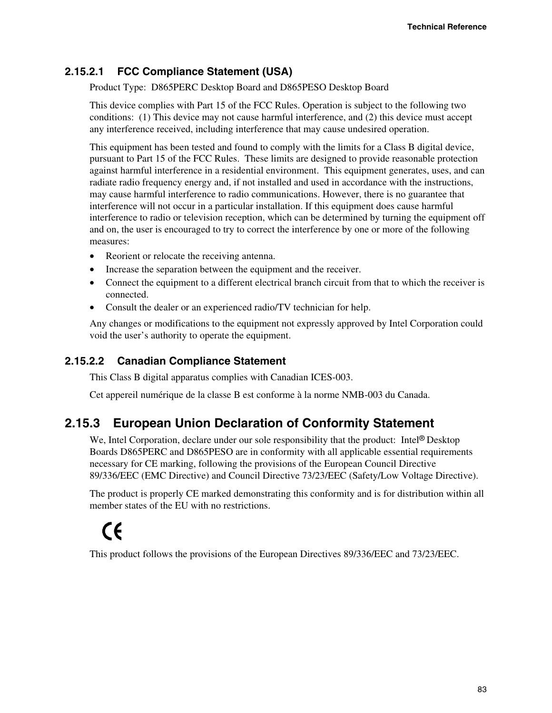#### **2.15.2.1 FCC Compliance Statement (USA)**

Product Type: D865PERC Desktop Board and D865PESO Desktop Board

This device complies with Part 15 of the FCC Rules. Operation is subject to the following two conditions: (1) This device may not cause harmful interference, and (2) this device must accept any interference received, including interference that may cause undesired operation.

This equipment has been tested and found to comply with the limits for a Class B digital device, pursuant to Part 15 of the FCC Rules. These limits are designed to provide reasonable protection against harmful interference in a residential environment. This equipment generates, uses, and can radiate radio frequency energy and, if not installed and used in accordance with the instructions, may cause harmful interference to radio communications. However, there is no guarantee that interference will not occur in a particular installation. If this equipment does cause harmful interference to radio or television reception, which can be determined by turning the equipment off and on, the user is encouraged to try to correct the interference by one or more of the following measures:

- Reorient or relocate the receiving antenna.
- Increase the separation between the equipment and the receiver.
- Connect the equipment to a different electrical branch circuit from that to which the receiver is connected.
- Consult the dealer or an experienced radio/TV technician for help.

Any changes or modifications to the equipment not expressly approved by Intel Corporation could void the user's authority to operate the equipment.

#### **2.15.2.2 Canadian Compliance Statement**

This Class B digital apparatus complies with Canadian ICES-003.

Cet appereil numérique de la classe B est conforme à la norme NMB-003 du Canada.

#### **2.15.3 European Union Declaration of Conformity Statement**

We, Intel Corporation, declare under our sole responsibility that the product: Intel<sup>®</sup> Desktop Boards D865PERC and D865PESO are in conformity with all applicable essential requirements necessary for CE marking, following the provisions of the European Council Directive 89/336/EEC (EMC Directive) and Council Directive 73/23/EEC (Safety/Low Voltage Directive).

The product is properly CE marked demonstrating this conformity and is for distribution within all member states of the EU with no restrictions.

# $\epsilon$

This product follows the provisions of the European Directives 89/336/EEC and 73/23/EEC.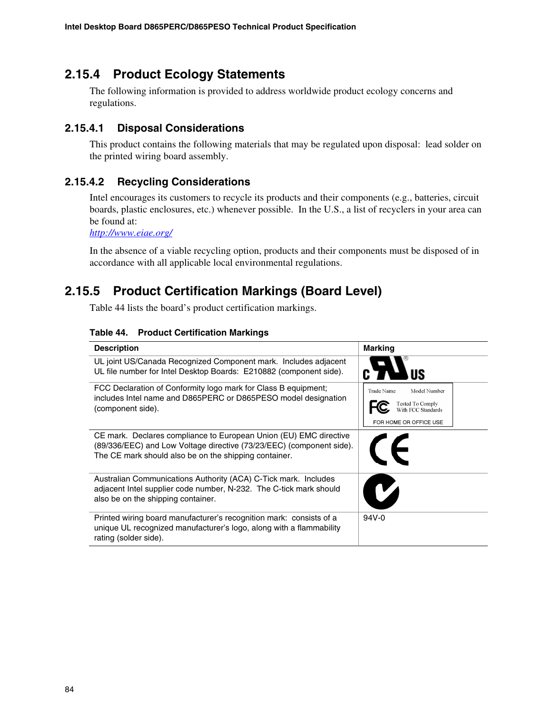### **2.15.4 Product Ecology Statements**

The following information is provided to address worldwide product ecology concerns and regulations.

#### **2.15.4.1 Disposal Considerations**

This product contains the following materials that may be regulated upon disposal: lead solder on the printed wiring board assembly.

#### **2.15.4.2 Recycling Considerations**

Intel encourages its customers to recycle its products and their components (e.g., batteries, circuit boards, plastic enclosures, etc.) whenever possible. In the U.S., a list of recyclers in your area can be found at:

*<http://www.eiae.org/>*

In the absence of a viable recycling option, products and their components must be disposed of in accordance with all applicable local environmental regulations.

### **2.15.5 Product Certification Markings (Board Level)**

Table 44 lists the board's product certification markings.

#### **Table 44. Product Certification Markings**

| <b>Description</b>                                                                                                                                                                                 | <b>Marking</b>                                                                                 |
|----------------------------------------------------------------------------------------------------------------------------------------------------------------------------------------------------|------------------------------------------------------------------------------------------------|
| UL joint US/Canada Recognized Component mark. Includes adjacent<br>UL file number for Intel Desktop Boards: E210882 (component side).                                                              |                                                                                                |
| FCC Declaration of Conformity logo mark for Class B equipment;<br>includes Intel name and D865PERC or D865PESO model designation<br>(component side).                                              | Model Number<br>Trade Name<br>Tested To Comply<br>With FCC Standards<br>FOR HOME OR OFFICE USE |
| CE mark. Declares compliance to European Union (EU) EMC directive<br>(89/336/EEC) and Low Voltage directive (73/23/EEC) (component side).<br>The CE mark should also be on the shipping container. |                                                                                                |
| Australian Communications Authority (ACA) C-Tick mark. Includes<br>adjacent Intel supplier code number, N-232. The C-tick mark should<br>also be on the shipping container.                        |                                                                                                |
| Printed wiring board manufacturer's recognition mark: consists of a<br>unique UL recognized manufacturer's logo, along with a flammability<br>rating (solder side).                                | 94V-0                                                                                          |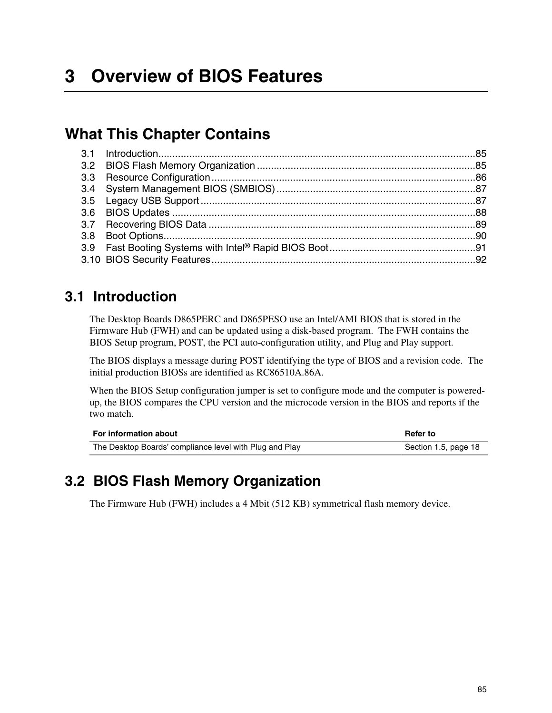# **3 Overview of BIOS Features**

# **What This Chapter Contains**

# **3.1 Introduction**

The Desktop Boards D865PERC and D865PESO use an Intel/AMI BIOS that is stored in the Firmware Hub (FWH) and can be updated using a disk-based program. The FWH contains the BIOS Setup program, POST, the PCI auto-configuration utility, and Plug and Play support.

The BIOS displays a message during POST identifying the type of BIOS and a revision code. The initial production BIOSs are identified as RC86510A.86A.

When the BIOS Setup configuration jumper is set to configure mode and the computer is poweredup, the BIOS compares the CPU version and the microcode version in the BIOS and reports if the two match.

| <b>For information about</b>                            | Refer to             |
|---------------------------------------------------------|----------------------|
| The Desktop Boards' compliance level with Plug and Play | Section 1.5, page 18 |

# **3.2 BIOS Flash Memory Organization**

The Firmware Hub (FWH) includes a 4 Mbit (512 KB) symmetrical flash memory device.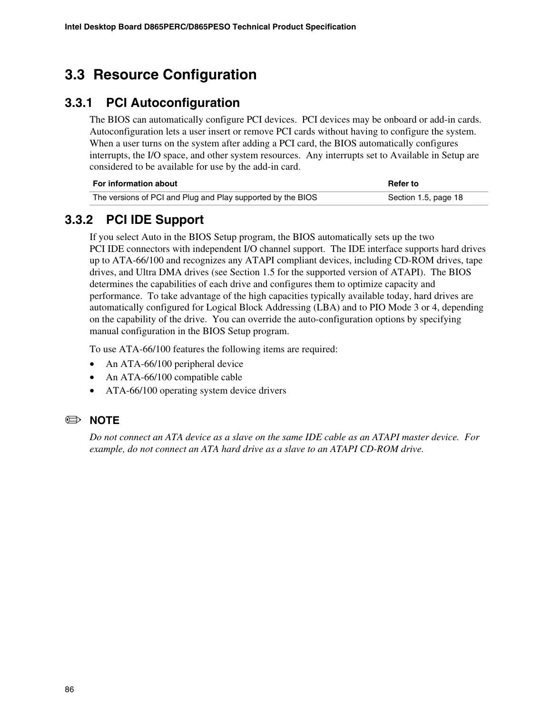# <span id="page-85-0"></span>**3.3 Resource Configuration**

### **3.3.1 PCI Autoconfiguration**

The BIOS can automatically configure PCI devices. PCI devices may be onboard or add-in cards. Autoconfiguration lets a user insert or remove PCI cards without having to configure the system. When a user turns on the system after adding a PCI card, the BIOS automatically configures interrupts, the I/O space, and other system resources. Any interrupts set to Available in Setup are considered to be available for use by the add-in card.

| <b>For information about</b>                                | Refer to             |
|-------------------------------------------------------------|----------------------|
| The versions of PCI and Plug and Play supported by the BIOS | Section 1.5, page 18 |

### **3.3.2 PCI IDE Support**

If you select Auto in the BIOS Setup program, the BIOS automatically sets up the two PCI IDE connectors with independent I/O channel support. The IDE interface supports hard drives up to ATA-66/100 and recognizes any ATAPI compliant devices, including CD-ROM drives, tape drives, and Ultra DMA drives (see Section [1.5](#page-17-0) for the supported version of ATAPI). The BIOS determines the capabilities of each drive and configures them to optimize capacity and performance. To take advantage of the high capacities typically available today, hard drives are automatically configured for Logical Block Addressing (LBA) and to PIO Mode 3 or 4, depending on the capability of the drive. You can override the auto-configuration options by specifying manual configuration in the BIOS Setup program.

To use ATA-66/100 features the following items are required:

- An ATA-66/100 peripheral device
- An ATA-66/100 compatible cable
- ATA-66/100 operating system device drivers

#### ✏ **NOTE**

*Do not connect an ATA device as a slave on the same IDE cable as an ATAPI master device. For example, do not connect an ATA hard drive as a slave to an ATAPI CD-ROM drive.*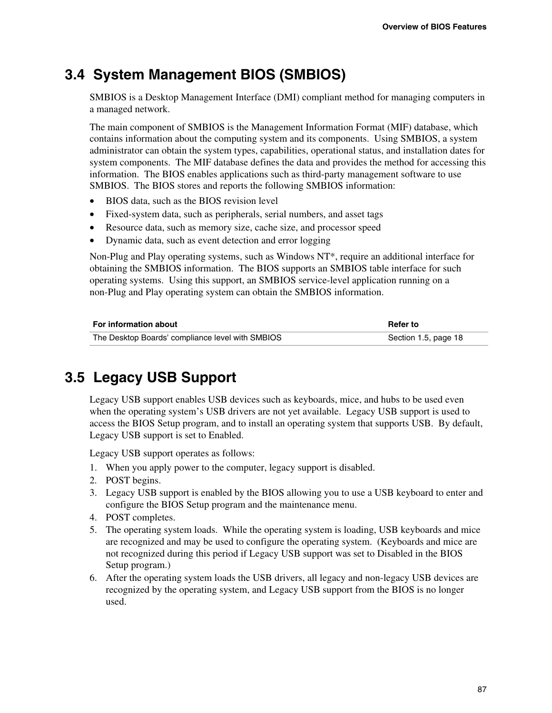# <span id="page-86-0"></span>**3.4 System Management BIOS (SMBIOS)**

SMBIOS is a Desktop Management Interface (DMI) compliant method for managing computers in a managed network.

The main component of SMBIOS is the Management Information Format (MIF) database, which contains information about the computing system and its components. Using SMBIOS, a system administrator can obtain the system types, capabilities, operational status, and installation dates for system components. The MIF database defines the data and provides the method for accessing this information. The BIOS enables applications such as third-party management software to use SMBIOS. The BIOS stores and reports the following SMBIOS information:

- BIOS data, such as the BIOS revision level
- Fixed-system data, such as peripherals, serial numbers, and asset tags
- Resource data, such as memory size, cache size, and processor speed
- Dynamic data, such as event detection and error logging

Non-Plug and Play operating systems, such as Windows NT\*, require an additional interface for obtaining the SMBIOS information. The BIOS supports an SMBIOS table interface for such operating systems. Using this support, an SMBIOS service-level application running on a non-Plug and Play operating system can obtain the SMBIOS information.

| For information about                            | <b>Refer to</b>      |
|--------------------------------------------------|----------------------|
| The Desktop Boards' compliance level with SMBIOS | Section 1.5, page 18 |

# **3.5 Legacy USB Support**

Legacy USB support enables USB devices such as keyboards, mice, and hubs to be used even when the operating system's USB drivers are not yet available. Legacy USB support is used to access the BIOS Setup program, and to install an operating system that supports USB. By default, Legacy USB support is set to Enabled.

Legacy USB support operates as follows:

- 1. When you apply power to the computer, legacy support is disabled.
- 2. POST begins.
- 3. Legacy USB support is enabled by the BIOS allowing you to use a USB keyboard to enter and configure the BIOS Setup program and the maintenance menu.
- 4. POST completes.
- 5. The operating system loads. While the operating system is loading, USB keyboards and mice are recognized and may be used to configure the operating system. (Keyboards and mice are not recognized during this period if Legacy USB support was set to Disabled in the BIOS Setup program.)
- 6. After the operating system loads the USB drivers, all legacy and non-legacy USB devices are recognized by the operating system, and Legacy USB support from the BIOS is no longer used.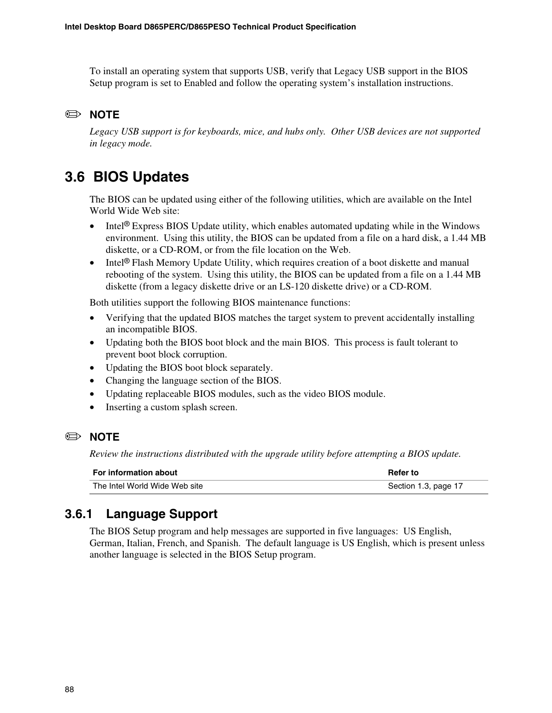<span id="page-87-0"></span>To install an operating system that supports USB, verify that Legacy USB support in the BIOS Setup program is set to Enabled and follow the operating system's installation instructions.

#### ✏ **NOTE**

*Legacy USB support is for keyboards, mice, and hubs only. Other USB devices are not supported in legacy mode.* 

## **3.6 BIOS Updates**

The BIOS can be updated using either of the following utilities, which are available on the Intel World Wide Web site:

- Intel<sup>®</sup> Express BIOS Update utility, which enables automated updating while in the Windows environment. Using this utility, the BIOS can be updated from a file on a hard disk, a 1.44 MB diskette, or a CD-ROM, or from the file location on the Web.
- Intel<sup>®</sup> Flash Memory Update Utility, which requires creation of a boot diskette and manual rebooting of the system. Using this utility, the BIOS can be updated from a file on a 1.44 MB diskette (from a legacy diskette drive or an LS-120 diskette drive) or a CD-ROM.

Both utilities support the following BIOS maintenance functions:

- Verifying that the updated BIOS matches the target system to prevent accidentally installing an incompatible BIOS.
- Updating both the BIOS boot block and the main BIOS. This process is fault tolerant to prevent boot block corruption.
- Updating the BIOS boot block separately.
- Changing the language section of the BIOS.
- Updating replaceable BIOS modules, such as the video BIOS module.
- Inserting a custom splash screen.

#### ✏ **NOTE**

*Review the instructions distributed with the upgrade utility before attempting a BIOS update.* 

| <b>For information about</b>  | Refer to             |
|-------------------------------|----------------------|
| The Intel World Wide Web site | Section 1.3, page 17 |

### **3.6.1 Language Support**

The BIOS Setup program and help messages are supported in five languages: US English, German, Italian, French, and Spanish. The default language is US English, which is present unless another language is selected in the BIOS Setup program.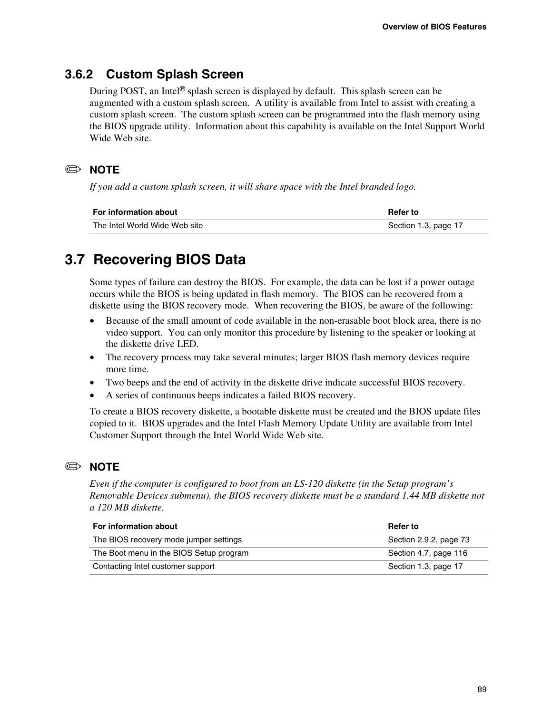### <span id="page-88-0"></span>**3.6.2 Custom Splash Screen**

During POST, an Intel® splash screen is displayed by default. This splash screen can be augmented with a custom splash screen. A utility is available from Intel to assist with creating a custom splash screen. The custom splash screen can be programmed into the flash memory using the BIOS upgrade utility. Information about this capability is available on the Intel Support World Wide Web site.

#### ✏ **NOTE**

*If you add a custom splash screen, it will share space with the Intel branded logo.* 

| For information about         | Refer to             |
|-------------------------------|----------------------|
| The Intel World Wide Web site | Section 1.3, page 17 |

# **3.7 Recovering BIOS Data**

Some types of failure can destroy the BIOS. For example, the data can be lost if a power outage occurs while the BIOS is being updated in flash memory. The BIOS can be recovered from a diskette using the BIOS recovery mode. When recovering the BIOS, be aware of the following:

- Because of the small amount of code available in the non-erasable boot block area, there is no video support. You can only monitor this procedure by listening to the speaker or looking at the diskette drive LED.
- The recovery process may take several minutes; larger BIOS flash memory devices require more time.
- Two beeps and the end of activity in the diskette drive indicate successful BIOS recovery.
- A series of continuous beeps indicates a failed BIOS recovery.

To create a BIOS recovery diskette, a bootable diskette must be created and the BIOS update files copied to it. BIOS upgrades and the Intel Flash Memory Update Utility are available from Intel Customer Support through the Intel World Wide Web site.

#### ✏ **NOTE**

*Even if the computer is configured to boot from an LS-120 diskette (in the Setup program's Removable Devices submenu), the BIOS recovery diskette must be a standard 1.44 MB diskette not a 120 MB diskette.* 

| For information about                   | Refer to               |
|-----------------------------------------|------------------------|
| The BIOS recovery mode jumper settings  | Section 2.9.2, page 73 |
| The Boot menu in the BIOS Setup program | Section 4.7, page 116  |
| Contacting Intel customer support       | Section 1.3, page 17   |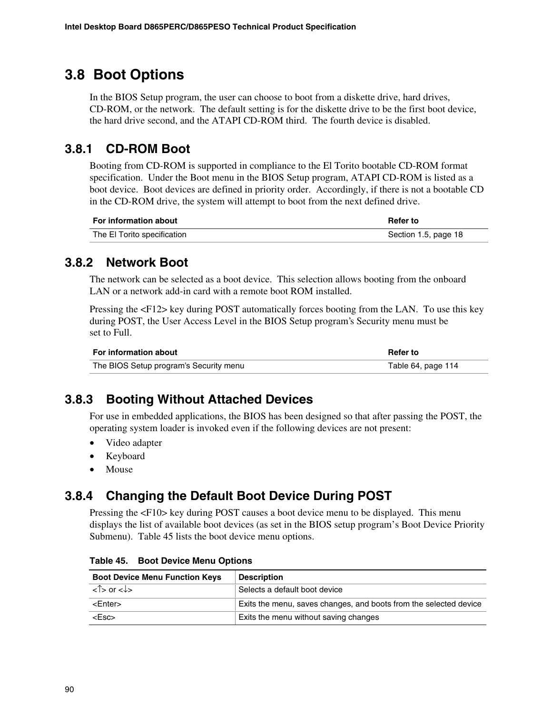# <span id="page-89-0"></span>**3.8 Boot Options**

In the BIOS Setup program, the user can choose to boot from a diskette drive, hard drives, CD-ROM, or the network. The default setting is for the diskette drive to be the first boot device, the hard drive second, and the ATAPI CD-ROM third. The fourth device is disabled.

### **3.8.1 CD-ROM Boot**

Booting from CD-ROM is supported in compliance to the El Torito bootable CD-ROM format specification. Under the Boot menu in the BIOS Setup program, ATAPI CD-ROM is listed as a boot device. Boot devices are defined in priority order. Accordingly, if there is not a bootable CD in the CD-ROM drive, the system will attempt to boot from the next defined drive.

| <b>For information about</b> | <b>Refer to</b>      |
|------------------------------|----------------------|
| The El Torito specification  | Section 1.5, page 18 |

#### **3.8.2 Network Boot**

The network can be selected as a boot device. This selection allows booting from the onboard LAN or a network add-in card with a remote boot ROM installed.

Pressing the <F12> key during POST automatically forces booting from the LAN. To use this key during POST, the User Access Level in the BIOS Setup program's Security menu must be set to Full.

| For information about                  | Refer to           |
|----------------------------------------|--------------------|
| The BIOS Setup program's Security menu | Table 64, page 114 |

### **3.8.3 Booting Without Attached Devices**

For use in embedded applications, the BIOS has been designed so that after passing the POST, the operating system loader is invoked even if the following devices are not present:

- Video adapter
- Keyboard
- Mouse

### **3.8.4 Changing the Default Boot Device During POST**

Pressing the <F10> key during POST causes a boot device menu to be displayed. This menu displays the list of available boot devices (as set in the BIOS setup program's Boot Device Priority Submenu). Table 45 lists the boot device menu options.

| <b>Boot Device Menu Function Keys</b> | <b>Description</b>                                                |
|---------------------------------------|-------------------------------------------------------------------|
| $<$ $\uparrow$ > or $<\downarrow$ >   | Selects a default boot device                                     |
| <enter></enter>                       | Exits the menu, saves changes, and boots from the selected device |
| $<$ Esc $>$                           | Exits the menu without saving changes                             |

**Table 45. Boot Device Menu Options**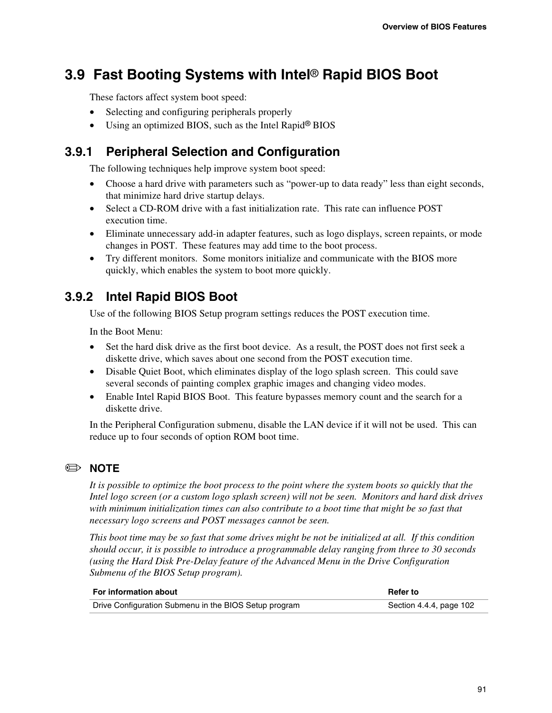# <span id="page-90-0"></span>**3.9 Fast Booting Systems with Intel**® **Rapid BIOS Boot**

These factors affect system boot speed:

- Selecting and configuring peripherals properly
- Using an optimized BIOS, such as the Intel Rapid<sup>®</sup> BIOS

### **3.9.1 Peripheral Selection and Configuration**

The following techniques help improve system boot speed:

- Choose a hard drive with parameters such as "power-up to data ready" less than eight seconds, that minimize hard drive startup delays.
- Select a CD-ROM drive with a fast initialization rate. This rate can influence POST execution time.
- Eliminate unnecessary add-in adapter features, such as logo displays, screen repaints, or mode changes in POST. These features may add time to the boot process.
- Try different monitors. Some monitors initialize and communicate with the BIOS more quickly, which enables the system to boot more quickly.

## **3.9.2 Intel Rapid BIOS Boot**

Use of the following BIOS Setup program settings reduces the POST execution time.

In the Boot Menu:

- Set the hard disk drive as the first boot device. As a result, the POST does not first seek a diskette drive, which saves about one second from the POST execution time.
- Disable Quiet Boot, which eliminates display of the logo splash screen. This could save several seconds of painting complex graphic images and changing video modes.
- Enable Intel Rapid BIOS Boot. This feature bypasses memory count and the search for a diskette drive.

In the Peripheral Configuration submenu, disable the LAN device if it will not be used. This can reduce up to four seconds of option ROM boot time.

#### ✏ **NOTE**

*It is possible to optimize the boot process to the point where the system boots so quickly that the Intel logo screen (or a custom logo splash screen) will not be seen. Monitors and hard disk drives with minimum initialization times can also contribute to a boot time that might be so fast that necessary logo screens and POST messages cannot be seen.* 

*This boot time may be so fast that some drives might be not be initialized at all. If this condition should occur, it is possible to introduce a programmable delay ranging from three to 30 seconds (using the Hard Disk Pre-Delay feature of the Advanced Menu in the Drive Configuration Submenu of the BIOS Setup program).* 

| <b>For information about</b>                          | Refer to                |
|-------------------------------------------------------|-------------------------|
| Drive Configuration Submenu in the BIOS Setup program | Section 4.4.4, page 102 |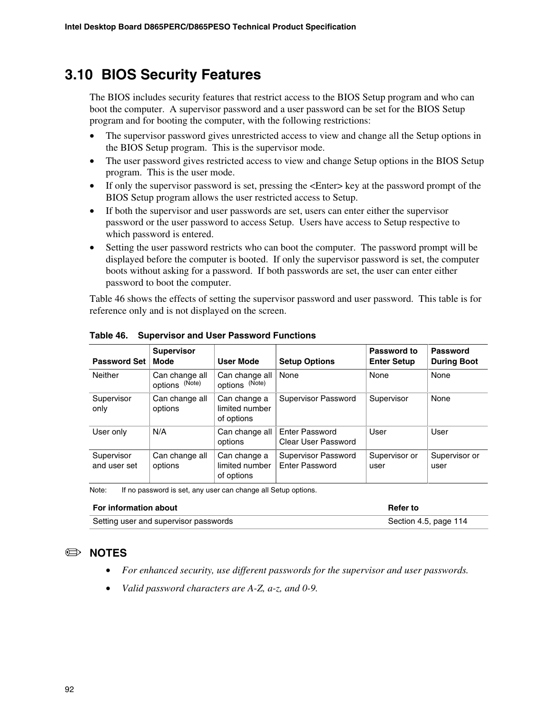# <span id="page-91-0"></span>**3.10 BIOS Security Features**

The BIOS includes security features that restrict access to the BIOS Setup program and who can boot the computer. A supervisor password and a user password can be set for the BIOS Setup program and for booting the computer, with the following restrictions:

- The supervisor password gives unrestricted access to view and change all the Setup options in the BIOS Setup program. This is the supervisor mode.
- The user password gives restricted access to view and change Setup options in the BIOS Setup program. This is the user mode.
- If only the supervisor password is set, pressing the  $\leq$ Enter $>$  key at the password prompt of the BIOS Setup program allows the user restricted access to Setup.
- If both the supervisor and user passwords are set, users can enter either the supervisor password or the user password to access Setup. Users have access to Setup respective to which password is entered.
- Setting the user password restricts who can boot the computer. The password prompt will be displayed before the computer is booted. If only the supervisor password is set, the computer boots without asking for a password. If both passwords are set, the user can enter either password to boot the computer.

Table 46 shows the effects of setting the supervisor password and user password. This table is for reference only and is not displayed on the screen.

| Password Set               | <b>Supervisor</b><br>Mode        | User Mode                                    | <b>Setup Options</b>                         | Password to<br><b>Enter Setup</b> | Password<br><b>During Boot</b> |
|----------------------------|----------------------------------|----------------------------------------------|----------------------------------------------|-----------------------------------|--------------------------------|
| Neither                    | Can change all<br>options (Note) | Can change all<br>options (Note)             | None                                         | None                              | None                           |
| Supervisor<br>only         | Can change all<br>options        | Can change a<br>limited number<br>of options | Supervisor Password                          | Supervisor                        | None                           |
| User only                  | N/A                              | Can change all<br>options                    | <b>Enter Password</b><br>Clear User Password | User                              | User                           |
| Supervisor<br>and user set | Can change all<br>options        | Can change a<br>limited number<br>of options | Supervisor Password<br><b>Enter Password</b> | Supervisor or<br>user             | Supervisor or<br>user          |

#### **Table 46. Supervisor and User Password Functions**

Note: If no password is set, any user can change all Setup options.

| For information about                 | Refer to              |
|---------------------------------------|-----------------------|
| Setting user and supervisor passwords | Section 4.5, page 114 |

#### ✏ **NOTES**

- *For enhanced security, use different passwords for the supervisor and user passwords.*
- *Valid password characters are A-Z, a-z, and 0-9.*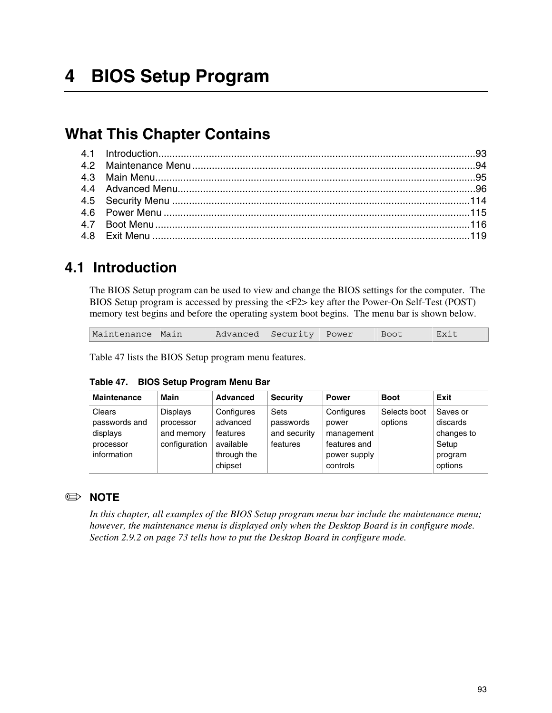# **What This Chapter Contains**

# **4.1 Introduction**

The BIOS Setup program can be used to view and change the BIOS settings for the computer. The BIOS Setup program is accessed by pressing the <F2> key after the Power-On Self-Test (POST) memory test begins and before the operating system boot begins. The menu bar is shown below.

| Maintenance Main |  | Advanced Security Power | Boot | Exit |
|------------------|--|-------------------------|------|------|
|                  |  |                         |      |      |

Table 47 lists the BIOS Setup program menu features.

|  | Table 47. BIOS Setup Program Menu Bar |  |  |
|--|---------------------------------------|--|--|
|--|---------------------------------------|--|--|

| <b>Maintenance</b>                                              | Main                                                 | Advanced                                                                  | <b>Security</b>                               | <b>Power</b>                                                                  | <b>Boot</b>             | Exit                                                              |
|-----------------------------------------------------------------|------------------------------------------------------|---------------------------------------------------------------------------|-----------------------------------------------|-------------------------------------------------------------------------------|-------------------------|-------------------------------------------------------------------|
| Clears<br>passwords and<br>displays<br>processor<br>information | Displays<br>processor<br>and memory<br>configuration | Configures<br>advanced<br>features<br>available<br>through the<br>chipset | Sets<br>passwords<br>and security<br>features | Configures<br>power<br>management<br>features and<br>power supply<br>controls | Selects boot<br>options | Saves or<br>discards<br>changes to<br>Setup<br>program<br>options |

#### ✏ **NOTE**

*In this chapter, all examples of the BIOS Setup program menu bar include the maintenance menu; however, the maintenance menu is displayed only when the Desktop Board is in configure mode. Section [2.9.2](#page-72-0) on page [73](#page-72-0) tells how to put the Desktop Board in configure mode.*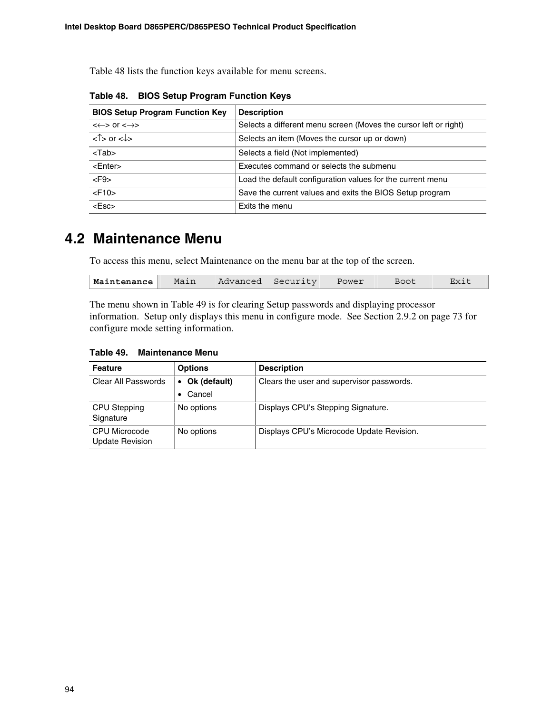<span id="page-93-0"></span>Table 48 lists the function keys available for menu screens.

| <b>BIOS Setup Program Function Key</b> | <b>Description</b>                                               |
|----------------------------------------|------------------------------------------------------------------|
| $\leftarrow$ or $\leftarrow$ >         | Selects a different menu screen (Moves the cursor left or right) |
| $<$ $\uparrow$ or $<\downarrow$ >      | Selects an item (Moves the cursor up or down)                    |
| $7ab>$                                 | Selects a field (Not implemented)                                |
| $<$ Enter $>$                          | Executes command or selects the submenu                          |
| $<$ F9 $>$                             | Load the default configuration values for the current menu       |
| $<$ F10 $>$                            | Save the current values and exits the BIOS Setup program         |
| $<$ Esc $>$                            | Exits the menu                                                   |

**Table 48. BIOS Setup Program Function Keys** 

## **4.2 Maintenance Menu**

To access this menu, select Maintenance on the menu bar at the top of the screen.

The menu shown in Table 49 is for clearing Setup passwords and displaying processor information. Setup only displays this menu in configure mode. See Section [2.9.2](#page-72-0) on page [73](#page-72-0) for configure mode setting information.

|  | Table 49. | <b>Maintenance Menu</b> |
|--|-----------|-------------------------|
|--|-----------|-------------------------|

| Feature                                 | <b>Options</b>            | <b>Description</b>                        |
|-----------------------------------------|---------------------------|-------------------------------------------|
| Clear All Passwords                     | Ok (default)<br>$\bullet$ | Clears the user and supervisor passwords. |
|                                         | Cancel                    |                                           |
| CPU Stepping<br>Signature               | No options                | Displays CPU's Stepping Signature.        |
| CPU Microcode<br><b>Update Revision</b> | No options                | Displays CPU's Microcode Update Revision. |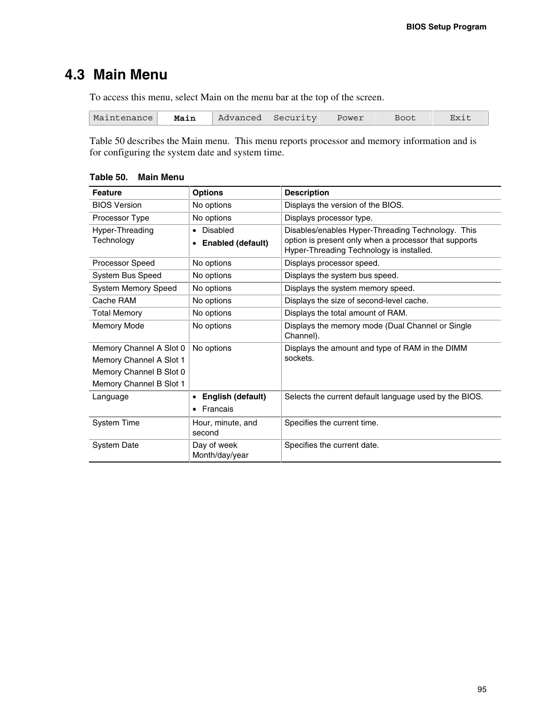# <span id="page-94-0"></span>**4.3 Main Menu**

To access this menu, select Main on the menu bar at the top of the screen.

| Maintenance   Main   Advanced Security |  |  |  | Power | <b>Boot</b> | Exit |
|----------------------------------------|--|--|--|-------|-------------|------|
|----------------------------------------|--|--|--|-------|-------------|------|

Table 50 describes the Main menu. This menu reports processor and memory information and is for configuring the system date and system time.

| <b>Feature</b>             | <b>Options</b>                 | <b>Description</b>                                                                                |
|----------------------------|--------------------------------|---------------------------------------------------------------------------------------------------|
| <b>BIOS Version</b>        | No options                     | Displays the version of the BIOS.                                                                 |
| Processor Type             | No options                     | Displays processor type.                                                                          |
| Hyper-Threading            | <b>Disabled</b><br>$\bullet$   | Disables/enables Hyper-Threading Technology. This                                                 |
| Technology                 | <b>Enabled (default)</b>       | option is present only when a processor that supports<br>Hyper-Threading Technology is installed. |
| Processor Speed            | No options                     | Displays processor speed.                                                                         |
| System Bus Speed           | No options                     | Displays the system bus speed.                                                                    |
| <b>System Memory Speed</b> | No options                     | Displays the system memory speed.                                                                 |
| Cache RAM                  | No options                     | Displays the size of second-level cache.                                                          |
| Total Memory               | No options                     | Displays the total amount of RAM.                                                                 |
| <b>Memory Mode</b>         | No options                     | Displays the memory mode (Dual Channel or Single<br>Channel).                                     |
| Memory Channel A Slot 0    | No options                     | Displays the amount and type of RAM in the DIMM                                                   |
| Memory Channel A Slot 1    |                                | sockets.                                                                                          |
| Memory Channel B Slot 0    |                                |                                                                                                   |
| Memory Channel B Slot 1    |                                |                                                                                                   |
| Language                   | English (default)<br>$\bullet$ | Selects the current default language used by the BIOS.                                            |
|                            | Francais                       |                                                                                                   |
| <b>System Time</b>         | Hour, minute, and<br>second    | Specifies the current time.                                                                       |
| <b>System Date</b>         | Day of week<br>Month/day/year  | Specifies the current date.                                                                       |

**Table 50. Main Menu**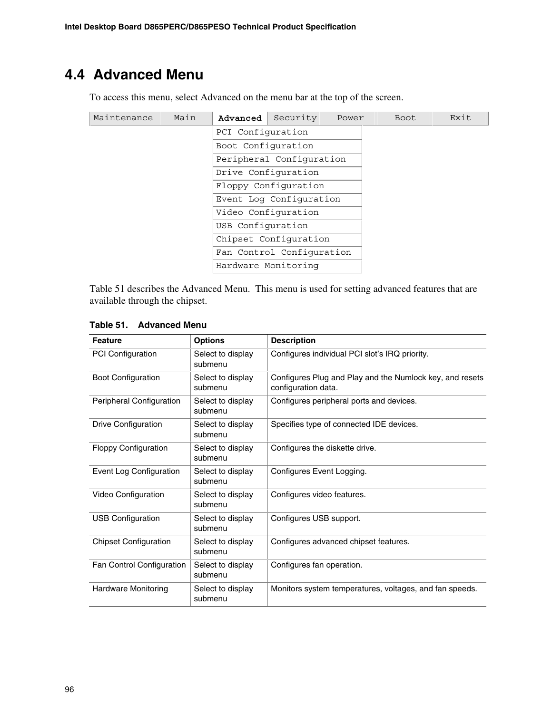# <span id="page-95-0"></span>**4.4 Advanced Menu**

To access this menu, select Advanced on the menu bar at the top of the screen.

| Maintenance | Main | Advanced                | Security                  | Power |  | Boot | Exit |
|-------------|------|-------------------------|---------------------------|-------|--|------|------|
|             |      |                         | PCI Configuration         |       |  |      |      |
|             |      | Boot Configuration      |                           |       |  |      |      |
|             |      |                         | Peripheral Configuration  |       |  |      |      |
|             |      |                         | Drive Configuration       |       |  |      |      |
|             |      | Floppy Configuration    |                           |       |  |      |      |
|             |      | Event Log Configuration |                           |       |  |      |      |
|             |      |                         | Video Configuration       |       |  |      |      |
|             |      |                         | USB Configuration         |       |  |      |      |
|             |      | Chipset Configuration   |                           |       |  |      |      |
|             |      |                         | Fan Control Configuration |       |  |      |      |
|             |      | Hardware Monitoring     |                           |       |  |      |      |

Table 51 describes the Advanced Menu. This menu is used for setting advanced features that are available through the chipset.

| <b>Feature</b>               | <b>Options</b>               | <b>Description</b>                                                              |
|------------------------------|------------------------------|---------------------------------------------------------------------------------|
| PCI Configuration            | Select to display<br>submenu | Configures individual PCI slot's IRQ priority.                                  |
| <b>Boot Configuration</b>    | Select to display<br>submenu | Configures Plug and Play and the Numlock key, and resets<br>configuration data. |
| Peripheral Configuration     | Select to display<br>submenu | Configures peripheral ports and devices.                                        |
| <b>Drive Configuration</b>   | Select to display<br>submenu | Specifies type of connected IDE devices.                                        |
| <b>Floppy Configuration</b>  | Select to display<br>submenu | Configures the diskette drive.                                                  |
| Event Log Configuration      | Select to display<br>submenu | Configures Event Logging.                                                       |
| Video Configuration          | Select to display<br>submenu | Configures video features.                                                      |
| <b>USB Configuration</b>     | Select to display<br>submenu | Configures USB support.                                                         |
| <b>Chipset Configuration</b> | Select to display<br>submenu | Configures advanced chipset features.                                           |
| Fan Control Configuration    | Select to display<br>submenu | Configures fan operation.                                                       |
| <b>Hardware Monitoring</b>   | Select to display<br>submenu | Monitors system temperatures, voltages, and fan speeds.                         |

#### **Table 51. Advanced Menu**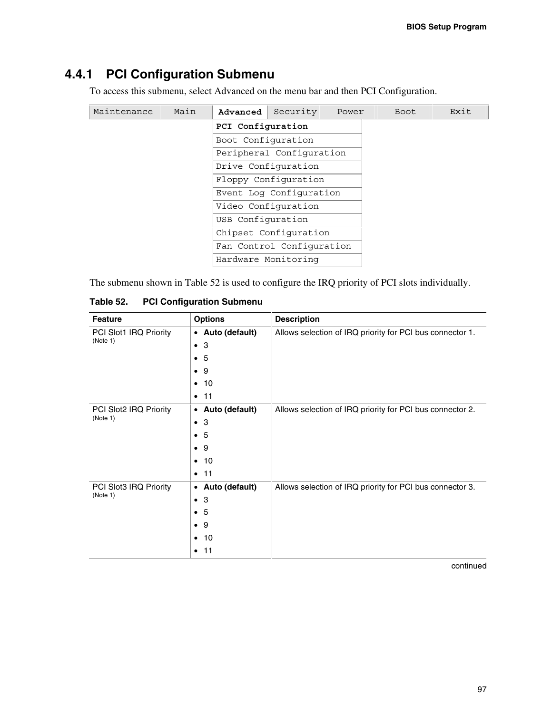### **4.4.1 PCI Configuration Submenu**

To access this submenu, select Advanced on the menu bar and then PCI Configuration.

| Maintenance | Main | Advanced                | Security                  | Power |  | Boot | Exit |
|-------------|------|-------------------------|---------------------------|-------|--|------|------|
|             |      |                         | PCI Configuration         |       |  |      |      |
|             |      | Boot Configuration      |                           |       |  |      |      |
|             |      |                         | Peripheral Configuration  |       |  |      |      |
|             |      | Drive Configuration     |                           |       |  |      |      |
|             |      |                         | Floppy Configuration      |       |  |      |      |
|             |      | Event Log Configuration |                           |       |  |      |      |
|             |      |                         | Video Configuration       |       |  |      |      |
|             |      |                         | USB Configuration         |       |  |      |      |
|             |      | Chipset Configuration   |                           |       |  |      |      |
|             |      |                         | Fan Control Configuration |       |  |      |      |
|             |      | Hardware Monitoring     |                           |       |  |      |      |

The submenu shown in Table 52 is used to configure the IRQ priority of PCI slots individually.

| <b>Feature</b>         | <b>Options</b>              | <b>Description</b>                                        |
|------------------------|-----------------------------|-----------------------------------------------------------|
| PCI Slot1 IRQ Priority | • Auto (default)            | Allows selection of IRQ priority for PCI bus connector 1. |
| (Note 1)               | -3<br>$\bullet$             |                                                           |
|                        | • 5                         |                                                           |
|                        | $\bullet$ 9                 |                                                           |
|                        | • 10                        |                                                           |
|                        | • 11                        |                                                           |
| PCI Slot2 IRQ Priority | • Auto (default)            | Allows selection of IRQ priority for PCI bus connector 2. |
| (Note 1)               | -3<br>$\bullet$             |                                                           |
|                        | • 5                         |                                                           |
|                        | $\bullet$ 9                 |                                                           |
|                        | • 10                        |                                                           |
|                        | • 11                        |                                                           |
| PCI Slot3 IRQ Priority | Auto (default)<br>$\bullet$ | Allows selection of IRQ priority for PCI bus connector 3. |
| (Note 1)               | -3<br>$\bullet$             |                                                           |
|                        | • 5                         |                                                           |
|                        | $\bullet$ 9                 |                                                           |
|                        | • 10                        |                                                           |
|                        | • 11                        |                                                           |

**Table 52. PCI Configuration Submenu** 

continued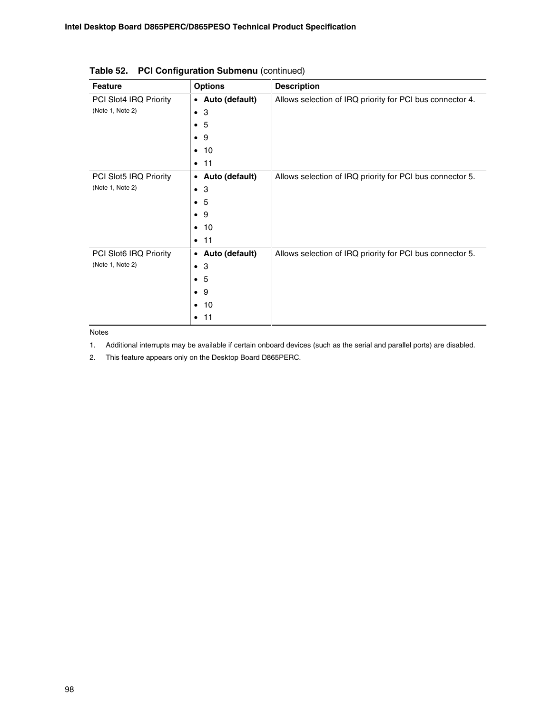| <b>Feature</b>                             | <b>Options</b>                      | <b>Description</b>                                        |
|--------------------------------------------|-------------------------------------|-----------------------------------------------------------|
| PCI Slot4 IRQ Priority<br>(Note 1, Note 2) | • Auto (default)<br>-3<br>$\bullet$ | Allows selection of IRQ priority for PCI bus connector 4. |
|                                            | - 5<br>$\bullet$                    |                                                           |
|                                            | $\bullet$ 9                         |                                                           |
|                                            | • 10                                |                                                           |
|                                            | • 11                                |                                                           |
| PCI Slot5 IRQ Priority                     | • Auto (default)                    | Allows selection of IRQ priority for PCI bus connector 5. |
| (Note 1, Note 2)                           | -3<br>$\bullet$                     |                                                           |
|                                            | • 5                                 |                                                           |
|                                            | $\bullet$ 9                         |                                                           |
|                                            | $\bullet$ 10                        |                                                           |
|                                            | • 11                                |                                                           |
| PCI Slot6 IRQ Priority                     | • Auto (default)                    | Allows selection of IRQ priority for PCI bus connector 5. |
| (Note 1, Note 2)                           | 3<br>$\bullet$                      |                                                           |
|                                            | -5<br>$\bullet$                     |                                                           |
|                                            | $\bullet$ 9                         |                                                           |
|                                            | $\bullet$ 10                        |                                                           |
|                                            | - 11<br>$\bullet$                   |                                                           |

#### **Table 52. PCI Configuration Submenu** (continued)

Notes

1. Additional interrupts may be available if certain onboard devices (such as the serial and parallel ports) are disabled.

2. This feature appears only on the Desktop Board D865PERC.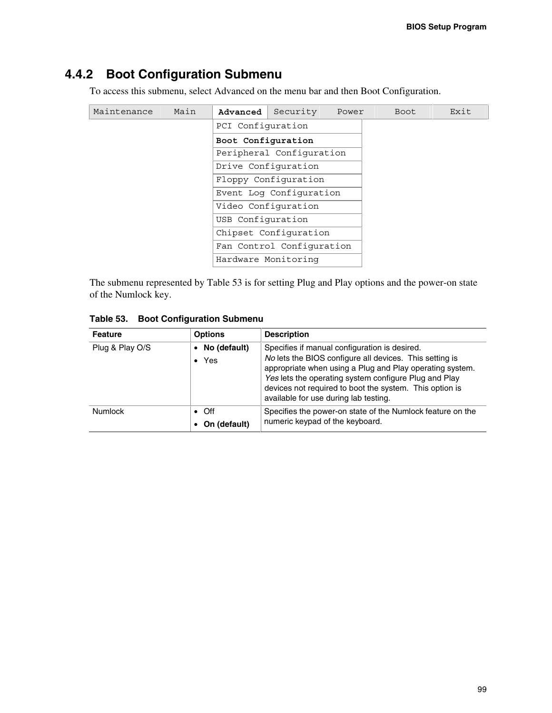### **4.4.2 Boot Configuration Submenu**

To access this submenu, select Advanced on the menu bar and then Boot Configuration.

| Maintenance | Main | Advanced             | Security                  | Power | Boot | Exit |
|-------------|------|----------------------|---------------------------|-------|------|------|
|             |      |                      | PCI Configuration         |       |      |      |
|             |      | Boot Configuration   |                           |       |      |      |
|             |      |                      | Peripheral Configuration  |       |      |      |
|             |      | Drive Configuration  |                           |       |      |      |
|             |      | Floppy Configuration |                           |       |      |      |
|             |      |                      | Event Log Configuration   |       |      |      |
|             |      | Video Configuration  |                           |       |      |      |
|             |      | USB Configuration    |                           |       |      |      |
|             |      |                      | Chipset Configuration     |       |      |      |
|             |      |                      | Fan Control Configuration |       |      |      |
|             |      | Hardware Monitoring  |                           |       |      |      |

The submenu represented by Table 53 is for setting Plug and Play options and the power-on state of the Numlock key.

| <b>Feature</b>  | <b>Options</b>                  | <b>Description</b>                                                                                                                                                                                                                                                                                                                |
|-----------------|---------------------------------|-----------------------------------------------------------------------------------------------------------------------------------------------------------------------------------------------------------------------------------------------------------------------------------------------------------------------------------|
| Plug & Play O/S | • No (default)<br>$\bullet$ Yes | Specifies if manual configuration is desired.<br>No lets the BIOS configure all devices. This setting is<br>appropriate when using a Plug and Play operating system.<br>Yes lets the operating system configure Plug and Play<br>devices not required to boot the system. This option is<br>available for use during lab testing. |
| <b>Numlock</b>  | $\bullet$ Off<br>On (default)   | Specifies the power-on state of the Numlock feature on the<br>numeric keypad of the keyboard.                                                                                                                                                                                                                                     |

#### **Table 53. Boot Configuration Submenu**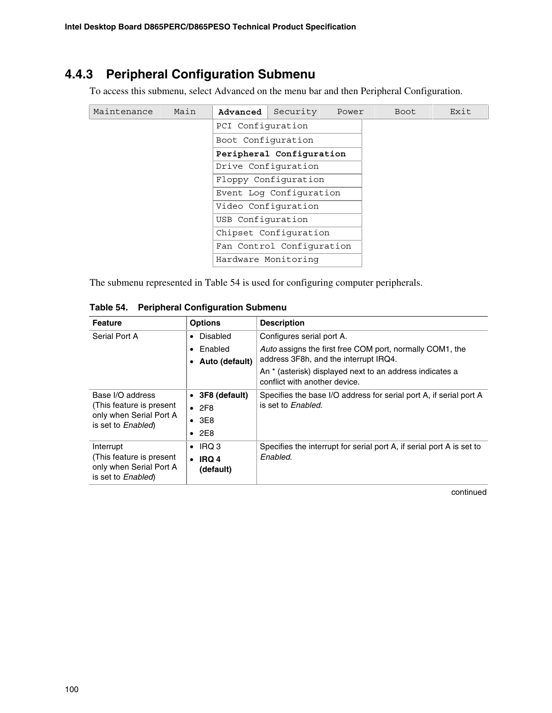### **4.4.3 Peripheral Configuration Submenu**

To access this submenu, select Advanced on the menu bar and then Peripheral Configuration.

| Maintenance | Main | Advanced                | Security                  | Power | Boot | Exit |
|-------------|------|-------------------------|---------------------------|-------|------|------|
|             |      |                         | PCI Configuration         |       |      |      |
|             |      | Boot Configuration      |                           |       |      |      |
|             |      |                         | Peripheral Configuration  |       |      |      |
|             |      | Drive Configuration     |                           |       |      |      |
|             |      | Floppy Configuration    |                           |       |      |      |
|             |      | Event Log Configuration |                           |       |      |      |
|             |      | Video Configuration     |                           |       |      |      |
|             |      | USB Configuration       |                           |       |      |      |
|             |      |                         | Chipset Configuration     |       |      |      |
|             |      |                         | Fan Control Configuration |       |      |      |
|             |      | Hardware Monitoring     |                           |       |      |      |

The submenu represented in Table 54 is used for configuring computer peripherals.

| <b>Feature</b>                                                                     | <b>Options</b>                  | <b>Description</b>                                                                        |
|------------------------------------------------------------------------------------|---------------------------------|-------------------------------------------------------------------------------------------|
| Serial Port A                                                                      | Disabled<br>$\bullet$           | Configures serial port A.                                                                 |
|                                                                                    | Enabled<br>$\bullet$            | Auto assigns the first free COM port, normally COM1, the                                  |
|                                                                                    | Auto (default)<br>٠             | address 3F8h, and the interrupt IRQ4.                                                     |
|                                                                                    |                                 | An * (asterisk) displayed next to an address indicates a<br>conflict with another device. |
| Base I/O address                                                                   | • 3F8 (default)                 | Specifies the base I/O address for serial port A, if serial port A                        |
| (This feature is present)                                                          | $\bullet$ 2F8                   | is set to Enabled.                                                                        |
| only when Serial Port A<br>is set to <i>Enabled</i> )                              | $\bullet$ 3E8                   |                                                                                           |
|                                                                                    | $\bullet$ 2E8                   |                                                                                           |
| Interrupt                                                                          | IRQ 3<br>٠                      | Specifies the interrupt for serial port A, if serial port A is set to                     |
| (This feature is present)<br>only when Serial Port A<br>is set to <i>Enabled</i> ) | IRQ 4<br>$\bullet$<br>(default) | Enabled.                                                                                  |

**Table 54. Peripheral Configuration Submenu** 

continued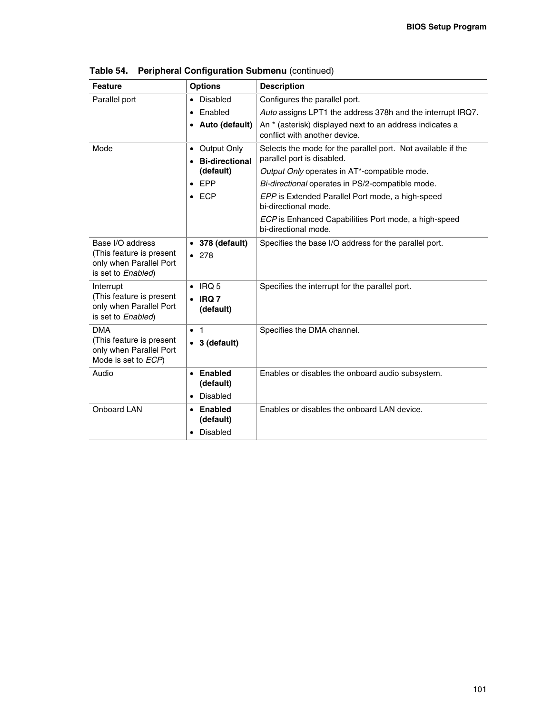| <b>Feature</b>                                                                     | <b>Options</b>                         | <b>Description</b>                                                                         |
|------------------------------------------------------------------------------------|----------------------------------------|--------------------------------------------------------------------------------------------|
| Parallel port                                                                      | Disabled<br>$\bullet$                  | Configures the parallel port.                                                              |
|                                                                                    | Enabled<br>$\bullet$                   | Auto assigns LPT1 the address 378h and the interrupt IRQ7.                                 |
|                                                                                    | Auto (default)<br>٠                    | An * (asterisk) displayed next to an address indicates a<br>conflict with another device.  |
| Mode                                                                               | • Output Only<br><b>Bi-directional</b> | Selects the mode for the parallel port. Not available if the<br>parallel port is disabled. |
|                                                                                    | (default)                              | Output Only operates in AT*-compatible mode.                                               |
|                                                                                    | $\bullet$ EPP                          | Bi-directional operates in PS/2-compatible mode.                                           |
|                                                                                    | $\bullet$ ECP                          | EPP is Extended Parallel Port mode, a high-speed<br>bi-directional mode.                   |
|                                                                                    |                                        | ECP is Enhanced Capabilities Port mode, a high-speed<br>bi-directional mode.               |
| Base I/O address                                                                   | 378 (default)<br>$\bullet$             | Specifies the base I/O address for the parallel port.                                      |
| (This feature is present<br>only when Parallel Port<br>is set to Enabled)          | 278<br>$\bullet$                       |                                                                                            |
| Interrupt                                                                          | IRQ 5<br>$\bullet$                     | Specifies the interrupt for the parallel port.                                             |
| (This feature is present<br>only when Parallel Port<br>is set to <i>Enabled</i> )  | IRQ 7<br>(default)                     |                                                                                            |
| <b>DMA</b>                                                                         | $\bullet$ 1                            | Specifies the DMA channel.                                                                 |
| (This feature is present<br>only when Parallel Port<br>Mode is set to <i>ECP</i> ) | $\bullet$ 3 (default)                  |                                                                                            |
| Audio                                                                              | Enabled<br>$\bullet$<br>(default)      | Enables or disables the onboard audio subsystem.                                           |
|                                                                                    | Disabled<br>$\bullet$                  |                                                                                            |
| Onboard LAN                                                                        | <b>Enabled</b><br>$\bullet$            | Enables or disables the onboard LAN device.                                                |
|                                                                                    | (default)                              |                                                                                            |
|                                                                                    | Disabled<br>$\bullet$                  |                                                                                            |

**Table 54. Peripheral Configuration Submenu** (continued)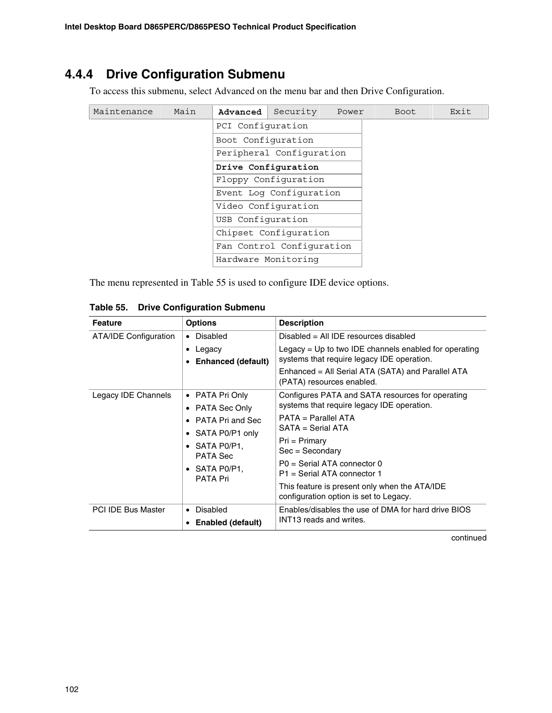# <span id="page-101-0"></span>**4.4.4 Drive Configuration Submenu**

To access this submenu, select Advanced on the menu bar and then Drive Configuration.

| Maintenance | Main | Advanced                  | Security            | Power |  | Boot | Exit |
|-------------|------|---------------------------|---------------------|-------|--|------|------|
|             |      |                           | PCI Configuration   |       |  |      |      |
|             |      | Boot Configuration        |                     |       |  |      |      |
|             |      | Peripheral Configuration  |                     |       |  |      |      |
|             |      | Drive Configuration       |                     |       |  |      |      |
|             |      | Floppy Configuration      |                     |       |  |      |      |
|             |      | Event Log Configuration   |                     |       |  |      |      |
|             |      |                           | Video Configuration |       |  |      |      |
|             |      |                           | USB Configuration   |       |  |      |      |
|             |      | Chipset Configuration     |                     |       |  |      |      |
|             |      | Fan Control Configuration |                     |       |  |      |      |
|             |      | Hardware Monitoring       |                     |       |  |      |      |

The menu represented in Table 55 is used to configure IDE device options.

| <b>Feature</b>                                                                                                  | <b>Options</b>                                | <b>Description</b>                                                             |                               |                   |  |
|-----------------------------------------------------------------------------------------------------------------|-----------------------------------------------|--------------------------------------------------------------------------------|-------------------------------|-------------------|--|
| ATA/IDE Configuration                                                                                           | • Disabled<br>Legacy<br>٠                     | Disabled = All IDE resources disabled                                          |                               |                   |  |
|                                                                                                                 |                                               | Legacy $=$ Up to two IDE channels enabled for operating                        |                               |                   |  |
|                                                                                                                 | <b>Enhanced (default)</b>                     | systems that require legacy IDE operation.                                     |                               |                   |  |
|                                                                                                                 |                                               | Enhanced = All Serial ATA (SATA) and Parallel ATA<br>(PATA) resources enabled. |                               |                   |  |
| Legacy IDE Channels                                                                                             | • PATA Pri Only                               | Configures PATA and SATA resources for operating                               |                               |                   |  |
| PATA Sec Only<br>$\bullet$<br>PATA Pri and Sec<br>• SATA P0/P1 only<br>$\bullet$ SATA P0/P1,<br><b>PATA Sec</b> | systems that require legacy IDE operation.    |                                                                                |                               |                   |  |
|                                                                                                                 | $PATA = Parallel ATA$                         |                                                                                |                               |                   |  |
|                                                                                                                 | $SATA = Serial ATA$<br>$Pri = Primary$        |                                                                                |                               |                   |  |
|                                                                                                                 |                                               |                                                                                |                               | $Sec = Secondary$ |  |
|                                                                                                                 |                                               | $\bullet$ SATA P0/P1,                                                          | $PO = Serial ATA connector O$ |                   |  |
| PATA Pri                                                                                                        | $P1 =$ Serial ATA connector 1                 |                                                                                |                               |                   |  |
|                                                                                                                 | This feature is present only when the ATA/IDE |                                                                                |                               |                   |  |
|                                                                                                                 |                                               | configuration option is set to Legacy.                                         |                               |                   |  |
| <b>PCI IDE Bus Master</b>                                                                                       | Disabled<br>$\bullet$                         | Enables/disables the use of DMA for hard drive BIOS                            |                               |                   |  |
|                                                                                                                 | <b>Enabled (default)</b>                      | INT13 reads and writes.                                                        |                               |                   |  |

**Table 55. Drive Configuration Submenu** 

continued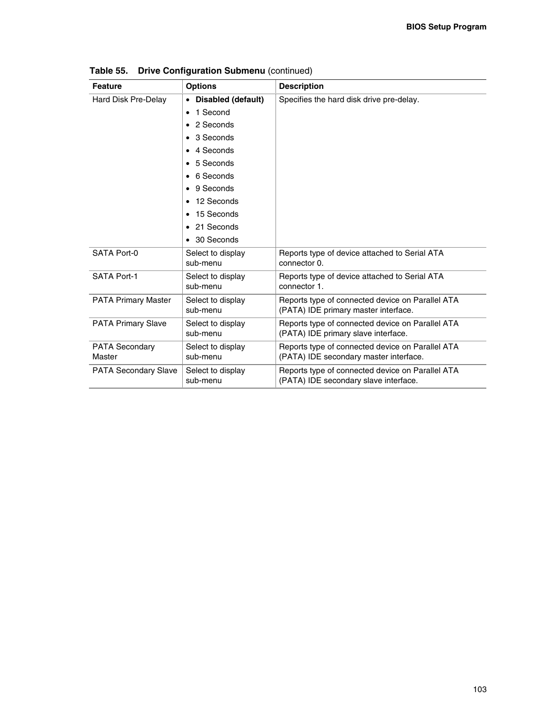| <b>Feature</b>                  | <b>Options</b>                | <b>Description</b>                                                                         |
|---------------------------------|-------------------------------|--------------------------------------------------------------------------------------------|
| Hard Disk Pre-Delay             | • Disabled (default)          | Specifies the hard disk drive pre-delay.                                                   |
|                                 | 1 Second                      |                                                                                            |
|                                 | 2 Seconds                     |                                                                                            |
|                                 | 3 Seconds                     |                                                                                            |
|                                 | 4 Seconds                     |                                                                                            |
|                                 | 5 Seconds                     |                                                                                            |
|                                 | 6 Seconds                     |                                                                                            |
|                                 | 9 Seconds                     |                                                                                            |
|                                 | 12 Seconds                    |                                                                                            |
|                                 | 15 Seconds                    |                                                                                            |
|                                 | 21 Seconds                    |                                                                                            |
|                                 | 30 Seconds                    |                                                                                            |
| SATA Port-0                     | Select to display<br>sub-menu | Reports type of device attached to Serial ATA<br>connector 0.                              |
| <b>SATA Port-1</b>              | Select to display<br>sub-menu | Reports type of device attached to Serial ATA<br>connector 1.                              |
| <b>PATA Primary Master</b>      | Select to display<br>sub-menu | Reports type of connected device on Parallel ATA<br>(PATA) IDE primary master interface.   |
| <b>PATA Primary Slave</b>       | Select to display<br>sub-menu | Reports type of connected device on Parallel ATA<br>(PATA) IDE primary slave interface.    |
| <b>PATA Secondary</b><br>Master | Select to display<br>sub-menu | Reports type of connected device on Parallel ATA<br>(PATA) IDE secondary master interface. |
| <b>PATA Secondary Slave</b>     | Select to display<br>sub-menu | Reports type of connected device on Parallel ATA<br>(PATA) IDE secondary slave interface.  |

**Table 55. Drive Configuration Submenu** (continued)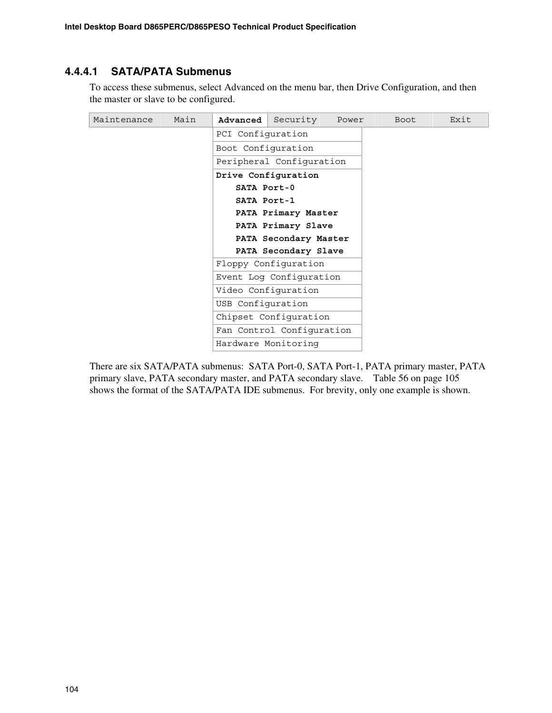#### **4.4.4.1 SATA/PATA Submenus**

To access these submenus, select Advanced on the menu bar, then Drive Configuration, and then the master or slave to be configured.

| Maintenance | Main | Advanced              | Security Power            |  | Boot | Exit |
|-------------|------|-----------------------|---------------------------|--|------|------|
|             |      |                       | PCI Configuration         |  |      |      |
|             |      |                       | Boot Configuration        |  |      |      |
|             |      |                       | Peripheral Configuration  |  |      |      |
|             |      | Drive Configuration   |                           |  |      |      |
|             |      | SATA Port-0           |                           |  |      |      |
|             |      | SATA Port-1           |                           |  |      |      |
|             |      |                       | PATA Primary Master       |  |      |      |
|             |      |                       | PATA Primary Slave        |  |      |      |
|             |      | PATA Secondary Master |                           |  |      |      |
|             |      |                       | PATA Secondary Slave      |  |      |      |
|             |      |                       | Floppy Configuration      |  |      |      |
|             |      |                       | Event Log Configuration   |  |      |      |
|             |      | Video Configuration   |                           |  |      |      |
|             |      | USB Configuration     |                           |  |      |      |
|             |      |                       | Chipset Configuration     |  |      |      |
|             |      |                       | Fan Control Configuration |  |      |      |
|             |      | Hardware Monitoring   |                           |  |      |      |

There are six SATA/PATA submenus: SATA Port-0, SATA Port-1, PATA primary master, PATA primary slave, PATA secondary master, and PATA secondary slave. [Table 56](#page-104-0) on page [105](#page-104-0)  shows the format of the SATA/PATA IDE submenus. For brevity, only one example is shown.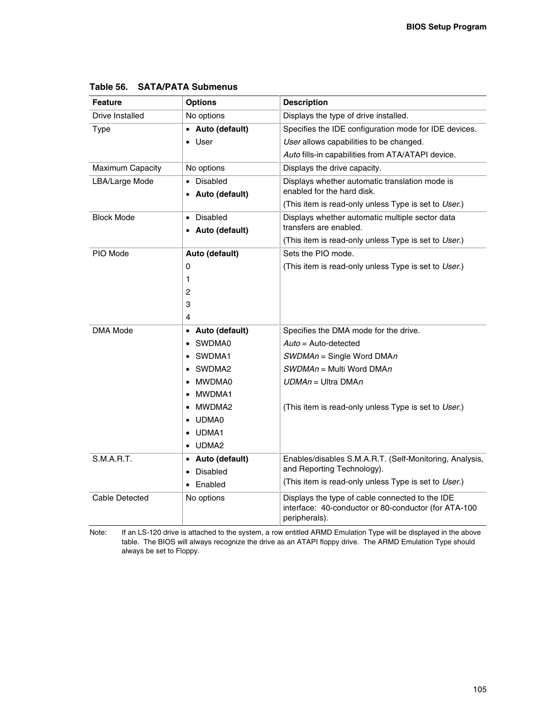| <b>Feature</b>          | <b>Options</b>               | <b>Description</b>                                                                                                       |
|-------------------------|------------------------------|--------------------------------------------------------------------------------------------------------------------------|
| Drive Installed         | No options                   | Displays the type of drive installed.                                                                                    |
| <b>Type</b>             | • Auto (default)             | Specifies the IDE configuration mode for IDE devices.                                                                    |
|                         | User<br>$\bullet$            | User allows capabilities to be changed.                                                                                  |
|                         |                              | Auto fills-in capabilities from ATA/ATAPI device.                                                                        |
| <b>Maximum Capacity</b> | No options                   | Displays the drive capacity.                                                                                             |
| LBA/Large Mode          | • Disabled                   | Displays whether automatic translation mode is                                                                           |
|                         | Auto (default)               | enabled for the hard disk.                                                                                               |
|                         |                              | (This item is read-only unless Type is set to User.)                                                                     |
| <b>Block Mode</b>       | <b>Disabled</b><br>$\bullet$ | Displays whether automatic multiple sector data<br>transfers are enabled.                                                |
|                         | Auto (default)               | (This item is read-only unless Type is set to User.)                                                                     |
| PIO Mode                | Auto (default)               | Sets the PIO mode.                                                                                                       |
|                         | 0                            |                                                                                                                          |
|                         | 1                            | (This item is read-only unless Type is set to User.)                                                                     |
|                         | 2                            |                                                                                                                          |
|                         | 3                            |                                                                                                                          |
|                         | 4                            |                                                                                                                          |
| DMA Mode                | Auto (default)<br>$\bullet$  | Specifies the DMA mode for the drive.                                                                                    |
|                         | SWDMA0                       | Auto = Auto-detected                                                                                                     |
|                         | SWDMA1                       | SWDMAn = Single Word DMAn                                                                                                |
|                         | SWDMA <sub>2</sub><br>٠      | <i>SWDMAn</i> = Multi Word DMAn                                                                                          |
|                         | MWDMA0                       | $UDMAn = Ultra DMAn$                                                                                                     |
|                         | MWDMA1                       |                                                                                                                          |
|                         | MWDMA2                       | (This item is read-only unless Type is set to User.)                                                                     |
|                         | UDMA0                        |                                                                                                                          |
|                         | UDMA1                        |                                                                                                                          |
|                         | UDMA2                        |                                                                                                                          |
| <b>S.M.A.R.T.</b>       | Auto (default)<br>$\bullet$  | Enables/disables S.M.A.R.T. (Self-Monitoring, Analysis,                                                                  |
|                         | <b>Disabled</b><br>$\bullet$ | and Reporting Technology).                                                                                               |
|                         | Enabled                      | (This item is read-only unless Type is set to User.)                                                                     |
| Cable Detected          | No options                   | Displays the type of cable connected to the IDE<br>interface: 40-conductor or 80-conductor (for ATA-100<br>peripherals). |

#### <span id="page-104-0"></span>**Table 56. SATA/PATA Submenus**

Note: If an LS-120 drive is attached to the system, a row entitled ARMD Emulation Type will be displayed in the above table. The BIOS will always recognize the drive as an ATAPI floppy drive. The ARMD Emulation Type should always be set to Floppy.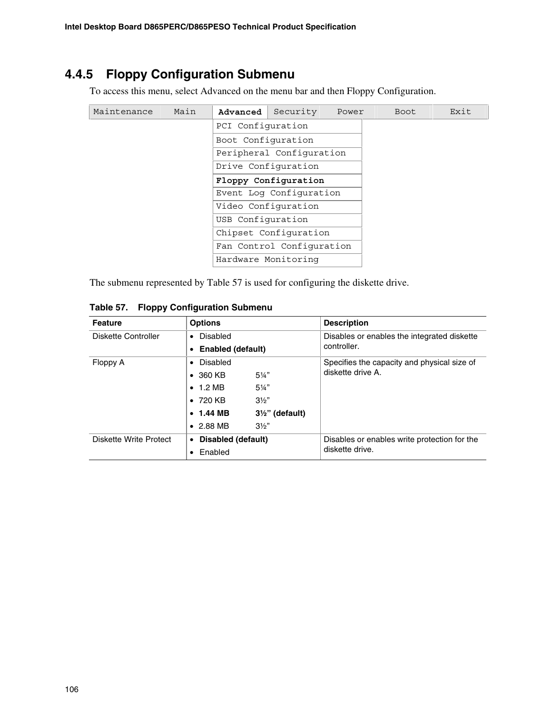# **4.4.5 Floppy Configuration Submenu**

To access this menu, select Advanced on the menu bar and then Floppy Configuration.

| Maintenance | Main | Advanced                | Security                  | Power |  | Boot | Exit |
|-------------|------|-------------------------|---------------------------|-------|--|------|------|
|             |      | PCI Configuration       |                           |       |  |      |      |
|             |      |                         | Boot Configuration        |       |  |      |      |
|             |      |                         | Peripheral Configuration  |       |  |      |      |
|             |      |                         | Drive Configuration       |       |  |      |      |
|             |      | Floppy Configuration    |                           |       |  |      |      |
|             |      | Event Log Configuration |                           |       |  |      |      |
|             |      | Video Configuration     |                           |       |  |      |      |
|             |      | USB Configuration       |                           |       |  |      |      |
|             |      |                         | Chipset Configuration     |       |  |      |      |
|             |      |                         | Fan Control Configuration |       |  |      |      |
|             |      | Hardware Monitoring     |                           |       |  |      |      |

The submenu represented by Table 57 is used for configuring the diskette drive.

| <b>Feature</b>         | <b>Options</b>                  |                            | <b>Description</b>                           |
|------------------------|---------------------------------|----------------------------|----------------------------------------------|
| Diskette Controller    | Disabled<br>$\bullet$           |                            | Disables or enables the integrated diskette  |
|                        | <b>Enabled (default)</b>        |                            | controller.                                  |
| Floppy A               | Disabled<br>$\bullet$           |                            | Specifies the capacity and physical size of  |
|                        | $\bullet$ 360 KB                | $5\frac{1}{4}$             | diskette drive A.                            |
|                        | $\bullet$ 1.2 MB                | $5\frac{1}{4}$             |                                              |
|                        | $\bullet$ 720 KB                | $3\frac{1}{2}$             |                                              |
|                        | $\bullet$ 1.44 MB               | $3\frac{1}{2}$ " (default) |                                              |
|                        | • 2.88 MB                       | $3\frac{1}{2}$             |                                              |
| Diskette Write Protect | Disabled (default)<br>$\bullet$ |                            | Disables or enables write protection for the |
|                        | Enabled                         |                            | diskette drive.                              |

**Table 57. Floppy Configuration Submenu**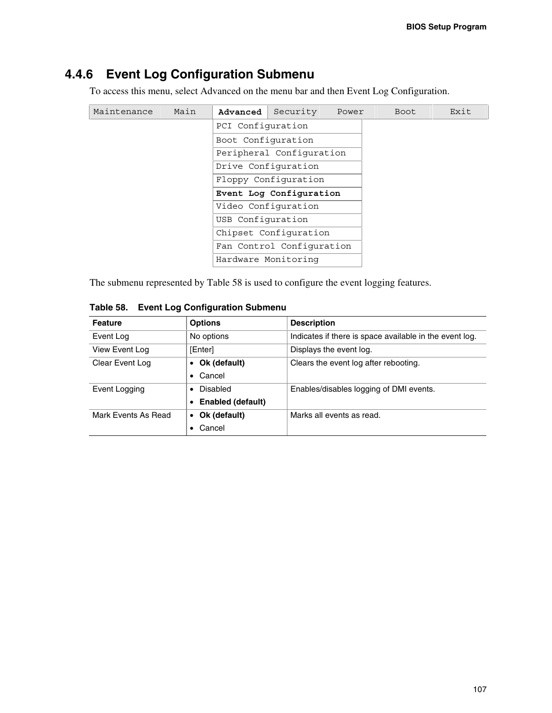### **4.4.6 Event Log Configuration Submenu**

To access this menu, select Advanced on the menu bar and then Event Log Configuration.

| Maintenance | Main | Advanced                | Security                  | Power |  | Boot | Exit |
|-------------|------|-------------------------|---------------------------|-------|--|------|------|
|             |      |                         | PCI Configuration         |       |  |      |      |
|             |      |                         | Boot Configuration        |       |  |      |      |
|             |      |                         | Peripheral Configuration  |       |  |      |      |
|             |      |                         | Drive Configuration       |       |  |      |      |
|             |      | Floppy Configuration    |                           |       |  |      |      |
|             |      | Event Log Configuration |                           |       |  |      |      |
|             |      | Video Configuration     |                           |       |  |      |      |
|             |      |                         | USB Configuration         |       |  |      |      |
|             |      | Chipset Configuration   |                           |       |  |      |      |
|             |      |                         | Fan Control Configuration |       |  |      |      |
|             |      | Hardware Monitoring     |                           |       |  |      |      |

The submenu represented by Table 58 is used to configure the event logging features.

| <b>Feature</b>      | <b>Options</b>            | <b>Description</b>                                      |
|---------------------|---------------------------|---------------------------------------------------------|
| Event Log           | No options                | Indicates if there is space available in the event log. |
| View Event Log      | [Enter]                   | Displays the event log.                                 |
| Clear Event Log     | Ok (default)<br>$\bullet$ | Clears the event log after rebooting.                   |
|                     | Cancel<br>$\bullet$       |                                                         |
| Event Logging       | Disabled<br>$\bullet$     | Enables/disables logging of DMI events.                 |
|                     | <b>Enabled (default)</b>  |                                                         |
| Mark Events As Read | Ok (default)<br>$\bullet$ | Marks all events as read.                               |
|                     | Cancel                    |                                                         |

**Table 58. Event Log Configuration Submenu**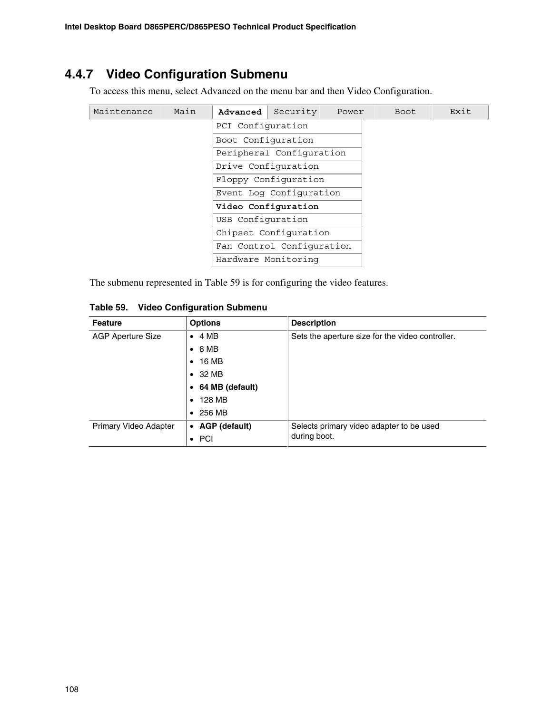# **4.4.7 Video Configuration Submenu**

To access this menu, select Advanced on the menu bar and then Video Configuration.

| Maintenance | Main | Advanced                | Security                  | Power | Boot | Exit |
|-------------|------|-------------------------|---------------------------|-------|------|------|
|             |      | PCI Configuration       |                           |       |      |      |
|             |      | Boot Configuration      |                           |       |      |      |
|             |      |                         | Peripheral Configuration  |       |      |      |
|             |      |                         | Drive Configuration       |       |      |      |
|             |      | Floppy Configuration    |                           |       |      |      |
|             |      | Event Log Configuration |                           |       |      |      |
|             |      | Video Configuration     |                           |       |      |      |
|             |      | USB Configuration       |                           |       |      |      |
|             |      |                         | Chipset Configuration     |       |      |      |
|             |      |                         | Fan Control Configuration |       |      |      |
|             |      | Hardware Monitoring     |                           |       |      |      |

The submenu represented in Table 59 is for configuring the video features.

| Table 59. |  | <b>Video Configuration Submenu</b> |  |
|-----------|--|------------------------------------|--|
|-----------|--|------------------------------------|--|

| <b>Feature</b>           | <b>Options</b>               | <b>Description</b>                               |
|--------------------------|------------------------------|--------------------------------------------------|
| <b>AGP Aperture Size</b> | $\bullet$ 4 MB               | Sets the aperture size for the video controller. |
|                          | $\bullet$ 8 MB               |                                                  |
|                          | $\bullet$ 16 MB              |                                                  |
|                          | $\bullet$ 32 MB              |                                                  |
|                          | 64 MB (default)<br>$\bullet$ |                                                  |
|                          | 128 MB<br>$\bullet$          |                                                  |
|                          | $\bullet$ 256 MB             |                                                  |
| Primary Video Adapter    | AGP (default)<br>$\bullet$   | Selects primary video adapter to be used         |
|                          | $\bullet$ PCI                | during boot.                                     |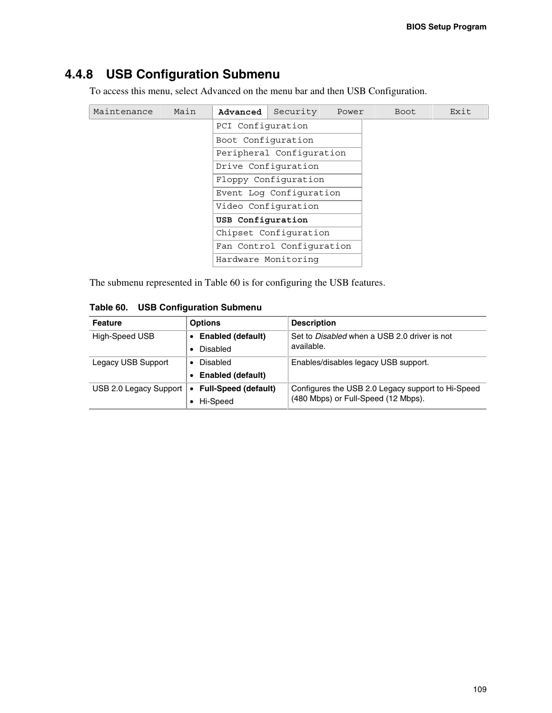# **4.4.8 USB Configuration Submenu**

To access this menu, select Advanced on the menu bar and then USB Configuration.

| Maintenance | Main | Advanced                 | Security                  | Power |  | Boot | Exit |
|-------------|------|--------------------------|---------------------------|-------|--|------|------|
|             |      |                          | PCI Configuration         |       |  |      |      |
|             |      |                          | Boot Configuration        |       |  |      |      |
|             |      | Peripheral Configuration |                           |       |  |      |      |
|             |      |                          | Drive Configuration       |       |  |      |      |
|             |      |                          | Floppy Configuration      |       |  |      |      |
|             |      |                          | Event Log Configuration   |       |  |      |      |
|             |      | Video Configuration      |                           |       |  |      |      |
|             |      | USB Configuration        |                           |       |  |      |      |
|             |      |                          | Chipset Configuration     |       |  |      |      |
|             |      |                          | Fan Control Configuration |       |  |      |      |
|             |      | Hardware Monitoring      |                           |       |  |      |      |

The submenu represented in Table 60 is for configuring the USB features.

|  |  | Table 60. USB Configuration Submenu |  |
|--|--|-------------------------------------|--|
|--|--|-------------------------------------|--|

| <b>Feature</b>         | <b>Options</b>                           | <b>Description</b>                                  |
|------------------------|------------------------------------------|-----------------------------------------------------|
| High-Speed USB         | <b>Enabled (default)</b>                 | Set to <i>Disabled</i> when a USB 2.0 driver is not |
|                        | Disabled                                 | available.                                          |
| Legacy USB Support     | Disabled                                 | Enables/disables legacy USB support.                |
|                        | <b>Enabled (default)</b>                 |                                                     |
| USB 2.0 Legacy Support | <b>Full-Speed (default)</b><br>$\bullet$ | Configures the USB 2.0 Legacy support to Hi-Speed   |
|                        | Hi-Speed                                 | (480 Mbps) or Full-Speed (12 Mbps).                 |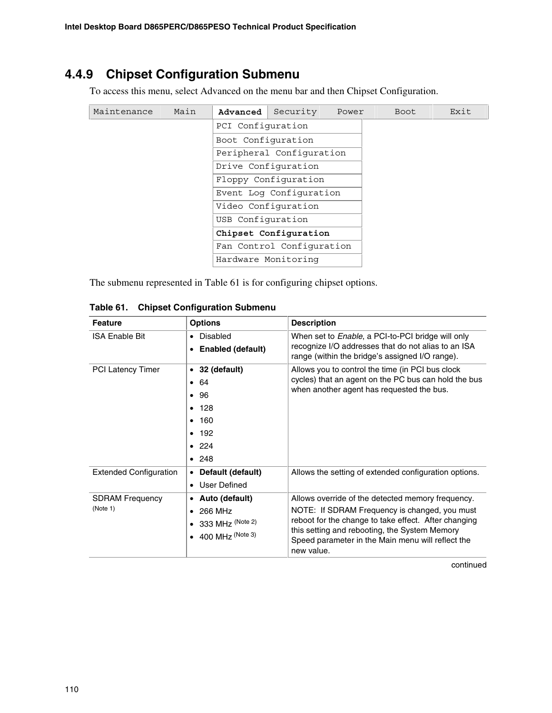### **4.4.9 Chipset Configuration Submenu**

To access this menu, select Advanced on the menu bar and then Chipset Configuration.

| Maintenance              | Main                 | Advanced            | Security                  | Power | Boot | Exit |
|--------------------------|----------------------|---------------------|---------------------------|-------|------|------|
|                          |                      | PCI Configuration   |                           |       |      |      |
|                          |                      | Boot Configuration  |                           |       |      |      |
| Peripheral Configuration |                      |                     |                           |       |      |      |
| Drive Configuration      |                      |                     |                           |       |      |      |
|                          | Floppy Configuration |                     |                           |       |      |      |
|                          |                      |                     | Event Log Configuration   |       |      |      |
|                          |                      | Video Configuration |                           |       |      |      |
|                          |                      | USB Configuration   |                           |       |      |      |
|                          |                      |                     | Chipset Configuration     |       |      |      |
|                          |                      |                     | Fan Control Configuration |       |      |      |
|                          |                      | Hardware Monitoring |                           |       |      |      |

The submenu represented in Table 61 is for configuring chipset options.

| <b>Feature</b>                | <b>Options</b>                | <b>Description</b>                                                                                               |  |  |  |  |
|-------------------------------|-------------------------------|------------------------------------------------------------------------------------------------------------------|--|--|--|--|
| <b>ISA Enable Bit</b>         | Disabled<br>$\bullet$         | When set to Enable, a PCI-to-PCI bridge will only                                                                |  |  |  |  |
|                               | <b>Enabled (default)</b><br>٠ | recognize I/O addresses that do not alias to an ISA<br>range (within the bridge's assigned I/O range).           |  |  |  |  |
| <b>PCI Latency Timer</b>      | $\bullet$ 32 (default)        | Allows you to control the time (in PCI bus clock                                                                 |  |  |  |  |
|                               | • 64                          | cycles) that an agent on the PC bus can hold the bus                                                             |  |  |  |  |
|                               | 96<br>$\bullet$               | when another agent has requested the bus.                                                                        |  |  |  |  |
|                               | 128<br>$\bullet$              |                                                                                                                  |  |  |  |  |
|                               | 160<br>$\bullet$              |                                                                                                                  |  |  |  |  |
|                               | 192<br>$\bullet$              |                                                                                                                  |  |  |  |  |
|                               | • 224                         |                                                                                                                  |  |  |  |  |
|                               | • 248                         |                                                                                                                  |  |  |  |  |
| <b>Extended Configuration</b> | Default (default)<br>٠        | Allows the setting of extended configuration options.                                                            |  |  |  |  |
|                               | User Defined<br>$\bullet$     |                                                                                                                  |  |  |  |  |
| <b>SDRAM Frequency</b>        | Auto (default)<br>٠           | Allows override of the detected memory frequency.                                                                |  |  |  |  |
| (Note 1)                      | 266 MHz<br>$\bullet$          | NOTE: If SDRAM Frequency is changed, you must                                                                    |  |  |  |  |
|                               | 333 MHz (Note 2)<br>$\bullet$ | reboot for the change to take effect. After changing                                                             |  |  |  |  |
|                               | $\bullet$ 400 MHz (Note 3)    | this setting and rebooting, the System Memory<br>Speed parameter in the Main menu will reflect the<br>new value. |  |  |  |  |

**Table 61. Chipset Configuration Submenu**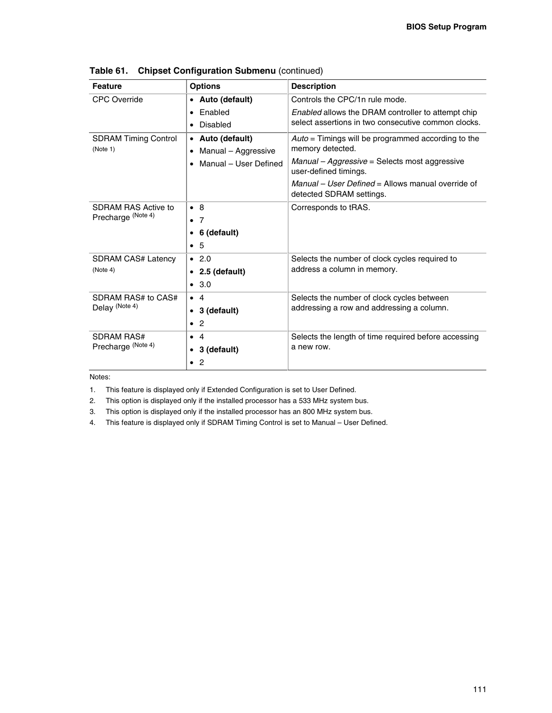| <b>Feature</b>              | <b>Options</b>                   | <b>Description</b>                                                            |
|-----------------------------|----------------------------------|-------------------------------------------------------------------------------|
| <b>CPC Override</b>         | • Auto (default)                 | Controls the CPC/1n rule mode.                                                |
|                             | Enabled<br>$\bullet$             | Enabled allows the DRAM controller to attempt chip                            |
|                             | Disabled                         | select assertions in two consecutive common clocks.                           |
| <b>SDRAM Timing Control</b> | • Auto (default)                 | $Auto =$ Timings will be programmed according to the                          |
| (Note 1)                    | Manual - Aggressive<br>$\bullet$ | memory detected.                                                              |
|                             | Manual - User Defined            | $Manual - Aggressive = Selects most aggressive$<br>user-defined timings.      |
|                             |                                  | Manual – User Defined = Allows manual override of<br>detected SDRAM settings. |
| SDRAM RAS Active to         | $\bullet$ 8                      | Corresponds to tRAS.                                                          |
| Precharge (Note 4)          | $\bullet$ 7                      |                                                                               |
|                             | 6 (default)<br>٠                 |                                                                               |
|                             | • 5                              |                                                                               |
| <b>SDRAM CAS# Latency</b>   | $\bullet$ 2.0                    | Selects the number of clock cycles required to                                |
| (Note 4)                    | 2.5 (default)<br>$\bullet$       | address a column in memory.                                                   |
|                             | • 3.0                            |                                                                               |
| SDRAM RAS# to CAS#          | $\bullet$ 4                      | Selects the number of clock cycles between                                    |
| Delay (Note 4)              | 3 (default)<br>$\bullet$         | addressing a row and addressing a column.                                     |
|                             | $\bullet$ 2                      |                                                                               |
| <b>SDRAM RAS#</b>           | $\bullet$ 4                      | Selects the length of time required before accessing                          |
| Precharge (Note 4)          | 3 (default)<br>٠                 | a new row.                                                                    |
|                             | $\bullet$ 2                      |                                                                               |

**Table 61. Chipset Configuration Submenu** (continued)

Notes:

1. This feature is displayed only if Extended Configuration is set to User Defined.

2. This option is displayed only if the installed processor has a 533 MHz system bus.

3. This option is displayed only if the installed processor has an 800 MHz system bus.

4. This feature is displayed only if SDRAM Timing Control is set to Manual – User Defined.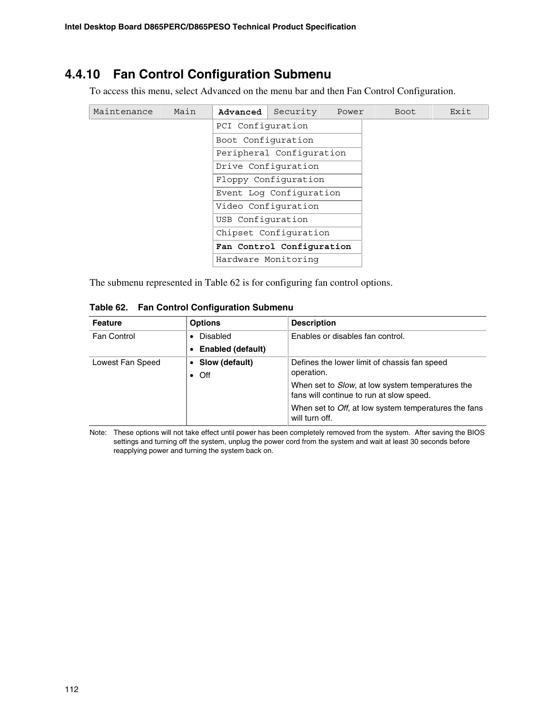### **4.4.10 Fan Control Configuration Submenu**

To access this menu, select Advanced on the menu bar and then Fan Control Configuration.

| Maintenance | Main | Advanced            | Security                  | Power | Boot | Exit |
|-------------|------|---------------------|---------------------------|-------|------|------|
|             |      | PCI Configuration   |                           |       |      |      |
|             |      | Boot Configuration  |                           |       |      |      |
|             |      |                     | Peripheral Configuration  |       |      |      |
|             |      |                     | Drive Configuration       |       |      |      |
|             |      |                     | Floppy Configuration      |       |      |      |
|             |      |                     | Event Log Configuration   |       |      |      |
|             |      | Video Configuration |                           |       |      |      |
|             |      | USB Configuration   |                           |       |      |      |
|             |      |                     | Chipset Configuration     |       |      |      |
|             |      |                     | Fan Control Configuration |       |      |      |
|             |      | Hardware Monitoring |                           |       |      |      |

The submenu represented in Table 62 is for configuring fan control options.

| Table 62. | <b>Fan Control Configuration Submenu</b> |
|-----------|------------------------------------------|
|-----------|------------------------------------------|

| <b>Feature</b>   | <b>Options</b>                        | <b>Description</b>                                                                                   |
|------------------|---------------------------------------|------------------------------------------------------------------------------------------------------|
| Fan Control      | Disabled                              | Enables or disables fan control.                                                                     |
|                  | <b>Enabled (default)</b><br>$\bullet$ |                                                                                                      |
| Lowest Fan Speed | • Slow (default)<br>$\bullet$ Off     | Defines the lower limit of chassis fan speed<br>operation.                                           |
|                  |                                       | When set to <i>Slow</i> , at low system temperatures the<br>fans will continue to run at slow speed. |
|                  |                                       | When set to Off, at low system temperatures the fans<br>will turn off.                               |

Note: These options will not take effect until power has been completely removed from the system. After saving the BIOS settings and turning off the system, unplug the power cord from the system and wait at least 30 seconds before reapplying power and turning the system back on.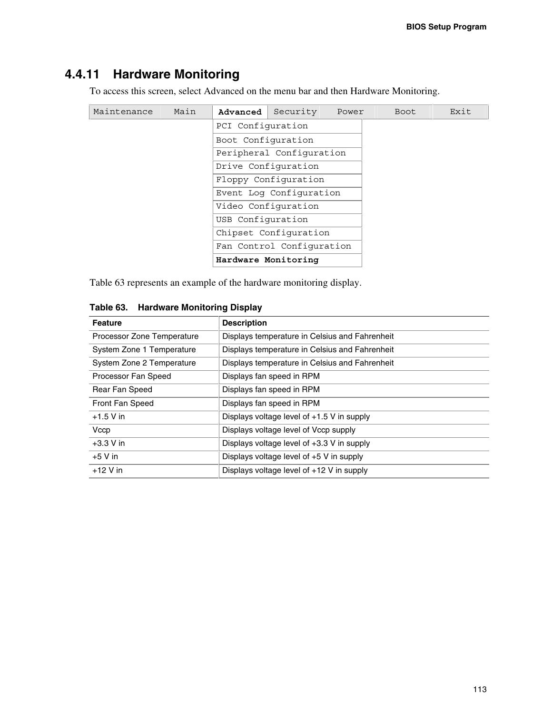# **4.4.11 Hardware Monitoring**

To access this screen, select Advanced on the menu bar and then Hardware Monitoring.

| Maintenance | Main | Advanced            | Security                  | Power | Boot | Exit |
|-------------|------|---------------------|---------------------------|-------|------|------|
|             |      |                     | PCI Configuration         |       |      |      |
|             |      |                     | Boot Configuration        |       |      |      |
|             |      |                     | Peripheral Configuration  |       |      |      |
|             |      |                     | Drive Configuration       |       |      |      |
|             |      |                     | Floppy Configuration      |       |      |      |
|             |      |                     | Event Log Configuration   |       |      |      |
|             |      | Video Configuration |                           |       |      |      |
|             |      | USB Configuration   |                           |       |      |      |
|             |      |                     | Chipset Configuration     |       |      |      |
|             |      |                     | Fan Control Configuration |       |      |      |
|             |      | Hardware Monitoring |                           |       |      |      |

Table 63 represents an example of the hardware monitoring display.

#### **Table 63. Hardware Monitoring Display**

| <b>Feature</b>             | <b>Description</b>                             |
|----------------------------|------------------------------------------------|
| Processor Zone Temperature | Displays temperature in Celsius and Fahrenheit |
| System Zone 1 Temperature  | Displays temperature in Celsius and Fahrenheit |
| System Zone 2 Temperature  | Displays temperature in Celsius and Fahrenheit |
| Processor Fan Speed        | Displays fan speed in RPM                      |
| <b>Rear Fan Speed</b>      | Displays fan speed in RPM                      |
| <b>Front Fan Speed</b>     | Displays fan speed in RPM                      |
| $+1.5$ V in                | Displays voltage level of $+1.5$ V in supply   |
| Vccp                       | Displays voltage level of Vccp supply          |
| $+3.3$ V in                | Displays voltage level of +3.3 V in supply     |
| $+5$ V in                  | Displays voltage level of $+5$ V in supply     |
| $+12$ V in                 | Displays voltage level of $+12$ V in supply    |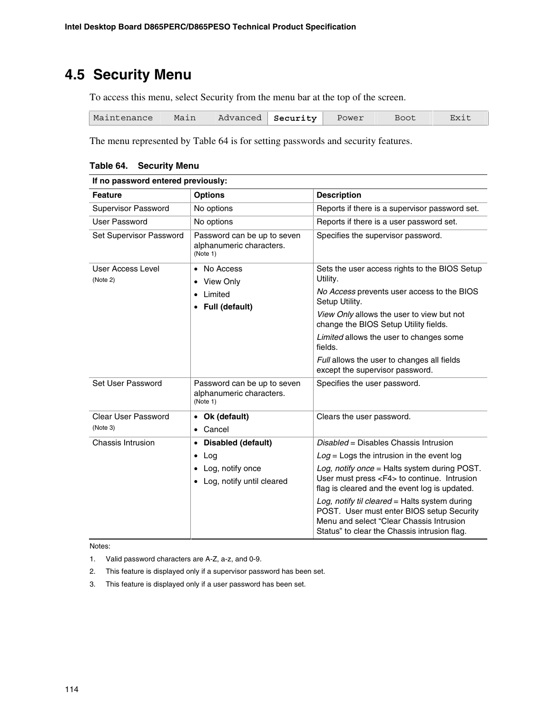# **4.5 Security Menu**

To access this menu, select Security from the menu bar at the top of the screen.

| Maintenance | Main |  | Advanced   Security | Power | Boot | Exit |
|-------------|------|--|---------------------|-------|------|------|
|-------------|------|--|---------------------|-------|------|------|

The menu represented by Table 64 is for setting passwords and security features.

| If no password entered previously:     |                                                                     |                                                                                                                                                                                        |  |  |  |  |  |
|----------------------------------------|---------------------------------------------------------------------|----------------------------------------------------------------------------------------------------------------------------------------------------------------------------------------|--|--|--|--|--|
| <b>Feature</b>                         | <b>Options</b>                                                      | <b>Description</b>                                                                                                                                                                     |  |  |  |  |  |
| Supervisor Password                    | No options                                                          | Reports if there is a supervisor password set.                                                                                                                                         |  |  |  |  |  |
| <b>User Password</b>                   | No options                                                          | Reports if there is a user password set.                                                                                                                                               |  |  |  |  |  |
| Set Supervisor Password                | Password can be up to seven<br>alphanumeric characters.<br>(Note 1) | Specifies the supervisor password.                                                                                                                                                     |  |  |  |  |  |
| User Access Level<br>(Note 2)          | • No Access<br>• View Only                                          | Sets the user access rights to the BIOS Setup<br>Utility.                                                                                                                              |  |  |  |  |  |
|                                        | • Limited<br>• Full (default)                                       | No Access prevents user access to the BIOS<br>Setup Utility.                                                                                                                           |  |  |  |  |  |
|                                        |                                                                     | View Only allows the user to view but not<br>change the BIOS Setup Utility fields.                                                                                                     |  |  |  |  |  |
|                                        |                                                                     | Limited allows the user to changes some<br>fields.                                                                                                                                     |  |  |  |  |  |
|                                        |                                                                     | Full allows the user to changes all fields<br>except the supervisor password.                                                                                                          |  |  |  |  |  |
| Set User Password                      | Password can be up to seven<br>alphanumeric characters.<br>(Note 1) | Specifies the user password.                                                                                                                                                           |  |  |  |  |  |
| <b>Clear User Password</b><br>(Note 3) | • Ok (default)<br>• Cancel                                          | Clears the user password.                                                                                                                                                              |  |  |  |  |  |
| Chassis Intrusion                      | • Disabled (default)                                                | Disabled = Disables Chassis Intrusion                                                                                                                                                  |  |  |  |  |  |
|                                        | $\bullet$ Loa                                                       | $Log = Logs$ the intrusion in the event log                                                                                                                                            |  |  |  |  |  |
|                                        | • Log, notify once<br>• Log, notify until cleared                   | Log, notify once = Halts system during POST.<br>User must press <f4> to continue. Intrusion<br/>flag is cleared and the event log is updated.</f4>                                     |  |  |  |  |  |
|                                        |                                                                     | Log, notify til cleared = Halts system during<br>POST. User must enter BIOS setup Security<br>Menu and select "Clear Chassis Intrusion<br>Status" to clear the Chassis intrusion flag. |  |  |  |  |  |

Notes:

1. Valid password characters are A-Z, a-z, and 0-9.

2. This feature is displayed only if a supervisor password has been set.

3. This feature is displayed only if a user password has been set.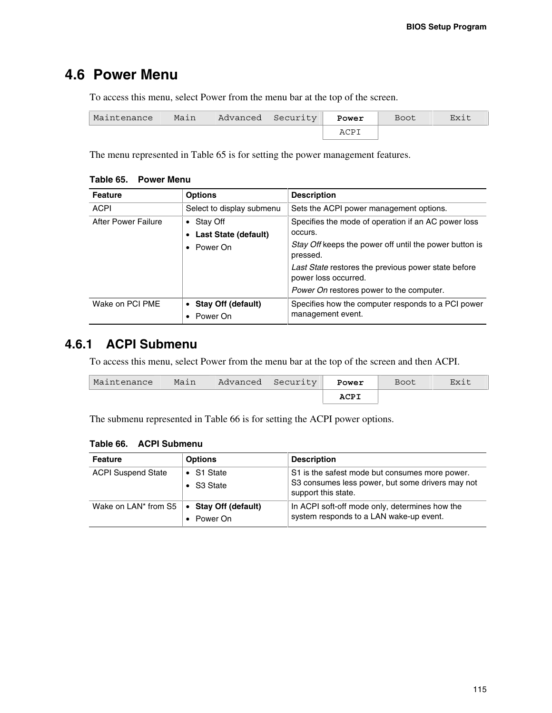### **4.6 Power Menu**

To access this menu, select Power from the menu bar at the top of the screen.

| Maintenance | Main | Advanced Security | Power | <b>Boot</b> | ロマー |
|-------------|------|-------------------|-------|-------------|-----|
|             |      |                   | ACPI  |             |     |

The menu represented in Table 65 is for setting the power management features.

| <b>Feature</b>      | <b>Options</b>                               | <b>Description</b>                                                          |
|---------------------|----------------------------------------------|-----------------------------------------------------------------------------|
| <b>ACPI</b>         | Select to display submenu                    | Sets the ACPI power management options.                                     |
| After Power Failure | Stay Off<br>٠<br><b>Last State (default)</b> | Specifies the mode of operation if an AC power loss<br>occurs.              |
|                     | Power On                                     | <i>Stay Off</i> keeps the power off until the power button is<br>pressed.   |
|                     |                                              | Last State restores the previous power state before<br>power loss occurred. |
|                     |                                              | <i>Power On restores power to the computer.</i>                             |
| Wake on PCI PME     | <b>Stay Off (default)</b><br>Power On        | Specifies how the computer responds to a PCI power<br>management event.     |

**Table 65. Power Menu** 

#### **4.6.1 ACPI Submenu**

To access this menu, select Power from the menu bar at the top of the screen and then ACPI.

| Maintenance | Main | Advanced Security | Power | Boot | Exit |
|-------------|------|-------------------|-------|------|------|
|             |      |                   | ACPI  |      |      |

The submenu represented in Table 66 is for setting the ACPI power options.

| Table 66. | <b>ACPI Submenu</b> |
|-----------|---------------------|
|-----------|---------------------|

| <b>Feature</b>            | <b>Options</b>                                     | <b>Description</b>                                                                                                        |
|---------------------------|----------------------------------------------------|---------------------------------------------------------------------------------------------------------------------------|
| <b>ACPI Suspend State</b> | • S1 State<br>S3 State                             | S1 is the safest mode but consumes more power.<br>S3 consumes less power, but some drivers may not<br>support this state. |
| Wake on LAN* from S5      | <b>Stay Off (default)</b><br>$\bullet$<br>Power On | In ACPI soft-off mode only, determines how the<br>system responds to a LAN wake-up event.                                 |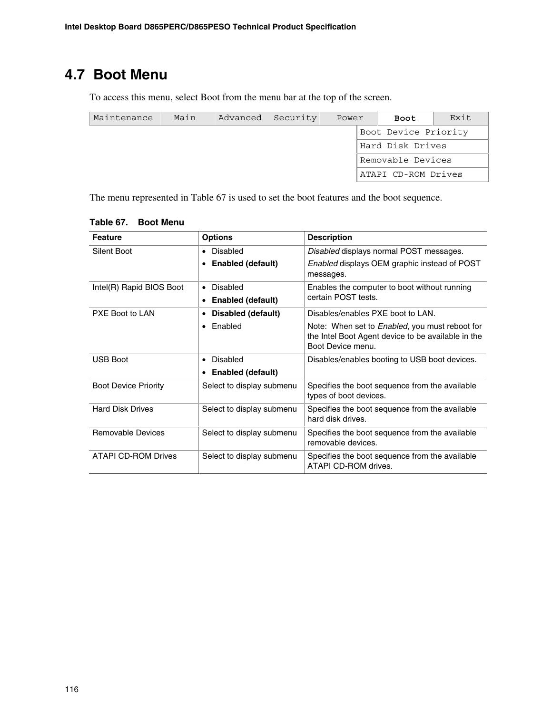# **4.7 Boot Menu**

To access this menu, select Boot from the menu bar at the top of the screen.

| Maintenance | Main | Advanced Security | Power |                   | Boot                 | Exit |
|-------------|------|-------------------|-------|-------------------|----------------------|------|
|             |      |                   |       |                   | Boot Device Priority |      |
|             |      |                   |       | Hard Disk Drives  |                      |      |
|             |      |                   |       | Removable Devices |                      |      |
|             |      |                   |       |                   | ATAPI CD-ROM Drives  |      |

The menu represented in Table 67 is used to set the boot features and the boot sequence.

| <b>Feature</b>              | <b>Options</b>                        | <b>Description</b>                                                                                                                |
|-----------------------------|---------------------------------------|-----------------------------------------------------------------------------------------------------------------------------------|
| Silent Boot                 | • Disabled                            | Disabled displays normal POST messages.                                                                                           |
|                             | • Enabled (default)                   | Enabled displays OEM graphic instead of POST<br>messages.                                                                         |
| Intel(R) Rapid BIOS Boot    | • Disabled                            | Enables the computer to boot without running                                                                                      |
|                             | <b>Enabled (default)</b><br>$\bullet$ | certain POST tests.                                                                                                               |
| PXE Boot to LAN             | Disabled (default)<br>$\bullet$       | Disables/enables PXE boot to LAN.                                                                                                 |
|                             | • Enabled                             | Note: When set to <i>Enabled</i> , you must reboot for<br>the Intel Boot Agent device to be available in the<br>Boot Device menu. |
| <b>USB Boot</b>             | Disabled<br>$\bullet$                 | Disables/enables booting to USB boot devices.                                                                                     |
|                             | • Enabled (default)                   |                                                                                                                                   |
| <b>Boot Device Priority</b> | Select to display submenu             | Specifies the boot sequence from the available<br>types of boot devices.                                                          |
| <b>Hard Disk Drives</b>     | Select to display submenu             | Specifies the boot sequence from the available<br>hard disk drives.                                                               |
| Removable Devices           | Select to display submenu             | Specifies the boot sequence from the available<br>removable devices.                                                              |
| <b>ATAPI CD-ROM Drives</b>  | Select to display submenu             | Specifies the boot sequence from the available<br>ATAPI CD-ROM drives.                                                            |

#### **Table 67. Boot Menu**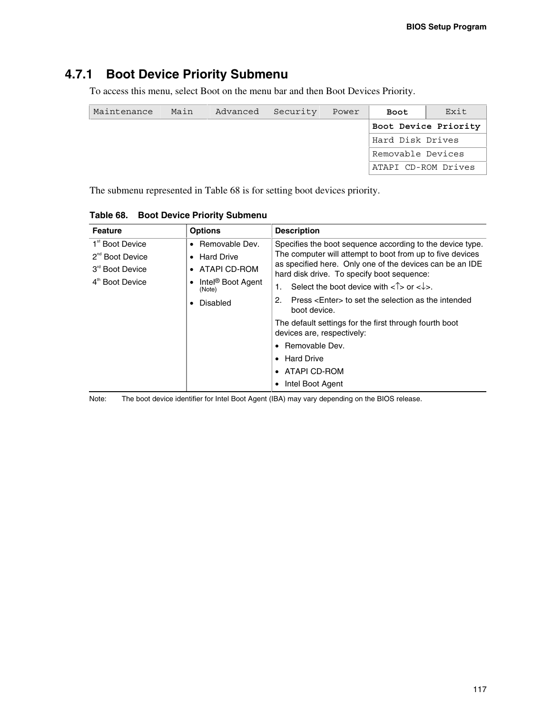### **4.7.1 Boot Device Priority Submenu**

To access this menu, select Boot on the menu bar and then Boot Devices Priority.

| Maintenance | Main | Advanced Security | Power | Boot                 | Exit |
|-------------|------|-------------------|-------|----------------------|------|
|             |      |                   |       | Boot Device Priority |      |
|             |      |                   |       | Hard Disk Drives     |      |
|             |      |                   |       | Removable Devices    |      |
|             |      |                   |       | ATAPI CD-ROM Drives  |      |

The submenu represented in Table 68 is for setting boot devices priority.

| <b>Feature</b>              | <b>Options</b>                          | <b>Description</b>                                                                                     |  |  |
|-----------------------------|-----------------------------------------|--------------------------------------------------------------------------------------------------------|--|--|
| 1 <sup>st</sup> Boot Device | • Removable Dev.                        | Specifies the boot sequence according to the device type.                                              |  |  |
| $2nd$ Boot Device           | • Hard Drive                            | The computer will attempt to boot from up to five devices                                              |  |  |
| 3 <sup>rd</sup> Boot Device | <b>ATAPI CD-ROM</b>                     | as specified here. Only one of the devices can be an IDE<br>hard disk drive. To specify boot sequence: |  |  |
| 4 <sup>th</sup> Boot Device | Intel <sup>®</sup> Boot Agent<br>(Note) | Select the boot device with $\langle \uparrow \rangle$ or $\langle \downarrow \rangle$ .<br>1.         |  |  |
|                             | Disabled                                | Press <enter> to set the selection as the intended<br/>2.<br/>boot device.</enter>                     |  |  |
|                             |                                         | The default settings for the first through fourth boot<br>devices are, respectively:                   |  |  |
|                             |                                         | Removable Dev.                                                                                         |  |  |
|                             |                                         | <b>Hard Drive</b>                                                                                      |  |  |
|                             |                                         | ATAPI CD-ROM                                                                                           |  |  |
|                             |                                         | Intel Boot Agent                                                                                       |  |  |

**Table 68. Boot Device Priority Submenu** 

Note: The boot device identifier for Intel Boot Agent (IBA) may vary depending on the BIOS release.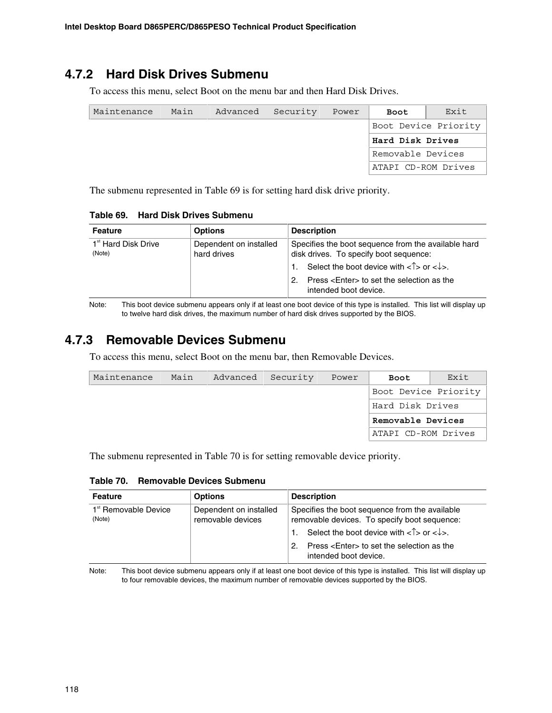#### **4.7.2 Hard Disk Drives Submenu**

To access this menu, select Boot on the menu bar and then Hard Disk Drives.

| Maintenance | Main | Advanced Security | Power | Boot                 | Exit |
|-------------|------|-------------------|-------|----------------------|------|
|             |      |                   |       | Boot Device Priority |      |
|             |      |                   |       | Hard Disk Drives     |      |
|             |      |                   |       | Removable Devices    |      |
|             |      |                   |       | ATAPI CD-ROM Drives  |      |
|             |      |                   |       |                      |      |

The submenu represented in Table 69 is for setting hard disk drive priority.

**Table 69. Hard Disk Drives Submenu** 

| <b>Feature</b>                            | <b>Options</b>                        | <b>Description</b>                                                                                                                                                                                                                                                              |
|-------------------------------------------|---------------------------------------|---------------------------------------------------------------------------------------------------------------------------------------------------------------------------------------------------------------------------------------------------------------------------------|
| 1 <sup>st</sup> Hard Disk Drive<br>(Note) | Dependent on installed<br>hard drives | Specifies the boot sequence from the available hard<br>disk drives. To specify boot sequence:<br>Select the boot device with $\langle \uparrow \rangle$ or $\langle \downarrow \rangle$ .<br>Press <enter> to set the selection as the<br/>2.<br/>intended boot device.</enter> |

Note: This boot device submenu appears only if at least one boot device of this type is installed. This list will display up to twelve hard disk drives, the maximum number of hard disk drives supported by the BIOS.

#### **4.7.3 Removable Devices Submenu**

To access this menu, select Boot on the menu bar, then Removable Devices.

| Maintenance | Main | Advanced Security | Power | Boot                 | Exit |
|-------------|------|-------------------|-------|----------------------|------|
|             |      |                   |       | Boot Device Priority |      |
|             |      |                   |       | Hard Disk Drives     |      |
|             |      |                   |       | Removable Devices    |      |
|             |      |                   |       | ATAPI CD-ROM Drives  |      |

The submenu represented in Table 70 is for setting removable device priority.

**Table 70. Removable Devices Submenu** 

| <b>Feature</b>                             | <b>Options</b>                              | <b>Description</b>                                                                                                                                                                                                                                                               |
|--------------------------------------------|---------------------------------------------|----------------------------------------------------------------------------------------------------------------------------------------------------------------------------------------------------------------------------------------------------------------------------------|
| 1 <sup>st</sup> Removable Device<br>(Note) | Dependent on installed<br>removable devices | Specifies the boot sequence from the available<br>removable devices. To specify boot sequence:<br>Select the boot device with $\langle \uparrow \rangle$ or $\langle \downarrow \rangle$ .<br>Press <enter> to set the selection as the<br/>2.<br/>intended boot device.</enter> |

Note: This boot device submenu appears only if at least one boot device of this type is installed. This list will display up to four removable devices, the maximum number of removable devices supported by the BIOS.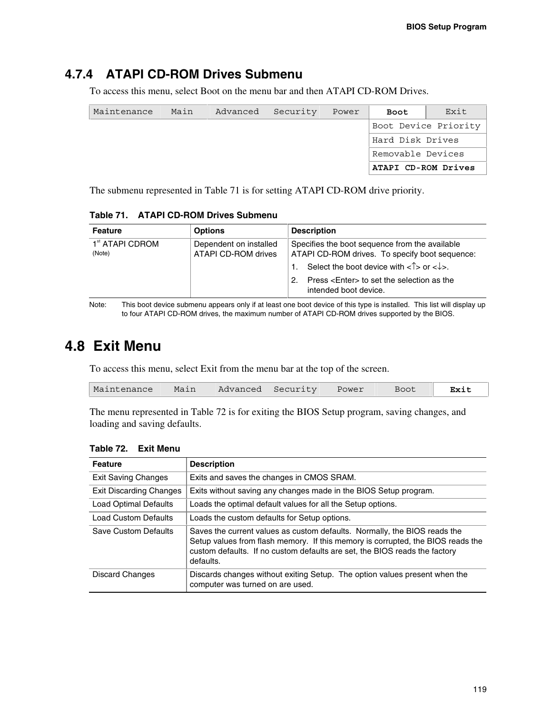#### **4.7.4 ATAPI CD-ROM Drives Submenu**

To access this menu, select Boot on the menu bar and then ATAPI CD-ROM Drives.

| Maintenance | Main | Advanced Security | Power | Boot                | Exit                 |
|-------------|------|-------------------|-------|---------------------|----------------------|
|             |      |                   |       |                     | Boot Device Priority |
|             |      |                   |       | Hard Disk Drives    |                      |
|             |      |                   |       | Removable Devices   |                      |
|             |      |                   |       | ATAPI CD-ROM Drives |                      |

The submenu represented in Table 71 is for setting ATAPI CD-ROM drive priority.

**Table 71. ATAPI CD-ROM Drives Submenu** 

| <b>Feature</b>                        | <b>Options</b>                                | <b>Description</b>                                                                                                                                                                                                                                                                 |
|---------------------------------------|-----------------------------------------------|------------------------------------------------------------------------------------------------------------------------------------------------------------------------------------------------------------------------------------------------------------------------------------|
| 1 <sup>st</sup> ATAPI CDROM<br>(Note) | Dependent on installed<br>ATAPI CD-ROM drives | Specifies the boot sequence from the available<br>ATAPI CD-ROM drives. To specify boot sequence:<br>Select the boot device with $\langle \uparrow \rangle$ or $\langle \downarrow \rangle$ .<br>Press <enter> to set the selection as the<br/>2.<br/>intended boot device.</enter> |

Note: This boot device submenu appears only if at least one boot device of this type is installed. This list will display up to four ATAPI CD-ROM drives, the maximum number of ATAPI CD-ROM drives supported by the BIOS.

# **4.8 Exit Menu**

To access this menu, select Exit from the menu bar at the top of the screen.

| Maintenance |  | Main Advanced Security Power |  |  | Boot | Exit |
|-------------|--|------------------------------|--|--|------|------|
|-------------|--|------------------------------|--|--|------|------|

The menu represented in Table 72 is for exiting the BIOS Setup program, saving changes, and loading and saving defaults.

| <b>Feature</b>                 | <b>Description</b>                                                                                                                                                                                                                                      |
|--------------------------------|---------------------------------------------------------------------------------------------------------------------------------------------------------------------------------------------------------------------------------------------------------|
| <b>Exit Saving Changes</b>     | Exits and saves the changes in CMOS SRAM.                                                                                                                                                                                                               |
| <b>Exit Discarding Changes</b> | Exits without saving any changes made in the BIOS Setup program.                                                                                                                                                                                        |
| <b>Load Optimal Defaults</b>   | Loads the optimal default values for all the Setup options.                                                                                                                                                                                             |
| Load Custom Defaults           | Loads the custom defaults for Setup options.                                                                                                                                                                                                            |
| Save Custom Defaults           | Saves the current values as custom defaults. Normally, the BIOS reads the<br>Setup values from flash memory. If this memory is corrupted, the BIOS reads the<br>custom defaults. If no custom defaults are set, the BIOS reads the factory<br>defaults. |
| <b>Discard Changes</b>         | Discards changes without exiting Setup. The option values present when the<br>computer was turned on are used.                                                                                                                                          |

**Table 72. Exit Menu**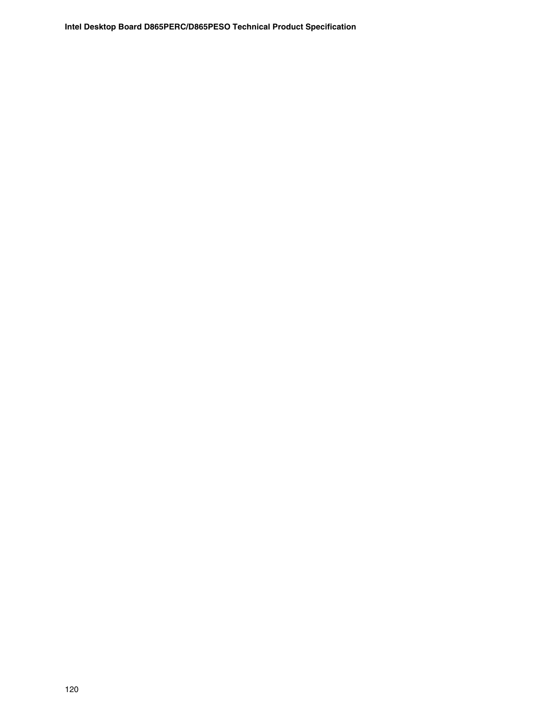**Intel Desktop Board D865PERC/D865PESO Technical Product Specification**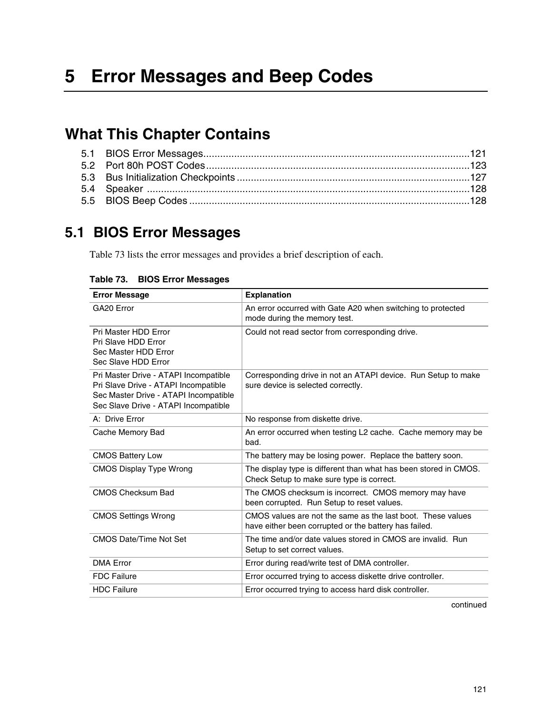# **5 Error Messages and Beep Codes**

# **What This Chapter Contains**

# **5.1 BIOS Error Messages**

Table 73 lists the error messages and provides a brief description of each.

| <b>Error Message</b>                                                                                                                                           | <b>Explanation</b>                                                                                                   |
|----------------------------------------------------------------------------------------------------------------------------------------------------------------|----------------------------------------------------------------------------------------------------------------------|
| GA20 Error                                                                                                                                                     | An error occurred with Gate A20 when switching to protected<br>mode during the memory test.                          |
| Pri Master HDD Error<br>Pri Slave HDD Error<br>Sec Master HDD Error<br>Sec Slave HDD Error                                                                     | Could not read sector from corresponding drive.                                                                      |
| Pri Master Drive - ATAPI Incompatible<br>Pri Slave Drive - ATAPI Incompatible<br>Sec Master Drive - ATAPI Incompatible<br>Sec Slave Drive - ATAPI Incompatible | Corresponding drive in not an ATAPI device. Run Setup to make<br>sure device is selected correctly.                  |
| A: Drive Error                                                                                                                                                 | No response from diskette drive.                                                                                     |
| Cache Memory Bad                                                                                                                                               | An error occurred when testing L2 cache. Cache memory may be<br>bad.                                                 |
| <b>CMOS Battery Low</b>                                                                                                                                        | The battery may be losing power. Replace the battery soon.                                                           |
| <b>CMOS Display Type Wrong</b>                                                                                                                                 | The display type is different than what has been stored in CMOS.<br>Check Setup to make sure type is correct.        |
| <b>CMOS Checksum Bad</b>                                                                                                                                       | The CMOS checksum is incorrect. CMOS memory may have<br>been corrupted. Run Setup to reset values.                   |
| <b>CMOS Settings Wrong</b>                                                                                                                                     | CMOS values are not the same as the last boot. These values<br>have either been corrupted or the battery has failed. |
| <b>CMOS Date/Time Not Set</b>                                                                                                                                  | The time and/or date values stored in CMOS are invalid. Run<br>Setup to set correct values.                          |
| <b>DMA Error</b>                                                                                                                                               | Error during read/write test of DMA controller.                                                                      |
| <b>FDC Failure</b>                                                                                                                                             | Error occurred trying to access diskette drive controller.                                                           |
| <b>HDC Failure</b>                                                                                                                                             | Error occurred trying to access hard disk controller.                                                                |

#### **Table 73. BIOS Error Messages**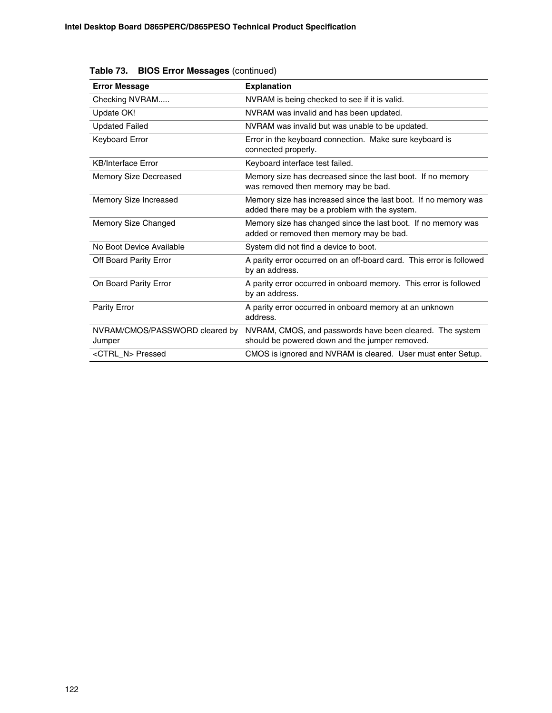| <b>Error Message</b>                     | <b>Explanation</b>                                                                                               |
|------------------------------------------|------------------------------------------------------------------------------------------------------------------|
| Checking NVRAM                           | NVRAM is being checked to see if it is valid.                                                                    |
| Update OK!                               | NVRAM was invalid and has been updated.                                                                          |
| <b>Updated Failed</b>                    | NVRAM was invalid but was unable to be updated.                                                                  |
| <b>Keyboard Error</b>                    | Error in the keyboard connection. Make sure keyboard is<br>connected properly.                                   |
| <b>KB/Interface Error</b>                | Keyboard interface test failed.                                                                                  |
| Memory Size Decreased                    | Memory size has decreased since the last boot. If no memory<br>was removed then memory may be bad.               |
| Memory Size Increased                    | Memory size has increased since the last boot. If no memory was<br>added there may be a problem with the system. |
| Memory Size Changed                      | Memory size has changed since the last boot. If no memory was<br>added or removed then memory may be bad.        |
| No Boot Device Available                 | System did not find a device to boot.                                                                            |
| Off Board Parity Error                   | A parity error occurred on an off-board card. This error is followed<br>by an address.                           |
| On Board Parity Error                    | A parity error occurred in onboard memory. This error is followed<br>by an address.                              |
| Parity Error                             | A parity error occurred in onboard memory at an unknown<br>address.                                              |
| NVRAM/CMOS/PASSWORD cleared by<br>Jumper | NVRAM, CMOS, and passwords have been cleared. The system<br>should be powered down and the jumper removed.       |
| <ctrl n=""> Pressed</ctrl>               | CMOS is ignored and NVRAM is cleared. User must enter Setup.                                                     |

**Table 73. BIOS Error Messages** (continued)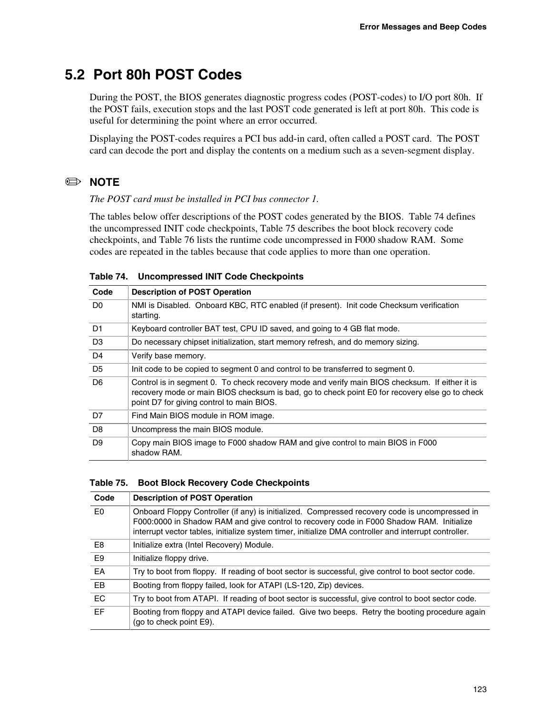# <span id="page-122-0"></span>**5.2 Port 80h POST Codes**

During the POST, the BIOS generates diagnostic progress codes (POST-codes) to I/O port 80h. If the POST fails, execution stops and the last POST code generated is left at port 80h. This code is useful for determining the point where an error occurred.

Displaying the POST-codes requires a PCI bus add-in card, often called a POST card. The POST card can decode the port and display the contents on a medium such as a seven-segment display.

#### ✏ **NOTE**

#### *The POST card must be installed in PCI bus connector 1.*

The tables below offer descriptions of the POST codes generated by the BIOS. Table 74 defines the uncompressed INIT code checkpoints, Table 75 describes the boot block recovery code checkpoints, and [Table 76](#page-123-0) lists the runtime code uncompressed in F000 shadow RAM. Some codes are repeated in the tables because that code applies to more than one operation.

| Code           | <b>Description of POST Operation</b>                                                                                                                                                                                                          |
|----------------|-----------------------------------------------------------------------------------------------------------------------------------------------------------------------------------------------------------------------------------------------|
| D <sub>0</sub> | NMI is Disabled. Onboard KBC, RTC enabled (if present). Init code Checksum verification<br>starting.                                                                                                                                          |
| D1             | Keyboard controller BAT test, CPU ID saved, and going to 4 GB flat mode.                                                                                                                                                                      |
| D <sub>3</sub> | Do necessary chipset initialization, start memory refresh, and do memory sizing.                                                                                                                                                              |
| D <sub>4</sub> | Verify base memory.                                                                                                                                                                                                                           |
| D <sub>5</sub> | Init code to be copied to segment 0 and control to be transferred to segment 0.                                                                                                                                                               |
| D <sub>6</sub> | Control is in segment 0. To check recovery mode and verify main BIOS checksum. If either it is<br>recovery mode or main BIOS checksum is bad, go to check point E0 for recovery else go to check<br>point D7 for giving control to main BIOS. |
| D7             | Find Main BIOS module in ROM image.                                                                                                                                                                                                           |
| D <sub>8</sub> | Uncompress the main BIOS module.                                                                                                                                                                                                              |
| D <sub>9</sub> | Copy main BIOS image to F000 shadow RAM and give control to main BIOS in F000<br>shadow RAM.                                                                                                                                                  |

|  | Table 74. Uncompressed INIT Code Checkpoints |
|--|----------------------------------------------|
|--|----------------------------------------------|

#### **Table 75. Boot Block Recovery Code Checkpoints**

| Code           | <b>Description of POST Operation</b>                                                                                                                                                                                                                                                                |
|----------------|-----------------------------------------------------------------------------------------------------------------------------------------------------------------------------------------------------------------------------------------------------------------------------------------------------|
| E <sub>0</sub> | Onboard Floppy Controller (if any) is initialized. Compressed recovery code is uncompressed in<br>F000:0000 in Shadow RAM and give control to recovery code in F000 Shadow RAM. Initialize<br>interrupt vector tables, initialize system timer, initialize DMA controller and interrupt controller. |
| E8             | Initialize extra (Intel Recovery) Module.                                                                                                                                                                                                                                                           |
| E9             | Initialize floppy drive.                                                                                                                                                                                                                                                                            |
| EA             | Try to boot from floppy. If reading of boot sector is successful, give control to boot sector code.                                                                                                                                                                                                 |
| EB.            | Booting from floppy failed, look for ATAPI (LS-120, Zip) devices.                                                                                                                                                                                                                                   |
| EC.            | Try to boot from ATAPI. If reading of boot sector is successful, give control to boot sector code.                                                                                                                                                                                                  |
| EF.            | Booting from floppy and ATAPI device failed. Give two beeps. Retry the booting procedure again<br>(go to check point E9).                                                                                                                                                                           |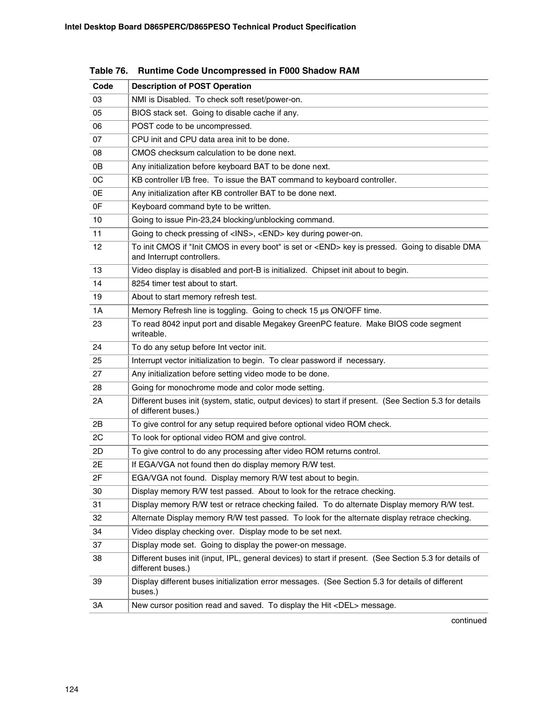| Code | <b>Description of POST Operation</b>                                                                                                |
|------|-------------------------------------------------------------------------------------------------------------------------------------|
| 03   | NMI is Disabled. To check soft reset/power-on.                                                                                      |
| 05   | BIOS stack set. Going to disable cache if any.                                                                                      |
| 06   | POST code to be uncompressed.                                                                                                       |
| 07   | CPU init and CPU data area init to be done.                                                                                         |
| 08   | CMOS checksum calculation to be done next.                                                                                          |
| 0В   | Any initialization before keyboard BAT to be done next.                                                                             |
| 0C   | KB controller I/B free. To issue the BAT command to keyboard controller.                                                            |
| 0Е   | Any initialization after KB controller BAT to be done next.                                                                         |
| 0F   | Keyboard command byte to be written.                                                                                                |
| 10   | Going to issue Pin-23,24 blocking/unblocking command.                                                                               |
| 11   | Going to check pressing of <ins>, <end> key during power-on.</end></ins>                                                            |
| 12   | To init CMOS if "Init CMOS in every boot" is set or <end> key is pressed. Going to disable DMA<br/>and Interrupt controllers.</end> |
| 13   | Video display is disabled and port-B is initialized. Chipset init about to begin.                                                   |
| 14   | 8254 timer test about to start.                                                                                                     |
| 19   | About to start memory refresh test.                                                                                                 |
| 1А   | Memory Refresh line is toggling. Going to check 15 µs ON/OFF time.                                                                  |
| 23   | To read 8042 input port and disable Megakey GreenPC feature. Make BIOS code segment<br>writeable.                                   |
| 24   | To do any setup before Int vector init.                                                                                             |
| 25   | Interrupt vector initialization to begin. To clear password if necessary.                                                           |
| 27   | Any initialization before setting video mode to be done.                                                                            |
| 28   | Going for monochrome mode and color mode setting.                                                                                   |
| 2A   | Different buses init (system, static, output devices) to start if present. (See Section 5.3 for details<br>of different buses.)     |
| 2В   | To give control for any setup required before optional video ROM check.                                                             |
| 2C   | To look for optional video ROM and give control.                                                                                    |
| 2D   | To give control to do any processing after video ROM returns control.                                                               |
| 2E   | If EGA/VGA not found then do display memory R/W test.                                                                               |
| 2F   | EGA/VGA not found. Display memory R/W test about to begin.                                                                          |
| 30   | Display memory R/W test passed. About to look for the retrace checking.                                                             |
| 31   | Display memory R/W test or retrace checking failed. To do alternate Display memory R/W test.                                        |
| 32   | Alternate Display memory R/W test passed. To look for the alternate display retrace checking.                                       |
| 34   | Video display checking over. Display mode to be set next.                                                                           |
| 37   | Display mode set. Going to display the power-on message.                                                                            |
| 38   | Different buses init (input, IPL, general devices) to start if present. (See Section 5.3 for details of<br>different buses.)        |
| 39   | Display different buses initialization error messages. (See Section 5.3 for details of different<br>buses.)                         |
| ЗA   | New cursor position read and saved. To display the Hit <del> message.</del>                                                         |

<span id="page-123-0"></span>**Table 76. Runtime Code Uncompressed in F000 Shadow RAM**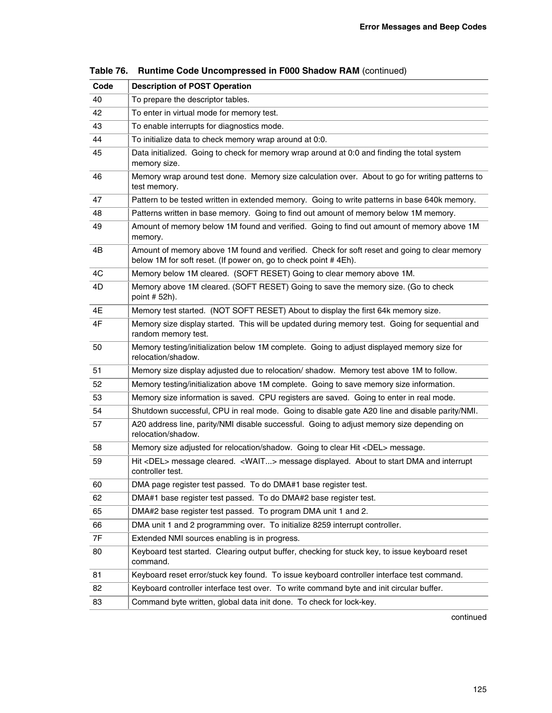| Code | <b>Description of POST Operation</b>                                                                                                                            |
|------|-----------------------------------------------------------------------------------------------------------------------------------------------------------------|
| 40   | To prepare the descriptor tables.                                                                                                                               |
| 42   | To enter in virtual mode for memory test.                                                                                                                       |
| 43   | To enable interrupts for diagnostics mode.                                                                                                                      |
| 44   | To initialize data to check memory wrap around at 0:0.                                                                                                          |
| 45   | Data initialized. Going to check for memory wrap around at 0:0 and finding the total system<br>memory size.                                                     |
| 46   | Memory wrap around test done. Memory size calculation over. About to go for writing patterns to<br>test memory.                                                 |
| 47   | Pattern to be tested written in extended memory. Going to write patterns in base 640k memory.                                                                   |
| 48   | Patterns written in base memory. Going to find out amount of memory below 1M memory.                                                                            |
| 49   | Amount of memory below 1M found and verified. Going to find out amount of memory above 1M<br>memory.                                                            |
| 4B   | Amount of memory above 1M found and verified. Check for soft reset and going to clear memory<br>below 1M for soft reset. (If power on, go to check point #4Eh). |
| 4C   | Memory below 1M cleared. (SOFT RESET) Going to clear memory above 1M.                                                                                           |
| 4D   | Memory above 1M cleared. (SOFT RESET) Going to save the memory size. (Go to check<br>point # 52h).                                                              |
| 4E   | Memory test started. (NOT SOFT RESET) About to display the first 64k memory size.                                                                               |
| 4F   | Memory size display started. This will be updated during memory test. Going for sequential and<br>random memory test.                                           |
| 50   | Memory testing/initialization below 1M complete. Going to adjust displayed memory size for<br>relocation/shadow.                                                |
| 51   | Memory size display adjusted due to relocation/ shadow. Memory test above 1M to follow.                                                                         |
| 52   | Memory testing/initialization above 1M complete. Going to save memory size information.                                                                         |
| 53   | Memory size information is saved. CPU registers are saved. Going to enter in real mode.                                                                         |
| 54   | Shutdown successful, CPU in real mode. Going to disable gate A20 line and disable parity/NMI.                                                                   |
| 57   | A20 address line, parity/NMI disable successful. Going to adjust memory size depending on<br>relocation/shadow.                                                 |
| 58   | Memory size adjusted for relocation/shadow. Going to clear Hit <del> message.</del>                                                                             |
| 59   | Hit <del> message cleared. <wait> message displayed. About to start DMA and interrupt<br/>controller test.</wait></del>                                         |
| 60   | DMA page register test passed. To do DMA#1 base register test.                                                                                                  |
| 62   | DMA#1 base register test passed. To do DMA#2 base register test.                                                                                                |
| 65   | DMA#2 base register test passed. To program DMA unit 1 and 2.                                                                                                   |
| 66   | DMA unit 1 and 2 programming over. To initialize 8259 interrupt controller.                                                                                     |
| 7F   | Extended NMI sources enabling is in progress.                                                                                                                   |
| 80   | Keyboard test started. Clearing output buffer, checking for stuck key, to issue keyboard reset<br>command.                                                      |
| 81   | Keyboard reset error/stuck key found. To issue keyboard controller interface test command.                                                                      |
| 82   | Keyboard controller interface test over. To write command byte and init circular buffer.                                                                        |
| 83   | Command byte written, global data init done. To check for lock-key.                                                                                             |

**Table 76. Runtime Code Uncompressed in F000 Shadow RAM** (continued)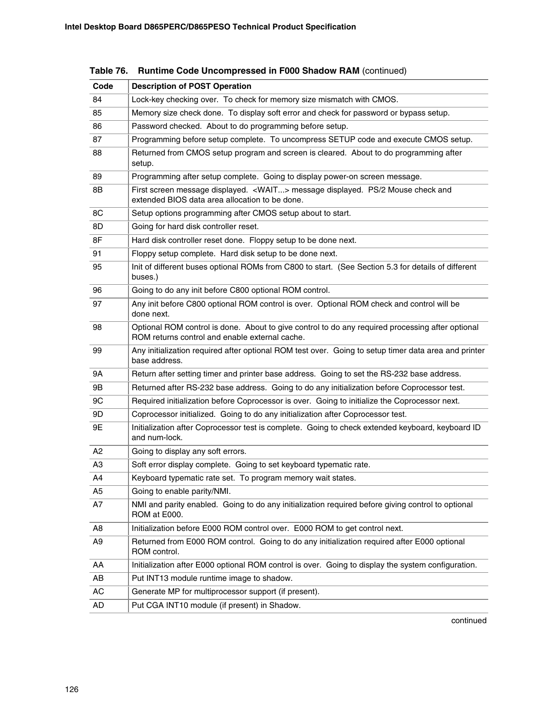| Code           | <b>Description of POST Operation</b>                                                                                                               |
|----------------|----------------------------------------------------------------------------------------------------------------------------------------------------|
| 84             | Lock-key checking over. To check for memory size mismatch with CMOS.                                                                               |
| 85             | Memory size check done. To display soft error and check for password or bypass setup.                                                              |
| 86             | Password checked. About to do programming before setup.                                                                                            |
| 87             | Programming before setup complete. To uncompress SETUP code and execute CMOS setup.                                                                |
| 88             | Returned from CMOS setup program and screen is cleared. About to do programming after<br>setup.                                                    |
| 89             | Programming after setup complete. Going to display power-on screen message.                                                                        |
| 8B             | First screen message displayed. < WAIT> message displayed. PS/2 Mouse check and<br>extended BIOS data area allocation to be done.                  |
| 8C             | Setup options programming after CMOS setup about to start.                                                                                         |
| 8D             | Going for hard disk controller reset.                                                                                                              |
| 8F             | Hard disk controller reset done. Floppy setup to be done next.                                                                                     |
| 91             | Floppy setup complete. Hard disk setup to be done next.                                                                                            |
| 95             | Init of different buses optional ROMs from C800 to start. (See Section 5.3 for details of different<br>buses.)                                     |
| 96             | Going to do any init before C800 optional ROM control.                                                                                             |
| 97             | Any init before C800 optional ROM control is over. Optional ROM check and control will be<br>done next.                                            |
| 98             | Optional ROM control is done. About to give control to do any required processing after optional<br>ROM returns control and enable external cache. |
| 99             | Any initialization required after optional ROM test over. Going to setup timer data area and printer<br>base address.                              |
| <b>9A</b>      | Return after setting timer and printer base address. Going to set the RS-232 base address.                                                         |
| 9Β             | Returned after RS-232 base address. Going to do any initialization before Coprocessor test.                                                        |
| 9C             | Required initialization before Coprocessor is over. Going to initialize the Coprocessor next.                                                      |
| 9D.            | Coprocessor initialized. Going to do any initialization after Coprocessor test.                                                                    |
| 9E             | Initialization after Coprocessor test is complete. Going to check extended keyboard, keyboard ID<br>and num-lock.                                  |
| A2             | Going to display any soft errors.                                                                                                                  |
| A <sub>3</sub> | Soft error display complete. Going to set keyboard typematic rate.                                                                                 |
| A <sub>4</sub> | Keyboard typematic rate set. To program memory wait states.                                                                                        |
| A5             | Going to enable parity/NMI.                                                                                                                        |
| A7             | NMI and parity enabled. Going to do any initialization required before giving control to optional<br>ROM at E000.                                  |
| A8             | Initialization before E000 ROM control over. E000 ROM to get control next.                                                                         |
| A <sub>9</sub> | Returned from E000 ROM control. Going to do any initialization required after E000 optional<br>ROM control.                                        |
| AA             | Initialization after E000 optional ROM control is over. Going to display the system configuration.                                                 |
| AB             | Put INT13 module runtime image to shadow.                                                                                                          |
| $\sf AC$       | Generate MP for multiprocessor support (if present).                                                                                               |
| AD             | Put CGA INT10 module (if present) in Shadow.                                                                                                       |

**Table 76. Runtime Code Uncompressed in F000 Shadow RAM** (continued)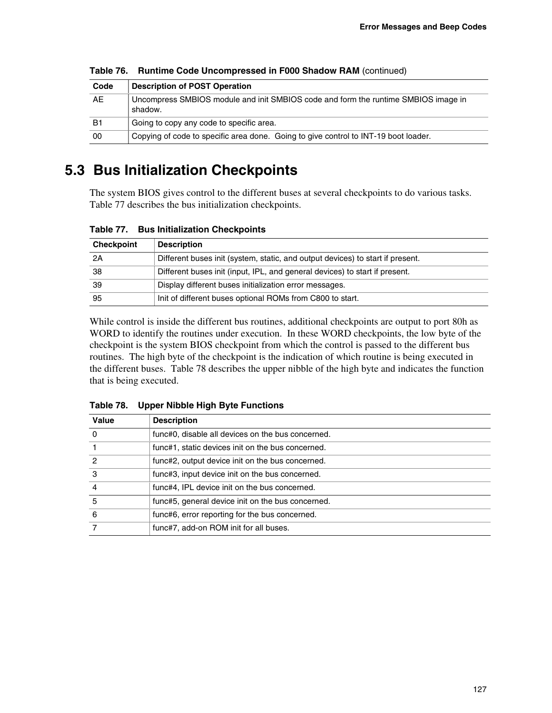| Code | <b>Description of POST Operation</b>                                                          |
|------|-----------------------------------------------------------------------------------------------|
| AE.  | Uncompress SMBIOS module and init SMBIOS code and form the runtime SMBIOS image in<br>shadow. |
| B1   | Going to copy any code to specific area.                                                      |
| 00   | Copying of code to specific area done. Going to give control to INT-19 boot loader.           |

<span id="page-126-0"></span>**Table 76. Runtime Code Uncompressed in F000 Shadow RAM** (continued)

### **5.3 Bus Initialization Checkpoints**

The system BIOS gives control to the different buses at several checkpoints to do various tasks. Table 77 describes the bus initialization checkpoints.

**Table 77. Bus Initialization Checkpoints** 

| <b>Checkpoint</b> | <b>Description</b>                                                             |
|-------------------|--------------------------------------------------------------------------------|
| 2A                | Different buses init (system, static, and output devices) to start if present. |
| 38                | Different buses init (input, IPL, and general devices) to start if present.    |
| 39                | Display different buses initialization error messages.                         |
| 95                | Init of different buses optional ROMs from C800 to start.                      |

While control is inside the different bus routines, additional checkpoints are output to port 80h as WORD to identify the routines under execution. In these WORD checkpoints, the low byte of the checkpoint is the system BIOS checkpoint from which the control is passed to the different bus routines. The high byte of the checkpoint is the indication of which routine is being executed in the different buses. Table 78 describes the upper nibble of the high byte and indicates the function that is being executed.

| Value          | <b>Description</b>                                |
|----------------|---------------------------------------------------|
| 0              | func#0, disable all devices on the bus concerned. |
|                | func#1, static devices init on the bus concerned. |
| 2              | func#2, output device init on the bus concerned.  |
| 3              | func#3, input device init on the bus concerned.   |
| $\overline{4}$ | func#4, IPL device init on the bus concerned.     |
| 5              | func#5, general device init on the bus concerned. |
| 6              | func#6, error reporting for the bus concerned.    |
|                | func#7, add-on ROM init for all buses.            |

**Table 78. Upper Nibble High Byte Functions**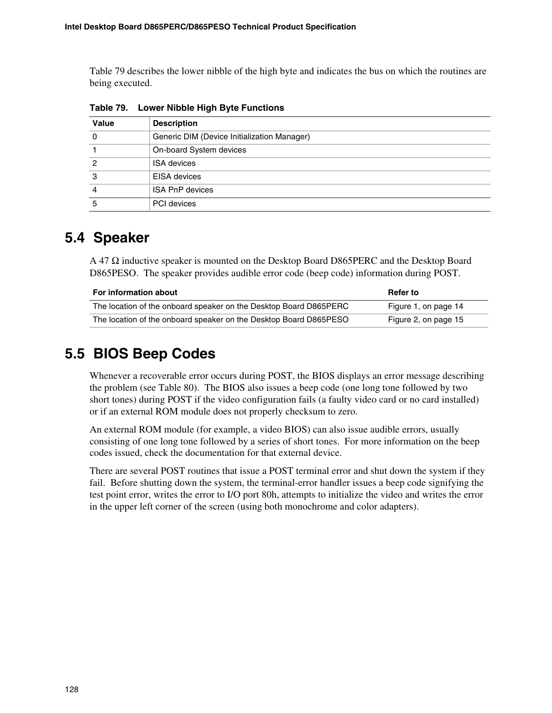<span id="page-127-0"></span>Table 79 describes the lower nibble of the high byte and indicates the bus on which the routines are being executed.

| Value | <b>Description</b>                          |
|-------|---------------------------------------------|
|       | Generic DIM (Device Initialization Manager) |
|       | On-board System devices                     |
| 2     | <b>ISA</b> devices                          |
| 3     | EISA devices                                |
| 4     | <b>ISA PnP devices</b>                      |
| 5     | <b>PCI</b> devices                          |

**Table 79. Lower Nibble High Byte Functions** 

### **5.4 Speaker**

A 47  $\Omega$  inductive speaker is mounted on the Desktop Board D865PERC and the Desktop Board D865PESO. The speaker provides audible error code (beep code) information during POST.

| For information about                                             | <b>Refer to</b>      |
|-------------------------------------------------------------------|----------------------|
| The location of the onboard speaker on the Desktop Board D865PERC | Figure 1, on page 14 |
| The location of the onboard speaker on the Desktop Board D865PESO | Figure 2, on page 15 |

# **5.5 BIOS Beep Codes**

Whenever a recoverable error occurs during POST, the BIOS displays an error message describing the problem (see [Table 80\)](#page-128-0). The BIOS also issues a beep code (one long tone followed by two short tones) during POST if the video configuration fails (a faulty video card or no card installed) or if an external ROM module does not properly checksum to zero.

An external ROM module (for example, a video BIOS) can also issue audible errors, usually consisting of one long tone followed by a series of short tones. For more information on the beep codes issued, check the documentation for that external device.

There are several POST routines that issue a POST terminal error and shut down the system if they fail. Before shutting down the system, the terminal-error handler issues a beep code signifying the test point error, writes the error to I/O port 80h, attempts to initialize the video and writes the error in the upper left corner of the screen (using both monochrome and color adapters).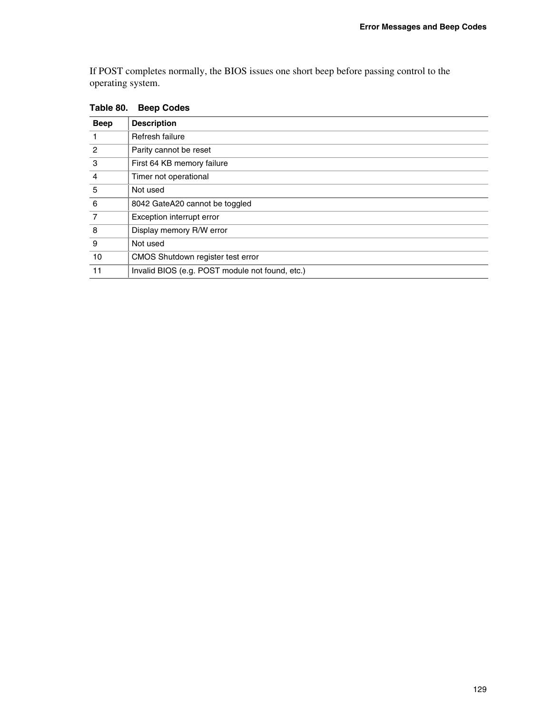<span id="page-128-0"></span>If POST completes normally, the BIOS issues one short beep before passing control to the operating system.

| <b>Beep</b>    | <b>Description</b>                              |
|----------------|-------------------------------------------------|
|                | Refresh failure                                 |
| $\mathcal{P}$  | Parity cannot be reset                          |
| 3              | First 64 KB memory failure                      |
| $\overline{4}$ | Timer not operational                           |
| 5              | Not used                                        |
| 6              | 8042 GateA20 cannot be toggled                  |
| 7              | Exception interrupt error                       |
| 8              | Display memory R/W error                        |
| 9              | Not used                                        |
| 10             | CMOS Shutdown register test error               |
| 11             | Invalid BIOS (e.g. POST module not found, etc.) |

**Table 80. Beep Codes**